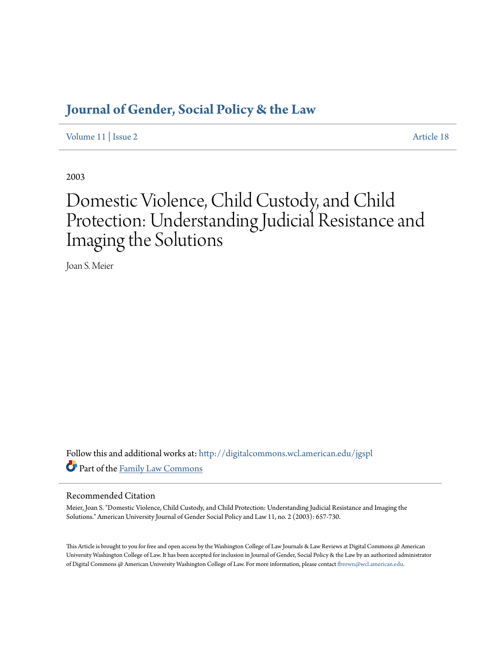# **[Journal of Gender, Social Policy & the Law](http://digitalcommons.wcl.american.edu/jgspl?utm_source=digitalcommons.wcl.american.edu%2Fjgspl%2Fvol11%2Fiss2%2F18&utm_medium=PDF&utm_campaign=PDFCoverPages)**

[Volume 11](http://digitalcommons.wcl.american.edu/jgspl/vol11?utm_source=digitalcommons.wcl.american.edu%2Fjgspl%2Fvol11%2Fiss2%2F18&utm_medium=PDF&utm_campaign=PDFCoverPages) | [Issue 2](http://digitalcommons.wcl.american.edu/jgspl/vol11/iss2?utm_source=digitalcommons.wcl.american.edu%2Fjgspl%2Fvol11%2Fiss2%2F18&utm_medium=PDF&utm_campaign=PDFCoverPages) [Article 18](http://digitalcommons.wcl.american.edu/jgspl/vol11/iss2/18?utm_source=digitalcommons.wcl.american.edu%2Fjgspl%2Fvol11%2Fiss2%2F18&utm_medium=PDF&utm_campaign=PDFCoverPages)

2003

# Domestic Violence, Child Custody, and Child Protection: Understanding Judicial Resistance and Imaging the Solutions

Joan S. Meier

Follow this and additional works at: [http://digitalcommons.wcl.american.edu/jgspl](http://digitalcommons.wcl.american.edu/jgspl?utm_source=digitalcommons.wcl.american.edu%2Fjgspl%2Fvol11%2Fiss2%2F18&utm_medium=PDF&utm_campaign=PDFCoverPages) Part of the [Family Law Commons](http://network.bepress.com/hgg/discipline/602?utm_source=digitalcommons.wcl.american.edu%2Fjgspl%2Fvol11%2Fiss2%2F18&utm_medium=PDF&utm_campaign=PDFCoverPages)

### Recommended Citation

Meier, Joan S. "Domestic Violence, Child Custody, and Child Protection: Understanding Judicial Resistance and Imaging the Solutions." American University Journal of Gender Social Policy and Law 11, no. 2 (2003): 657-730.

This Article is brought to you for free and open access by the Washington College of Law Journals & Law Reviews at Digital Commons @ American University Washington College of Law. It has been accepted for inclusion in Journal of Gender, Social Policy & the Law by an authorized administrator of Digital Commons @ American University Washington College of Law. For more information, please contact [fbrown@wcl.american.edu.](mailto:fbrown@wcl.american.edu)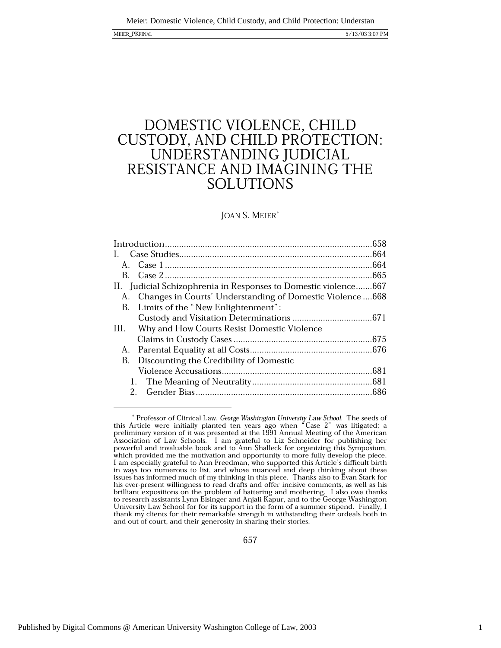5/13/03 3:07 PM

# DOMESTIC VIOLENCE, CHILD CUSTODY, AND CHILD PROTECTION: UNDERSTANDING JUDICIAL RESISTANCE AND IMAGINING THE **SOLUTIONS**

### JOAN S. MEIER\*

| B.                                                              |  |
|-----------------------------------------------------------------|--|
| II. Judicial Schizophrenia in Responses to Domestic violence667 |  |
| A. Changes in Courts' Understanding of Domestic Violence 668    |  |
| B. Limits of the "New Enlightenment":                           |  |
|                                                                 |  |
| III. Why and How Courts Resist Domestic Violence                |  |
|                                                                 |  |
| A.                                                              |  |
| Discounting the Credibility of Domestic<br>В.                   |  |
|                                                                 |  |
| 1.                                                              |  |
| $2_{-}$                                                         |  |

 $^\ast$  Professor of Clinical Law, *George Washington University Law School*. The seeds of this Article were initially planted ten years ago when "Case 2" was litigated; a preliminary version of it was presented at the 1991 Association of Law Schools. I am grateful to Liz Schneider for publishing her powerful and invaluable book and to Ann Shalleck for organizing this Symposium, which provided me the motivation and opportunity to more fully develop the piece. I am especially grateful to Ann Freedman, who supported this Article's difficult birth in ways too numerous to list, and whose nuanced and deep thinking about these issues has informed much of my thinking in this piece. Thanks also to Evan Stark for his ever-present willingness to read drafts and offer incisive comments, as well as his brilliant expositions on the problem of battering and mothering. I also owe thanks to research assistants Lynn Eisinger and Anjali Kapur, and to the George Washington University Law School for for its support in the form of a summer stipend. Finally, I thank my clients for their remarkable strength in withstanding their ordeals both in and out of court, and their generosity in sharing their stories.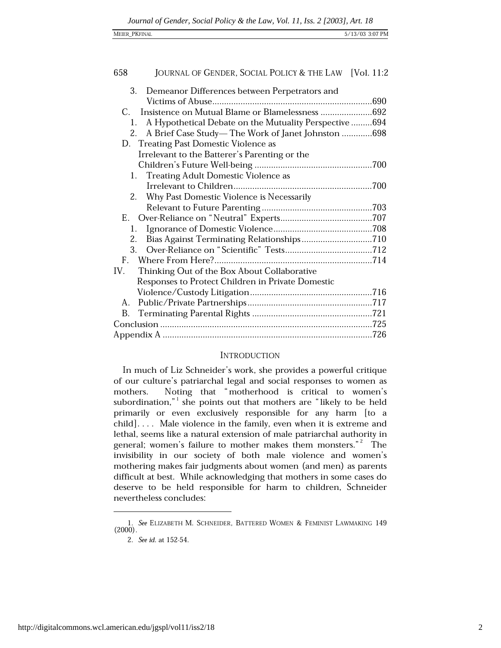| MEIER_PKFINAL<br><u>—</u> |                 |
|---------------------------|-----------------|
|                           | 5/13/03 3:07 PM |

| 658<br>JOURNAL OF GENDER, SOCIAL POLICY & THE LAW [Vol. 11:2 |
|--------------------------------------------------------------|
| 3.<br>Demeanor Differences between Perpetrators and          |
|                                                              |
| $C_{\cdot}$                                                  |
| A Hypothetical Debate on the Mutuality Perspective 694<br>1. |
| 2.<br>A Brief Case Study—The Work of Janet Johnston 698      |
| D. Treating Past Domestic Violence as                        |
| Irrelevant to the Batterer's Parenting or the                |
|                                                              |
| Treating Adult Domestic Violence as<br>1.                    |
|                                                              |
| 2.<br>Why Past Domestic Violence is Necessarily              |
|                                                              |
|                                                              |
| 1.                                                           |
| 2.                                                           |
| 3.                                                           |
|                                                              |
| IV.<br>Thinking Out of the Box About Collaborative           |
| Responses to Protect Children in Private Domestic            |
|                                                              |
| А.                                                           |
| В.                                                           |
|                                                              |
|                                                              |

### **INTRODUCTION**

In much of Liz Schneider's work, she provides a powerful critique of our culture's patriarchal legal and social responses to women as Noting that "motherhood is critical to women's mothers. subordination," she points out that mothers are "likely to be held primarily or even exclusively responsible for any harm [to a child].... Male violence in the family, even when it is extreme and lethal, seems like a natural extension of male patriarchal authority in general; women's failure to mother makes them monsters."<sup>2</sup> The invisibility in our society of both male violence and women's mothering makes fair judgments about women (and men) as parents difficult at best. While acknowledging that mothers in some cases do deserve to be held responsible for harm to children, Schneider nevertheless concludes:

<sup>1.</sup> See ELIZABETH M. SCHNEIDER, BATTERED WOMEN & FEMINIST LAWMAKING 149  $(2000)$ .

<sup>2.</sup> See id. at 152-54.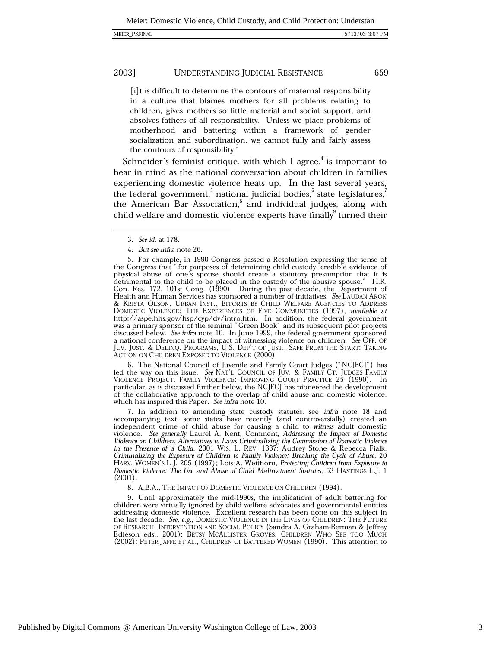[i]t is difficult to determine the contours of maternal responsibility in a culture that blames mothers for all problems relating to children, gives mothers so little material and social support, and absolves fathers of all responsibility. Unless we place problems of motherhood and battering within a framework of gender socialization and subordination, we cannot fully and fairly assess the contours of responsibility.

Schneider's feminist critique, with which I agree,<sup>4</sup> is important to bear in mind as the national conversation about children in families experiencing domestic violence heats up. In the last several years, the federal government,<sup>5</sup> national judicial bodies,<sup>6</sup> state legislatures,<sup>7</sup> the American Bar Association,<sup>8</sup> and individual judges, along with child welfare and domestic violence experts have finally turned their

5. For example, in 1990 Congress passed a Resolution expressing the sense of the Congress that "for purposes of determining child custody, credible evidence of physical abuse of one's spouse should create a statutory presumption that it is detrimental to the child to be placed in the custody of the abusive spouse." H.R. Con. Res. 172, 101st Cong. (1990). During the past decade, the Department of Health and Human Services has sponsored a number of initiatives. See LAUDAN ARON & KRISTA OLSON, URBAN INST., EFFORTS BY CHILD WELFARE AGENCIES TO ADDRESS NONESTIC VIOLENCE: THE EXPERIENCES OF FIVE COMMUNITIES (1997), available at<br>http://aspe.hhs.gov/hsp/cyp/dv/intro.htm. In addition, the federal government<br>was a primary sponsor of the seminal "Green Book" and its subsequent discussed below. See infra note 10. In June 1999, the federal government sponsored a national conference on the impact of witnessing violence on children. See OFF. OF JUV. JUST. & DELINQ. PROGRAMS, U.S. DEP'T OF JUST., SAFE FROM THE START: TAKING ACTION ON CHILDREN EXPOSED TO VIOLENCE (2000).

6. The National Council of Juvenile and Family Court Judges ("NCJFCJ") has led the way on this issue. See NAT'L COUNCIL OF JUV. & FAMILY CT. JUDGES FAMILY VIOLENCE PROJECT, FAMILY VIOLENCE: IMPROVING COURT PRACTICE 25 (1990). In particular, as is discussed further below, the NCJFCJ has pioneered the development of the collaborative approach to the overlap of child abuse and domestic violence, which has inspired this Paper. See infra note 10.

7. In addition to amending state custody statutes, see *infra* note 18 and accompanying text, some states have recently (and controversially) created an independent crime of child abuse for causing a child to witness adult domestic violence. See generally Laurel A. Kent, Comment, Addressing the Impact of Domestic Violence on Children: Alternatives to Laws Criminalizing the Commission of Domestic Violence<br>in the Presence of a Child, 2001 WIS. L. REV. 1337; Audrey Stone & Rebecca Fialk, Criminalizing the Exposure of Children to Family Violence: Breaking the Cycle of Abuse, 20<br>HARV. WOMEN'S L.J. 205 (1997); Lois A. Weithorn, Protecting Children from Exposure to Domestic Violence: The Use and Abuse of Child Maltreatment Statutes, 53 HASTINGS L.J. 1  $(2001).$ 

8. A.B.A., THE IMPACT OF DOMESTIC VIOLENCE ON CHILDREN (1994).

9. Until approximately the mid-1990s, the implications of adult battering for children were virtually ignored by child welfare advocates and governmental entities addressing domestic violence. Excellent research has been done on this subject in the last decade. See, e.g., DOMESTIC VIOLENCE IN THE LIVES OF CHILDREN: THE FUTURE OF RESEARCH, INTERVENTION AND SOCIAL POLICY (Sandra A. Graham-Berman & Jeffrey Edleson eds., 2001); BETSY MCALLISTER GROVES, CHILDREN WHO SEE TOO MUCH (2002); PETER JAFFE ET AL., CHILDREN OF BATTERED WOMEN (1990). This attention to

659

<sup>3.</sup> See id. at 178.

<sup>4.</sup> But see infra note 26.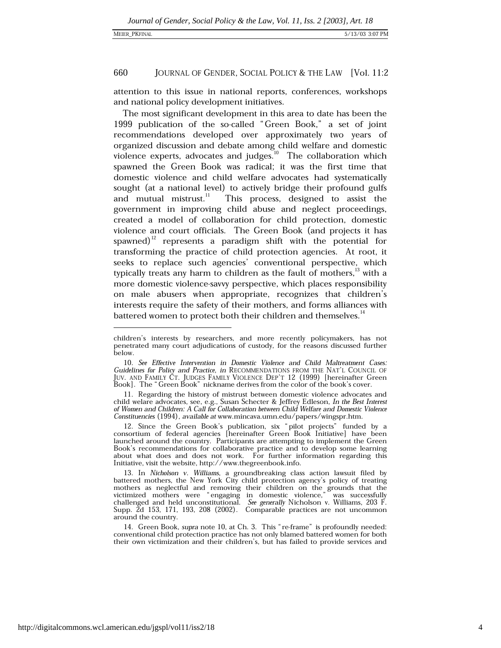attention to this issue in national reports, conferences, workshops and national policy development initiatives.

The most significant development in this area to date has been the 1999 publication of the so-called "Green Book," a set of joint recommendations developed over approximately two years of organized discussion and debate among child welfare and domestic violence experts, advocates and judges. $^{10}$  The collaboration which spawned the Green Book was radical; it was the first time that domestic violence and child welfare advocates had systematically sought (at a national level) to actively bridge their profound gulfs and mutual mistrust.<sup>11</sup> This process, designed to assist the government in improving child abuse and neglect proceedings, created a model of collaboration for child protection, domestic violence and court officials. The Green Book (and projects it has spawned)<sup>12</sup> represents a paradigm shift with the potential for transforming the practice of child protection agencies. At root, it seeks to replace such agencies' conventional perspective, which typically treats any harm to children as the fault of mothers,<sup>13</sup> with a more domestic violence-savvy perspective, which places responsibility on male abusers when appropriate, recognizes that children's interests require the safety of their mothers, and forms alliances with battered women to protect both their children and themselves.<sup>14</sup>

children's interests by researchers, and more recently policymakers, has not penetrated many court adjudications of custody, for the reasons discussed further below.

<sup>10.</sup> See Effective Intervention in Domestic Violence and Child Maltreatment Cases: Guidelines for Policy and Practice, in RECOMMENDATIONS FROM THE NAT'L COUNCIL OF JUV. AND FAMILY ČT. JUDGES FAMILY VIOLENCE DEP'T 12 (1999) [hereinafter Green Book]. The "Green Book" nickname derives from the color of the book's cover.

<sup>11.</sup> Regarding the history of mistrust between domestic violence advocates and child welare advocates, see, e.g., Susan Schecter & Jeffrey Edleson, In the Best Interest of Women and Children: A Call for Collaboration between Child Welfare and Domestic Violence Constituencies (1994), available at www.mincava.umn.edu/papers/wingspr.htm.

<sup>12.</sup> Since the Green Book's publication, six "pilot projects" funded by a consortium of federal agencies [hereinafter Green Book Initiative] have been launched around the country. Participants are attempting to implement the Green Book's recommendations for collaborative practice and to develop some learning about what does and does not work. For further information regarding this Initiative, visit the website, http://www.thegreenbook.info.

<sup>13.</sup> In Nicholson v. Williams, a groundbreaking class action lawsuit filed by battered mothers, the New York City child protection agency's policy of treating mothers as neglectful and removing their children on the grounds that the victimized mothers were "engaging in domestic violence," was successfully challenged and held unconstitutional. See generally Nicholson v. Williams, 203  $\vec{F}$ . Supp. 2d 153, 171, 193, 208 (2002). Comparable practices are not uncommon around the country.

<sup>14.</sup> Green Book, supra note 10, at Ch. 3. This "re-frame" is profoundly needed: conventional child protection practice has not only blamed battered women for both their own victimization and their children's, but has failed to provide services and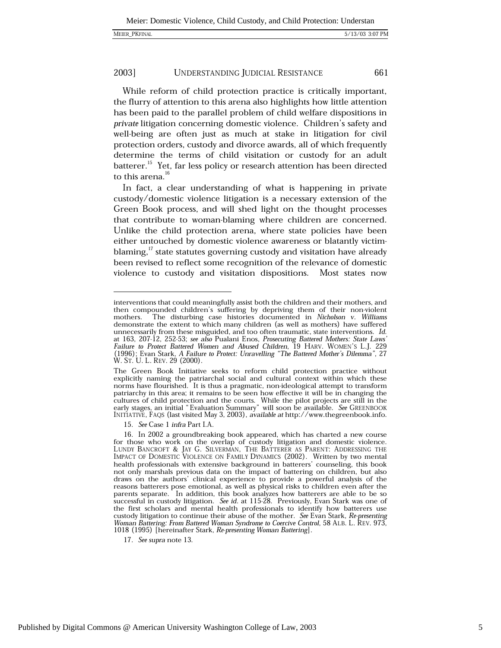| MEIER PKFINAL |
|---------------|
|               |

While reform of child protection practice is critically important, the flurry of attention to this arena also highlights how little attention has been paid to the parallel problem of child welfare dispositions in private litigation concerning domestic violence. Children's safety and well-being are often just as much at stake in litigation for civil protection orders, custody and divorce awards, all of which frequently determine the terms of child visitation or custody for an adult batterer.<sup>15</sup> Yet, far less policy or research attention has been directed to this arena.<sup>16</sup>

In fact, a clear understanding of what is happening in private custody/domestic violence litigation is a necessary extension of the Green Book process, and will shed light on the thought processes that contribute to woman-blaming where children are concerned. Unlike the child protection arena, where state policies have been either untouched by domestic violence awareness or blatantly victimblaming,<sup>17</sup> state statutes governing custody and visitation have already been revised to reflect some recognition of the relevance of domestic violence to custody and visitation dispositions. Most states now

15. See Case 1 infra Part I.A.

interventions that could meaningfully assist both the children and their mothers, and then compounded children's suffering by depriving them of their non-violent The disturbing case histories documented in Nicholson v. Williams mothers. demonstrate the extent to which many children (as well as mothers) have suffered unnecessarily from these misguided, and too often traumatic, state interventions. Id. at 163, 207-12, 252-53; see also Pualani Enos, Prosecuting Battered Mothers: State Laws' Failure to Protect Battered Women and Abused Children, 19 HARV. WOMEN'S L.J. 229<br>(1996); Evan Stark, A Failure to Protect: Unravelling "The Battered Mother's Dilemma", 27 W. St. U. L. REV. 29 (2000).

The Green Book Initiative seeks to reform child protection practice without explicitly naming the patriarchal social and cultural context within which these norms have flourished. It is thus a pragmatic, non-ideological attempt to transform patriarchy in this area; it remains to be seen how effective it will be in changing the cultures of child protection and the courts. While the pilot projects are still in the early stages, an initial "Evaluation Summary" will soon be available. See GREENBOOK INITIATIVE, FAQS (last visited May 3, 2003), available at http://www.thegreenbook.info.

<sup>16.</sup> In 2002 a groundbreaking book appeared, which has charted a new course for those who work on the overlap of custody litigation and domestic violence. LUNDY BANCROFT & JAY G. SILVERMAN, THE BATTERER AS PARENT: ADDRESSING THE IMPACT OF DOMESTIC VIOLENCE ON FAMILY DYNAMICS (2002). Written by two mental health professionals with extensive background in batterers' counseling not only marshals previous data on the impact of battering on children, but also draws on the authors' clinical experience to provide a powerful analysis of the reasons batterers pose emotional, as well as physical risks to children even after the parents separate. In addition, this book analyzes how batterers are able to be so successful in custody litigation. See id. at 115-28. Previously, Evan Stark was one of the first scholars and mental health professionals to identify how batterers use custody litigation to continue their abuse of the mother. See Evan Stark, Re-presenting Woman Battering: From Battered Woman Syndrome to Coercive Control, 58 ALB. L. REV. 973, 1018 (1995) [hereinafter Stark, Re-presenting Woman Battering].

<sup>17.</sup> See supra note 13.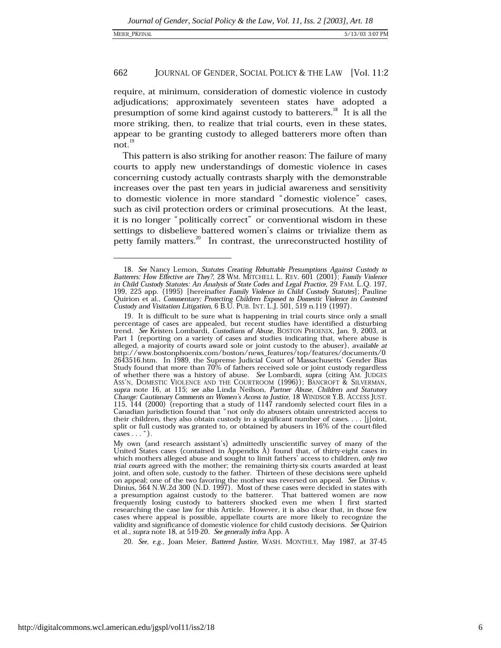require, at minimum, consideration of domestic violence in custody adjudications; approximately seventeen states have adopted a presumption of some kind against custody to batterers.<sup>18</sup> It is all the more striking, then, to realize that trial courts, even in these states, appear to be granting custody to alleged batterers more often than  $not.<sup>19</sup>$ 

This pattern is also striking for another reason: The failure of many courts to apply new understandings of domestic violence in cases concerning custody actually contrasts sharply with the demonstrable increases over the past ten years in judicial awareness and sensitivity to domestic violence in more standard "domestic violence" cases, such as civil protection orders or criminal prosecutions. At the least, it is no longer "politically correct" or conventional wisdom in these settings to disbelieve battered women's claims or trivialize them as petty family matters.<sup>20</sup> In contrast, the unreconstructed hostility of

20. See, e.g., Joan Meier, Battered Justice, WASH. MONTHLY, May 1987, at 37-45

<sup>18.</sup> See Nancy Lemon, Statutes Creating Rebuttable Presumptions Against Custody to Batterers: How Effective are They?, 28 WM. MITCHELL L. REV. 601 (2001); Family Violence in Child Custody Statutes: An Analysis of State Codes and Legal Practice, 29 FAM. L.Q. 197, 199, 225 app. (1995) [hereinafter Family Violence in Child Custody Statutes]; Pauline Quirion et al., Commentary: Protecting Children Exposed to Domestic Violence in Contested Custody and Visitation Litigation, 6 B.U. PUB. INT. L.J. 501, 519 n.119 (1997).

<sup>19.</sup> It is difficult to be sure what is happening in trial courts since only a small percentage of cases are appealed, but recent studies have identified a disturbing trend. See Kristen Lombardi, Custodians of Abuse, BOSTON PHOENIX, Jan. 9, 2003, at Part 1 (reporting on a variety of cases and studies indicating that, where abuse is alleged, a majority of courts award sole or joint custody to the abuser), available at http://www.bostonphoenix.com/boston/news\_features/top/features/documents/0 2643516.htm. In 1989, the Supreme Judicial Court of Massachusetts' Gender Bias Study found that more than 70% of fathers received sole or joint custody regardless of whether there was a history of abuse. See Lombardi, supra (citing AM. JUDGES ASS'N, DOMESTIC VIOLENCE AND THE COURTROOM (1996)); BANCROFT & SILVERMAN, supra note 16, at 115; see also Linda Neilson, Partner Abuse, Children and Statutory Change: Cautionary Comments on Women's Access to Justice, 18 WINDSOR Y.B. ACCESS JUST.<br>115, 144 (2000) (reporting that a study of 1147 randomly selected court files in a Canadian jurisdiction found that "not only do abusers obtain unrestricted access to their children, they also obtain custody in a significant number of cases.... [j]oint, split or full custody was granted to, or obtained by abusers in 16% of the court-filed cases  $\dots$ ").

My own (and research assistant's) admittedly unscientific survey of many of the United States cases (contained in Appendix A) found that, of thirty-eight cases in which mothers alleged abuse and sought to limit fathers' access to children, only two trial courts agreed with the mother; the remaining thirty-six courts awarded at least joint, and often sole, custody to the father. Thirteen of these decisions were upheld on appeal; one of the two favoring the mother was reversed on appeal. See Dinius v. Dinius, 564 N.W.2d 300 (N.D. 1997). Most of these cases were decided in states with a presumption against custody to the batterer. That battered women are now frequently losing custody to batterers shocked even me when I first started researching the case law for this Article. However, it is also clear that, in those few cases where appeal is possible, appellate courts are more likely to recognize the validity and significance of domestic violence for child custody decisions. See Quirion et al., supra note 18, at 519-20. See generally infra App. A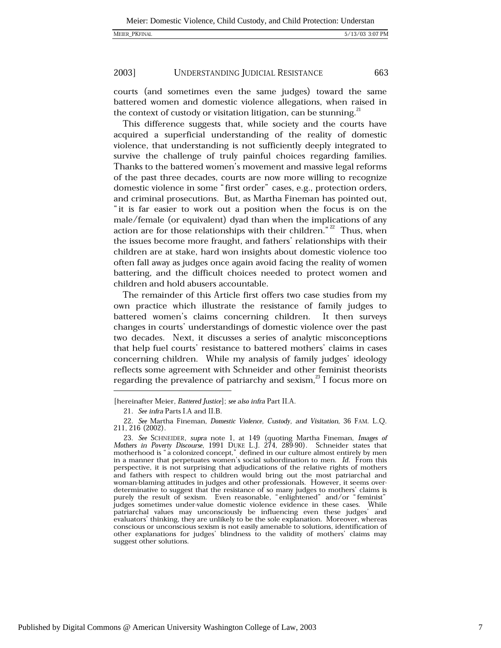663

### 2003] UNDERSTANDING JUDICIAL RESISTANCE

courts (and sometimes even the same judges) toward the same battered women and domestic violence allegations, when raised in the context of custody or visitation litigation, can be stunning.<sup>21</sup>

This difference suggests that, while society and the courts have acquired a superficial understanding of the reality of domestic violence, that understanding is not sufficiently deeply integrated to survive the challenge of truly painful choices regarding families. Thanks to the battered women's movement and massive legal reforms of the past three decades, courts are now more willing to recognize domestic violence in some "first order" cases, e.g., protection orders, and criminal prosecutions. But, as Martha Fineman has pointed out, "it is far easier to work out a position when the focus is on the male/female (or equivalent) dyad than when the implications of any action are for those relationships with their children."<sup>22</sup> Thus, when the issues become more fraught, and fathers' relationships with their children are at stake, hard won insights about domestic violence too often fall away as judges once again avoid facing the reality of women battering, and the difficult choices needed to protect women and children and hold abusers accountable.

The remainder of this Article first offers two case studies from my own practice which illustrate the resistance of family judges to battered women's claims concerning children. It then surveys changes in courts' understandings of domestic violence over the past two decades. Next, it discusses a series of analytic misconceptions that help fuel courts' resistance to battered mothers' claims in cases concerning children. While my analysis of family judges' ideology reflects some agreement with Schneider and other feminist theorists regarding the prevalence of patriarchy and sexism.<sup>23</sup> I focus more on

<sup>[</sup>hereinafter Meier, Battered Justice]; see also infra Part II.A.

<sup>21.</sup> See infra Parts I.A and II.B.

<sup>22.</sup> See Martha Fineman, Domestic Violence, Custody, and Visitation, 36 FAM. L.Q. 211, 216 (2002).

<sup>23.</sup> See SCHNEIDER, supra note 1, at 149 (quoting Martha Fineman, Images of Mothers in Poverty Discourse, 1991 DUKE L.J. 274, 289-90). Schneider states that motherhood is "a colonized concept," defined in our culture almos perspective, it is not surprising that adjudications of the relative rights of mothers and fathers with respect to children would bring out the most patriarchal and woman-blaming attitudes in judges and other professionals. However, it seems overdeterminative to suggest that the resistance of so many judges to mothers' claims is purely the result of sexism. Even reasonable, "enlightened" and/or "feminist" judges sometimes under-value domestic violence evidence in these cases. While patriarchal values may unconsciously be influencing even these judges' and evaluators' thinking, they are unlikely to be the sole explanation. Moreover, whereas conscious or unconscious sexism is not easily amenable to solutions, identification of other explanations for judges' blindness to the validity of mothers' claims may suggest other solutions.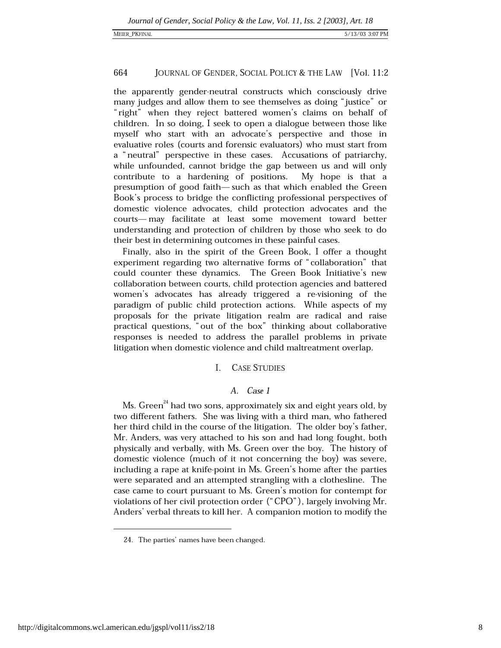the apparently gender-neutral constructs which consciously drive many judges and allow them to see themselves as doing "justice" or "right" when they reject battered women's claims on behalf of children. In so doing, I seek to open a dialogue between those like myself who start with an advocate's perspective and those in evaluative roles (courts and forensic evaluators) who must start from a "neutral" perspective in these cases. Accusations of patriarchy, while unfounded, cannot bridge the gap between us and will only contribute to a hardening of positions. My hope is that a presumption of good faith—such as that which enabled the Green Book's process to bridge the conflicting professional perspectives of domestic violence advocates, child protection advocates and the courts-may facilitate at least some movement toward better understanding and protection of children by those who seek to do their best in determining outcomes in these painful cases.

Finally, also in the spirit of the Green Book, I offer a thought experiment regarding two alternative forms of "collaboration" that could counter these dynamics. The Green Book Initiative's new collaboration between courts, child protection agencies and battered women's advocates has already triggered a re-visioning of the paradigm of public child protection actions. While aspects of my proposals for the private litigation realm are radical and raise practical questions, "out of the box" thinking about collaborative responses is needed to address the parallel problems in private litigation when domestic violence and child maltreatment overlap.

### $\mathbf{I}$ **CASE STUDIES**

### A. Case 1

Ms. Green<sup> $24$ </sup> had two sons, approximately six and eight years old, by two different fathers. She was living with a third man, who fathered her third child in the course of the litigation. The older boy's father, Mr. Anders, was very attached to his son and had long fought, both physically and verbally, with Ms. Green over the boy. The history of domestic violence (much of it not concerning the boy) was severe, including a rape at knife-point in Ms. Green's home after the parties were separated and an attempted strangling with a clothesline. The case came to court pursuant to Ms. Green's motion for contempt for violations of her civil protection order ("CPO"), largely involving Mr. Anders' verbal threats to kill her. A companion motion to modify the

<sup>24.</sup> The parties' names have been changed.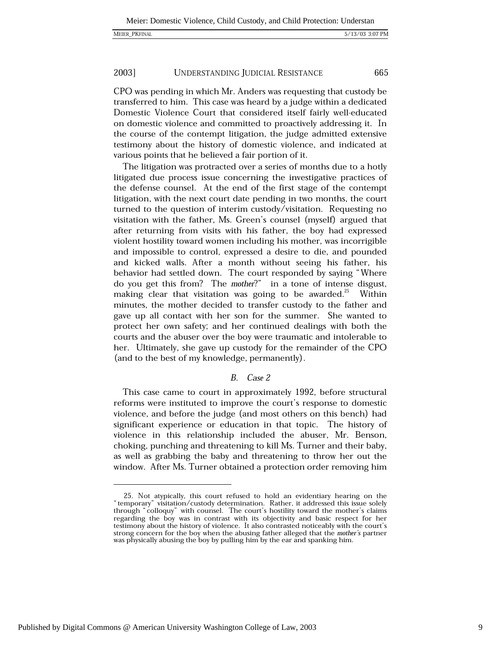665

### 2003] **UNDERSTANDING JUDICIAL RESISTANCE**

CPO was pending in which Mr. Anders was requesting that custody be transferred to him. This case was heard by a judge within a dedicated Domestic Violence Court that considered itself fairly well-educated on domestic violence and committed to proactively addressing it. In the course of the contempt litigation, the judge admitted extensive testimony about the history of domestic violence, and indicated at various points that he believed a fair portion of it.

The litigation was protracted over a series of months due to a hotly litigated due process issue concerning the investigative practices of the defense counsel. At the end of the first stage of the contempt litigation, with the next court date pending in two months, the court turned to the question of interim custody/visitation. Requesting no visitation with the father, Ms. Green's counsel (myself) argued that after returning from visits with his father, the boy had expressed violent hostility toward women including his mother, was incorrigible and impossible to control, expressed a desire to die, and pounded and kicked walls. After a month without seeing his father, his behavior had settled down. The court responded by saying "Where do you get this from? The mother?" in a tone of intense disgust, making clear that visitation was going to be awarded.<sup>25</sup> Within minutes, the mother decided to transfer custody to the father and gave up all contact with her son for the summer. She wanted to protect her own safety; and her continued dealings with both the courts and the abuser over the boy were traumatic and intolerable to her. Ultimately, she gave up custody for the remainder of the CPO (and to the best of my knowledge, permanently).

### B. Case 2

This case came to court in approximately 1992, before structural reforms were instituted to improve the court's response to domestic violence, and before the judge (and most others on this bench) had significant experience or education in that topic. The history of violence in this relationship included the abuser, Mr. Benson, choking, punching and threatening to kill Ms. Turner and their baby, as well as grabbing the baby and threatening to throw her out the window. After Ms. Turner obtained a protection order removing him

<sup>25.</sup> Not atypically, this court refused to hold an evidentiary hearing on the "temporary" visitation/custody determination. Rather, it addressed this issue solely through "colloquy" with counsel. The court's hostility toward the mother's claims regarding the boy was in contrast with its objectivity and basic respect for her testimony about the history of violence. It also contrasted noticeably with the court's strong concern for the boy when the abusing father alleged that the mother's partner was physically abusing the boy by pulling him by the ear and spanking him.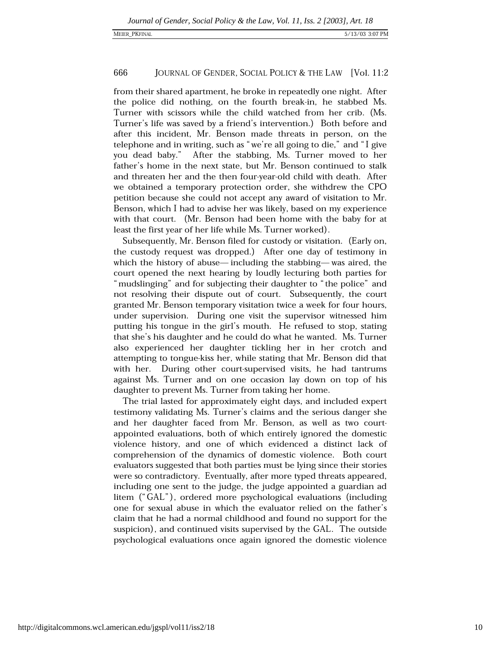from their shared apartment, he broke in repeatedly one night. After the police did nothing, on the fourth break-in, he stabbed Ms. Turner with scissors while the child watched from her crib. (Ms. Turner's life was saved by a friend's intervention.) Both before and after this incident, Mr. Benson made threats in person, on the telephone and in writing, such as "we're all going to die," and "I give After the stabbing, Ms. Turner moved to her you dead baby." father's home in the next state, but Mr. Benson continued to stalk and threaten her and the then four-year-old child with death. After we obtained a temporary protection order, she withdrew the CPO petition because she could not accept any award of visitation to Mr. Benson, which I had to advise her was likely, based on my experience with that court. (Mr. Benson had been home with the baby for at least the first year of her life while Ms. Turner worked).

Subsequently, Mr. Benson filed for custody or visitation. (Early on, the custody request was dropped.) After one day of testimony in which the history of abuse—including the stabbing—was aired, the court opened the next hearing by loudly lecturing both parties for "mudslinging" and for subjecting their daughter to "the police" and not resolving their dispute out of court. Subsequently, the court granted Mr. Benson temporary visitation twice a week for four hours, under supervision. During one visit the supervisor witnessed him putting his tongue in the girl's mouth. He refused to stop, stating that she's his daughter and he could do what he wanted. Ms. Turner also experienced her daughter tickling her in her crotch and attempting to tongue-kiss her, while stating that Mr. Benson did that with her. During other court-supervised visits, he had tantrums against Ms. Turner and on one occasion lay down on top of his daughter to prevent Ms. Turner from taking her home.

The trial lasted for approximately eight days, and included expert testimony validating Ms. Turner's claims and the serious danger she and her daughter faced from Mr. Benson, as well as two courtappointed evaluations, both of which entirely ignored the domestic violence history, and one of which evidenced a distinct lack of comprehension of the dynamics of domestic violence. Both court evaluators suggested that both parties must be lying since their stories were so contradictory. Eventually, after more typed threats appeared, including one sent to the judge, the judge appointed a guardian ad litem ("GAL"), ordered more psychological evaluations (including one for sexual abuse in which the evaluator relied on the father's claim that he had a normal childhood and found no support for the suspicion), and continued visits supervised by the GAL. The outside psychological evaluations once again ignored the domestic violence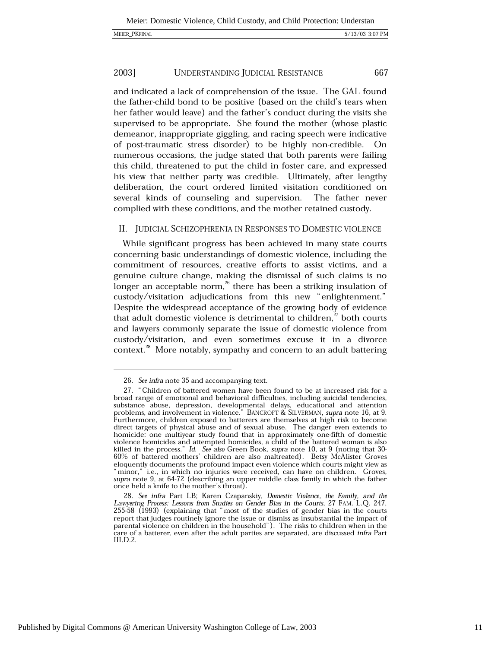and indicated a lack of comprehension of the issue. The GAL found the father-child bond to be positive (based on the child's tears when her father would leave) and the father's conduct during the visits she supervised to be appropriate. She found the mother (whose plastic demeanor, inappropriate giggling, and racing speech were indicative of post-traumatic stress disorder) to be highly non-credible. On numerous occasions, the judge stated that both parents were failing this child, threatened to put the child in foster care, and expressed his view that neither party was credible. Ultimately, after lengthy deliberation, the court ordered limited visitation conditioned on several kinds of counseling and supervision. The father never complied with these conditions, and the mother retained custody.

### II. JUDICIAL SCHIZOPHRENIA IN RESPONSES TO DOMESTIC VIOLENCE

While significant progress has been achieved in many state courts concerning basic understandings of domestic violence, including the commitment of resources, creative efforts to assist victims, and a genuine culture change, making the dismissal of such claims is no longer an acceptable norm, $^{26}$  there has been a striking insulation of custody/visitation adjudications from this new "enlightenment." Despite the widespread acceptance of the growing body of evidence that adult domestic violence is detrimental to children,<sup>27</sup> both courts and lawyers commonly separate the issue of domestic violence from custody/visitation, and even sometimes excuse it in a divorce context.<sup>28</sup> More notably, sympathy and concern to an adult battering

<sup>26.</sup> See infra note 35 and accompanying text.

<sup>27. &</sup>quot;Children of battered women have been found to be at increased risk for a broad range of emotional and behavioral difficulties, including suicidal tendencies, substance abuse, depression, developmental delays, educational and attention problems, and involvement in violence." BANCROFT & SILVERMAN, supra note 16, at 9. Furthermore, children exposed to batterers are themselves at high risk to become direct targets of physical abuse and of sexual abuse. The danger even extends to homicide: one multiyear study found that in approximately one-fifth of domestic violence homicides and attempted homicides, a child of the battered woman is also killed in the process." *Id.* See also Green Book, supra note 10, at 9 (noting that 30-60% of battered mothers' children are also maltreated). Betsy McAlister Groves eloquently documents the profound impact even violence which courts might view as "minor," i.e., in which no injuries were received, can have on children. Groves, supra note 9, at 64-72 (describing an upper middle class family in which the father once held a knife to the mother's throat).

<sup>28.</sup> See infra Part I.B; Karen Czapanskiy, Domestic Violence, the Family, and the Lawyering Process: Lessons from Studies on Gender Bias in the Courts, 27 FAM. L.O. 247, 255-58 (1993) (explaining that "most of the studies of gender bias in the courts report that judges routinely ignore the issue or dismiss as insubstantial the impact of parental violence on children in the household"). The risks to children when in the care of a batterer, even after the adult parties are separated, are discussed infra Part III.D.2.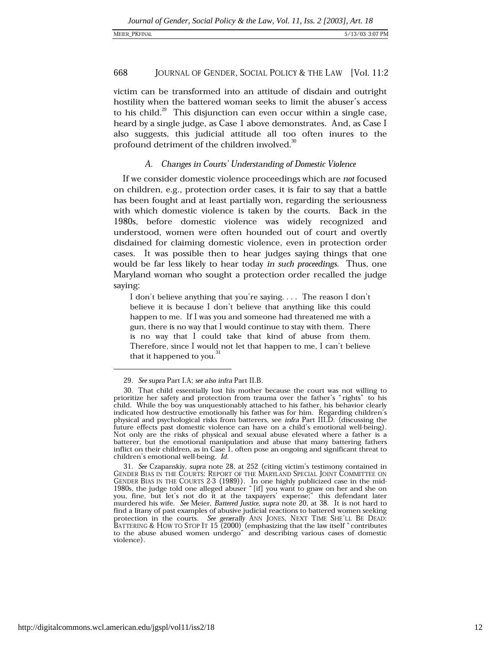### MEIER\_PKFINAL

### 668 JOURNAL OF GENDER, SOCIAL POLICY & THE LAW [Vol. 11:2

victim can be transformed into an attitude of disdain and outright hostility when the battered woman seeks to limit the abuser's access to his child.<sup>29</sup> This disjunction can even occur within a single case, heard by a single judge, as Case 1 above demonstrates. And, as Case I also suggests, this judicial attitude all too often inures to the profound detriment of the children involved.<sup>30</sup>

### A. Changes in Courts' Understanding of Domestic Violence

If we consider domestic violence proceedings which are not focused on children, e.g., protection order cases, it is fair to say that a battle has been fought and at least partially won, regarding the seriousness with which domestic violence is taken by the courts. Back in the 1980s, before domestic violence was widely recognized and understood, women were often hounded out of court and overtly disdained for claiming domestic violence, even in protection order cases. It was possible then to hear judges saying things that one would be far less likely to hear today in such proceedings. Thus, one Maryland woman who sought a protection order recalled the judge saying:

I don't believe anything that you're saying.... The reason I don't believe it is because I don't believe that anything like this could happen to me. If I was you and someone had threatened me with a gun, there is no way that I would continue to stay with them. There is no way that I could take that kind of abuse from them. Therefore, since I would not let that happen to me, I can't believe that it happened to you.<sup>31</sup>

<sup>29.</sup> See supra Part I.A; see also infra Part II.B.

<sup>30.</sup> That child essentially lost his mother because the court was not willing to prioritize her safety and protection from trauma over the father's "rights" to his child. While the boy was unquestionably attached to his father, his behavior clearly indicated how destructive emotionally his father was for him. Regarding children's physical and psychological risks from batterers, see infra Part III.D. (discussing the future effects past domestic violence can have on a child's emotional well-being). Not only are the risks of physical and sexual abuse elevated where a father is a batterer, but the emotional manipulation and abuse that many battering fathers inflict on their children, as in  $Case 1$ , often pose an ongoing and significant threat to children's emotional well-being. Id.

<sup>31.</sup> See Czapanskiy, supra note 28, at 252 (citing victim's testimony contained in GENDER BIAS IN THE COURTS: REPORT OF THE MARYLAND SPECIAL JOINT COMMITTEE ON GENDER BIAS IN THE COURTS 2-3 (1989)). In one highly publicized case in the mid-1980s, the judge told one alleged abuser "[if] you want to gnaw on her and she on<br>you, fine, but let's not do it at the taxpayers' expense;" this defendant later murdered his wife. See Meier, Battered Justice, supra note 20, at 38. It is not hard to find a litany of past examples of abusive judicial reactions to battered women seeking protection in the courts. See generally ANN JONES, NEXT TIME SHE'LL BE DEAD:<br>BATTERING & HOW TO STOP IT 15 (2000) (emphasizing that the law itself "contributes to the abuse abused women undergo" and describing various cases of domestic violence).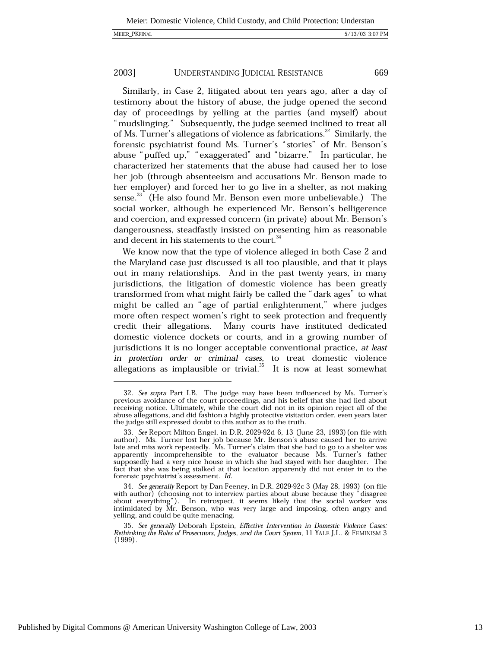669

### 2003] UNDERSTANDING JUDICIAL RESISTANCE

Similarly, in Case 2, litigated about ten years ago, after a day of testimony about the history of abuse, the judge opened the second day of proceedings by yelling at the parties (and myself) about "mudslinging." Subsequently, the judge seemed inclined to treat all of Ms. Turner's allegations of violence as fabrications.<sup>32</sup> Similarly, the forensic psychiatrist found Ms. Turner's "stories" of Mr. Benson's abuse "puffed up," "exaggerated" and "bizarre." In particular, he characterized her statements that the abuse had caused her to lose her job (through absenteeism and accusations Mr. Benson made to her employer) and forced her to go live in a shelter, as not making sense.<sup>33</sup> (He also found Mr. Benson even more unbelievable.) The social worker, although he experienced Mr. Benson's belligerence and coercion, and expressed concern (in private) about Mr. Benson's dangerousness, steadfastly insisted on presenting him as reasonable and decent in his statements to the court.<sup>34</sup>

We know now that the type of violence alleged in both Case 2 and the Maryland case just discussed is all too plausible, and that it plays out in many relationships. And in the past twenty years, in many jurisdictions, the litigation of domestic violence has been greatly transformed from what might fairly be called the "dark ages" to what might be called an "age of partial enlightenment," where judges more often respect women's right to seek protection and frequently credit their allegations. Many courts have instituted dedicated domestic violence dockets or courts, and in a growing number of jurisdictions it is no longer acceptable conventional practice, at least in protection order or criminal cases, to treat domestic violence allegations as implausible or trivial. $^{35}$  It is now at least somewhat

<sup>32.</sup> See supra Part I.B. The judge may have been influenced by Ms. Turner's previous avoidance of the court proceedings, and his belief that she had lied about receiving notice. Ultimately, while the court did not in its opinion reject all of the abuse allegations, and did fashion a highly protective visitation order, even years later the judge still expressed doubt to this author as to the truth.

<sup>33.</sup> See Report Milton Engel, in D.R. 2029-92d 6, 13 (June 23, 1993) (on file with author). Ms. Turner lost her job because Mr. Benson's abuse caused her to arrive late and miss work repeatedly. Ms. Turner's claim that she had to go to a shelter was apparently incomprehensible to the evaluator because Ms. Turner's father supposedly had a very nice house in which she had stayed with her daughter. The fact that she was being stalked at that location apparently did not enter in to the forensic psychiatrist's assessment. Id.

<sup>34.</sup> See generally Report by Dan Feeney, in D.R. 2029-92c 3 (May 28, 1993) (on file with author) (choosing not to interview parties about abuse because they "disagree about everything"). In retrospect, it seems likely that the social worker was intimidated by Mr. Benson, who was very large and imposing, often angry and yelling, and could be quite menacing.

<sup>35.</sup> See generally Deborah Epstein, Effective Intervention in Domestic Violence Cases: Rethinking the Roles of Prosecutors, Judges, and the Court System, 11 YALE J.L. & FEMINISM 3  $(1999).$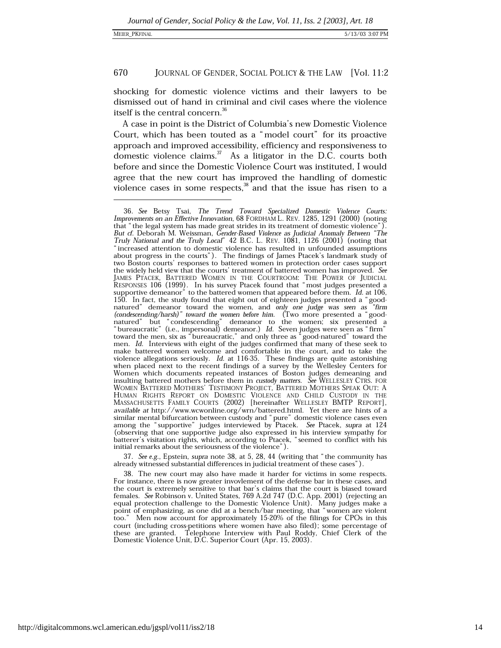shocking for domestic violence victims and their lawyers to be dismissed out of hand in criminal and civil cases where the violence itself is the central concern.<sup>36</sup>

A case in point is the District of Columbia's new Domestic Violence Court, which has been touted as a "model court" for its proactive approach and improved accessibility, efficiency and responsiveness to domestic violence claims.  $37$  As a litigator in the D.C. courts both before and since the Domestic Violence Court was instituted, I would agree that the new court has improved the handling of domestic violence cases in some respects, $3^8$  and that the issue has risen to a

37. See e.g., Epstein, supra note 38, at 5, 28, 44 (writing that "the community has already witnessed substantial differences in judicial treatment of these cases").

38. The new court may also have made it harder for victims in some respects. For instance, there is now greater invovlement of the defense bar in these cases, and the court is extremely sensitive to that bar's claims that the court is biased toward females. See Robinson v. United States, 769 A.2d 747 (D.C. App. 2001) (rejecting an equal protection challenge to the Domestic Violence Unit). Many judges make a point of emphasizing, as one did at a bench/bar meeting, that "women are violent Men now account for approximately 15-20% of the filings for CPOs in this  $\overline{100}$ ." court (including cross-petitions where women have also filed); some percentage of these are granted. Telephone Interview with Paul Roddy, Chief Clerk of the Domestic Violence Unit, D.C. Superior Court (Apr. 15, 2003).

<sup>36.</sup> See Betsy Tsai, The Trend Toward Specialized Domestic Violence Courts: Improvements on an Effective Innovation, 68 FORDHAM L. REV. 1285, 1291 (2000) (noting that "the legal system has made great strides in its treatment of domestic violence"). But cf. Deborah M. Weissman, Gender-Based Violence as Judicial Anomaly Between "The Truly National and the Truly Local" 42 B.C. L. REV. 1081, 1126 (2001) (noting that "increased attention to domestic violence has resulted in unfounded assumptions about progress in the courts"). The findings of James Ptacek's landmark study of two Boston courts' responses to battered women in protection order cases support the widely held view that the courts' treatment of battered women has improved. See JAMES PTACEK, BATTERED WOMEN IN THE COURTROOM: THE POWER OF JUDICIAL RESPONSES 106 (1999). In his survey Ptacek found that "most judges presented a supportive demeanor" to the battered women that appeared before them. Id. 150. In fact, the study found that eight out of eighteen judges presented a "goodnatured" demeanor toward the women, and only one judge was seen as "firm<br>(condescending/harsh)" toward the women before him. (Two more presented a "good-(conditioning matin) which are women before limit. (Two more presented a good natured" but "condescending" demeanor to the women; six presented a "bureaucratic" (i.e., impersonal) demeanor.) Id. Seven judges were seen as " make battered women welcome and comfortable in the court, and to take the violence allegations seriously. *Id.* at 116-35. These findings are quite astonishing when placed next to the recent findings of a survey by the Wellesley Centers for Women which documents repeated instances of Boston judges demeaning and insulting battered mothers before them in *custody matters*. See WELLESLEY CTRS. FOR WOMEN BATTERED MOTHERS' TESTIMONY PROJECT, BATTERED MOTHERS SPEAK OUT: A HUMAN RIGHTS REPORT ON DOMESTIC VIOLENCE AND CHILD CUSTODY IN THE MASSACHUSETTS FAMILY COURTS (2002) [hereinafter WELLESLEY BMTP REPORT], available at http://www.wcwonline.org/wrn/battered.html. Yet there are hints of a similar mental bifurcation between custody and "pure" domestic violence cases even among the "supportive" judges interviewed by Ptacek. See Ptacek, supra at 124 (observing that one supportive judge also expressed in his interview sympathy for batterer's visitation rights, which, according to Ptacek, "seemed to conflict with his initial remarks about the seriousness of the violence").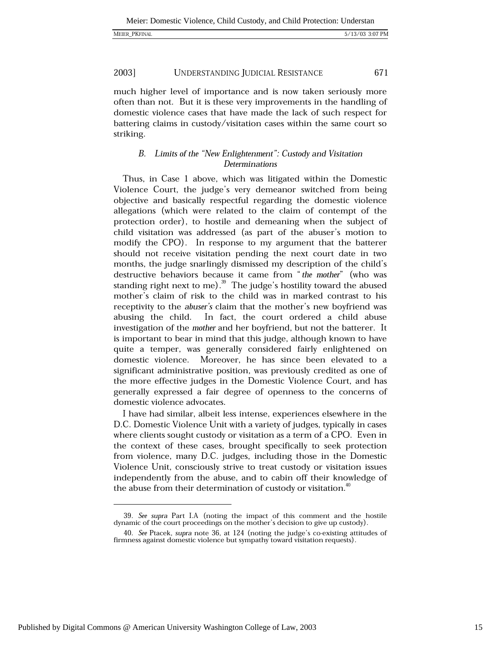much higher level of importance and is now taken seriously more often than not. But it is these very improvements in the handling of domestic violence cases that have made the lack of such respect for battering claims in custody/visitation cases within the same court so striking.

### B. Limits of the "New Enlightenment": Custody and Visitation Determinations

Thus, in Case 1 above, which was litigated within the Domestic Violence Court, the judge's very demeanor switched from being objective and basically respectful regarding the domestic violence allegations (which were related to the claim of contempt of the protection order), to hostile and demeaning when the subject of child visitation was addressed (as part of the abuser's motion to modify the CPO). In response to my argument that the batterer should not receive visitation pending the next court date in two months, the judge snarlingly dismissed my description of the child's destructive behaviors because it came from "the mother" (who was standing right next to me).<sup>39</sup> The judge's hostility toward the abused mother's claim of risk to the child was in marked contrast to his receptivity to the *abuser's* claim that the mother's new boyfriend was In fact, the court ordered a child abuse abusing the child. investigation of the mother and her boyfriend, but not the batterer. It is important to bear in mind that this judge, although known to have quite a temper, was generally considered fairly enlightened on domestic violence. Moreover, he has since been elevated to a significant administrative position, was previously credited as one of the more effective judges in the Domestic Violence Court, and has generally expressed a fair degree of openness to the concerns of domestic violence advocates.

I have had similar, albeit less intense, experiences elsewhere in the D.C. Domestic Violence Unit with a variety of judges, typically in cases where clients sought custody or visitation as a term of a CPO. Even in the context of these cases, brought specifically to seek protection from violence, many D.C. judges, including those in the Domestic Violence Unit, consciously strive to treat custody or visitation issues independently from the abuse, and to cabin off their knowledge of the abuse from their determination of custody or visitation.<sup>40</sup>

<sup>39.</sup> See supra Part I.A (noting the impact of this comment and the hostile dynamic of the court proceedings on the mother's decision to give up custody).

<sup>40.</sup> See Ptacek, supra note 36, at 124 (noting the judge's co-existing attitudes of firmness against domestic violence but sympathy toward visitation requests).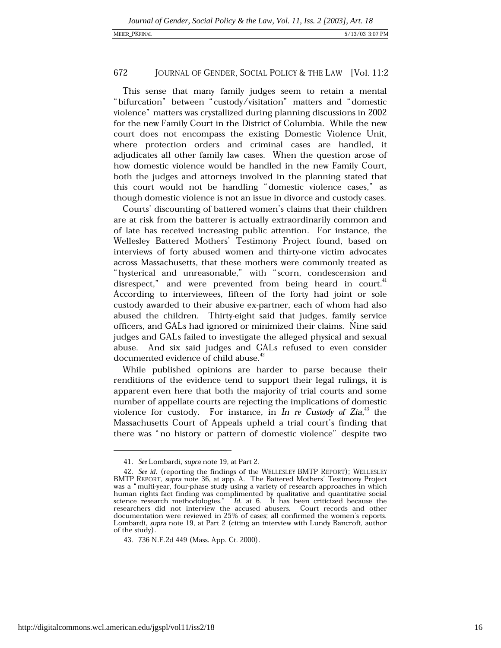This sense that many family judges seem to retain a mental "bifurcation" between "custody/visitation" matters and "domestic violence" matters was crystallized during planning discussions in 2002 for the new Family Court in the District of Columbia. While the new court does not encompass the existing Domestic Violence Unit, where protection orders and criminal cases are handled, it adjudicates all other family law cases. When the question arose of how domestic violence would be handled in the new Family Court, both the judges and attorneys involved in the planning stated that this court would not be handling "domestic violence cases," as though domestic violence is not an issue in divorce and custody cases.

Courts' discounting of battered women's claims that their children are at risk from the batterer is actually extraordinarily common and of late has received increasing public attention. For instance, the Wellesley Battered Mothers' Testimony Project found, based on interviews of forty abused women and thirty-one victim advocates across Massachusetts, that these mothers were commonly treated as "hysterical and unreasonable," with "scorn, condescension and disrespect," and were prevented from being heard in court.<sup>41</sup> According to interviewees, fifteen of the forty had joint or sole custody awarded to their abusive ex-partner, each of whom had also abused the children. Thirty-eight said that judges, family service officers, and GALs had ignored or minimized their claims. Nine said judges and GALs failed to investigate the alleged physical and sexual abuse. And six said judges and GALs refused to even consider documented evidence of child abuse.<sup>42</sup>

While published opinions are harder to parse because their renditions of the evidence tend to support their legal rulings, it is apparent even here that both the majority of trial courts and some number of appellate courts are rejecting the implications of domestic violence for custody. For instance, in In re Custody of  $Zia$ ,  $43$  the Massachusetts Court of Appeals upheld a trial court's finding that there was "no history or pattern of domestic violence" despite two

<sup>41.</sup> See Lombardi, supra note 19, at Part 2.

<sup>42.</sup> See id. (reporting the findings of the WELLESLEY BMTP REPORT); WELLESLEY BMTP REPORT, supra note 36, at app. A. The Battered Mothers' Testimony Project was a "multi-year, four-phase study using a variety of research approaches in which human rights fact finding was complimented by qualitative and quantitative social<br>science research methodologies." Id. at 6. It has been criticized because the<br>researchers did not interview the accused abusers. Court recor documentation were reviewed in 25% of cases; all confirmed the women's reports. Lombardi, supra note 19, at Part 2 (citing an interview with Lundy Bancroft, author of the study).

<sup>43. 736</sup> N.E.2d 449 (Mass. App. Ct. 2000).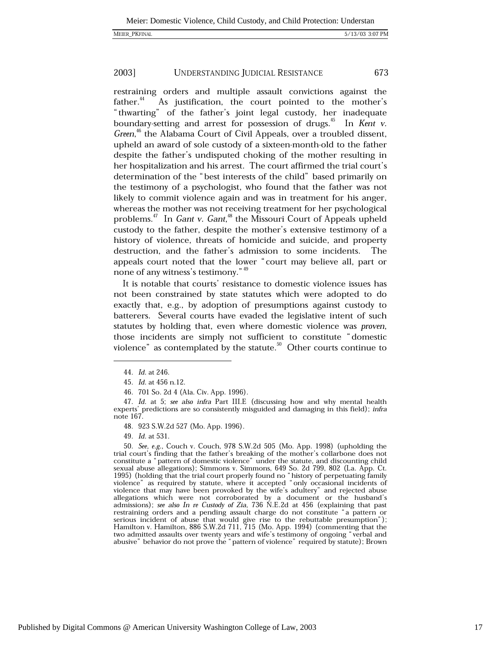MEIER\_PKFINAL

#### 2003] **UNDERSTANDING JUDICIAL RESISTANCE** 673

restraining orders and multiple assault convictions against the father.<sup>44</sup> As justification, the court pointed to the mother's "thwarting" of the father's joint legal custody, her inadequate boundary-setting and arrest for possession of drugs.<sup>45</sup> In Kent v. Green,<sup>46</sup> the Alabama Court of Civil Appeals, over a troubled dissent, upheld an award of sole custody of a sixteen-month-old to the father despite the father's undisputed choking of the mother resulting in her hospitalization and his arrest. The court affirmed the trial court's determination of the "best interests of the child" based primarily on the testimony of a psychologist, who found that the father was not likely to commit violence again and was in treatment for his anger, whereas the mother was not receiving treatment for her psychological problems.<sup>47</sup> In Gant v. Gant,<sup>48</sup> the Missouri Court of Appeals upheld custody to the father, despite the mother's extensive testimony of a history of violence, threats of homicide and suicide, and property destruction, and the father's admission to some incidents. The appeals court noted that the lower "court may believe all, part or none of any witness's testimony." 49

It is notable that courts' resistance to domestic violence issues has not been constrained by state statutes which were adopted to do exactly that, e.g., by adoption of presumptions against custody to batterers. Several courts have evaded the legislative intent of such statutes by holding that, even where domestic violence was proven, those incidents are simply not sufficient to constitute "domestic violence" as contemplated by the statute.<sup>50</sup> Other courts continue to

48. 923 S.W.2d 527 (Mo. App. 1996).

<sup>44.</sup> Id. at 246.

<sup>45.</sup> Id. at 456 n.12.

<sup>46. 701</sup> So. 2d 4 (Ala. Civ. App. 1996).

<sup>47.</sup> Id. at 5; see also infra Part III.E (discussing how and why mental health experts' predictions are so consistently misguided and damaging in this field); infra note 167.

<sup>49.</sup> Id. at 531.

<sup>50.</sup> See, e.g., Couch v. Couch, 978 S.W.2d 505 (Mo. App. 1998) (upholding the trial court's finding that the father's breaking of the mother's collarbone does not constitute a "pattern of domestic violence" under the statute, and discounting child sexual abuse allegations); Simmons v. Simmons, 649 So. 2d 799, 802 (La. App. Ct. 1995) (holding that the trial court properly found no "history of perpetuating family violence" as required by statute, where it accepted "only occasional incidents of violence that may have been provoked by the wife's adultery" and rejected abuse allegations which were not corroborated by a document or the husband's admissions); see also In re Custody of Zia, 736 N.E.2d at 456 (explaining that past restraining orders and a pending assault charge do not constitute "a pattern or serious incident of abuse that would give rise to the rebuttable presumption");<br>Hamilton v. Hamilton, 886 S.W.2d 711, 715 (Mo. App. 1994) (commenting that the two admitted assaults over twenty years and wife's testimony of ongoing "verbal and abusive" behavior do not prove the "pattern of violence" required by statute); Brown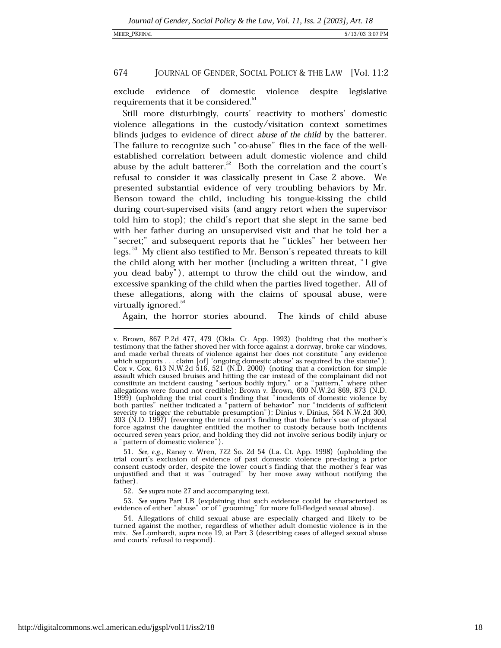exclude evidence of domestic violence despite legislative requirements that it be considered.<sup>51</sup>

Still more disturbingly, courts' reactivity to mothers' domestic violence allegations in the custody/visitation context sometimes blinds judges to evidence of direct abuse of the child by the batterer. The failure to recognize such "co-abuse" flies in the face of the wellestablished correlation between adult domestic violence and child abuse by the adult batterer.<sup>52</sup> Both the correlation and the court's refusal to consider it was classically present in Case 2 above. We presented substantial evidence of very troubling behaviors by Mr. Benson toward the child, including his tongue-kissing the child during court-supervised visits (and angry retort when the supervisor told him to stop); the child's report that she slept in the same bed with her father during an unsupervised visit and that he told her a "secret;" and subsequent reports that he "tickles" her between her legs.<sup>53</sup> My client also testified to Mr. Benson's repeated threats to kill the child along with her mother (including a written threat, "I give you dead baby"), attempt to throw the child out the window, and excessive spanking of the child when the parties lived together. All of these allegations, along with the claims of spousal abuse, were virtually ignored.<sup>34</sup>

Again, the horror stories abound. The kinds of child abuse

v. Brown, 867 P.2d 477, 479 (Okla. Ct. App. 1993) (holding that the mother's testimony that the father shoved her with force against a dorrway, broke car windows, and made verbal threats of violence against her does not constitute "any evidence which supports . . . claim [of] 'ongoing domestic abuse' as required by the statute");<br>Cox v. Cox, 613 N.W.2d 516, 521 (N.D. 2000) (noting that a conviction for simple exactly which caused bruises and hitting the car instead of the complainant did not<br>constitute an incident causing "serious bodily injury," or a "pattern," where other<br>allegations were found not credible); Brown v. Brown, discussions were round not creame), brown v. brown, 000 iv.w.zd 605, 675 (N.D.<br>1999) (upholding the trial court's finding that "incidents of domestic violence by<br>both parties" neither indicated a "pattern of behavior" nor 303 (N.D. 1997) (reversing the trial court's finding that the father's use of physical force against the daughter entitled the mother to custody because both incidents occurred seven years prior, and holding they did not involve serious bodily injury or a "pattern of domestic violence").

<sup>51.</sup> See, e.g., Raney v. Wren, 722 So. 2d 54 (La. Ct. App. 1998) (upholding the trial court's exclusion of evidence of past domestic violence pre-dating a prior consent custody order, despite the lower court's finding that the mother's fear was unjustified and that it was "outraged" by her move away without notifying the father).

<sup>52.</sup> See supra note 27 and accompanying text.

<sup>53.</sup> See supra Part I.B (explaining that such evidence could be characterized as evidence of either "abuse" or of "grooming" for more full-fledged sexual abuse).

<sup>54.</sup> Allegations of child sexual abuse are especially charged and likely to be turned against the mother, regardless of whether adult domestic violence is in the mix. See Lombardi, supra note 19, at Part 3 (describing cases of alleged sexual abuse and courts' refusal to respond).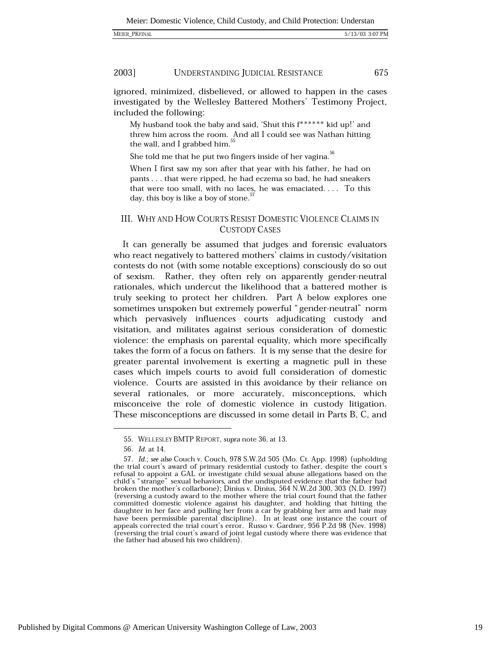675

#### 2003] UNDERSTANDING JUDICIAL RESISTANCE

ignored, minimized, disbelieved, or allowed to happen in the cases investigated by the Wellesley Battered Mothers' Testimony Project, included the following:

My husband took the baby and said, 'Shut this  $f^{*****}$  kid up!' and threw him across the room. And all I could see was Nathan hitting the wall, and I grabbed him.<sup>5</sup>

She told me that he put two fingers inside of her vagina.<sup>30</sup>

When I first saw my son after that year with his father, he had on pants . . . that were ripped, he had eczema so bad, he had sneakers that were too small, with no laces, he was emaciated.... To this day, this boy is like a boy of stone.<sup>5</sup>

### III. WHY AND HOW COURTS RESIST DOMESTIC VIOLENCE CLAIMS IN **CUSTODY CASES**

It can generally be assumed that judges and forensic evaluators who react negatively to battered mothers' claims in custody/visitation contests do not (with some notable exceptions) consciously do so out of sexism. Rather, they often rely on apparently gender-neutral rationales, which undercut the likelihood that a battered mother is truly seeking to protect her children. Part A below explores one sometimes unspoken but extremely powerful "gender-neutral" norm which pervasively influences courts adjudicating custody and visitation, and militates against serious consideration of domestic violence: the emphasis on parental equality, which more specifically takes the form of a focus on fathers. It is my sense that the desire for greater parental involvement is exerting a magnetic pull in these cases which impels courts to avoid full consideration of domestic violence. Courts are assisted in this avoidance by their reliance on several rationales, or more accurately, misconceptions, which misconceive the role of domestic violence in custody litigation. These misconceptions are discussed in some detail in Parts B, C, and

<sup>55.</sup> WELLESLEY BMTP REPORT, supra note 36, at 13.

<sup>56.</sup> Id. at 14.

<sup>57.</sup> Id.; see also Couch v. Couch, 978 S.W.2d 505 (Mo. Ct. App. 1998) (upholding the trial court's award of primary residential custody to father, despite the court's refusal to appoint a GAL or investigate child sexual abuse allegations based on the child's "strange" sexual behaviors, and the undisputed evidence that the father had broken the mother's collarbone); Dinius v. Dinius, 564 N.W.2d 300, 303 (N.D. 1997) (reversing a custody award to the mother where the trial court found that the father committed domestic violence against his daughter, and holding that hitting the daughter in her face and pulling her from a car by grabbing her arm and hair may have been permissible parental discipline). In at least one instance the court of appeals corrected the trial court's error. Russo v. Gardner, 956 P.2d 98 (Nev. 1998) (reversing the trial court's award of joint legal custody where there was evidence that the father had abused his two children).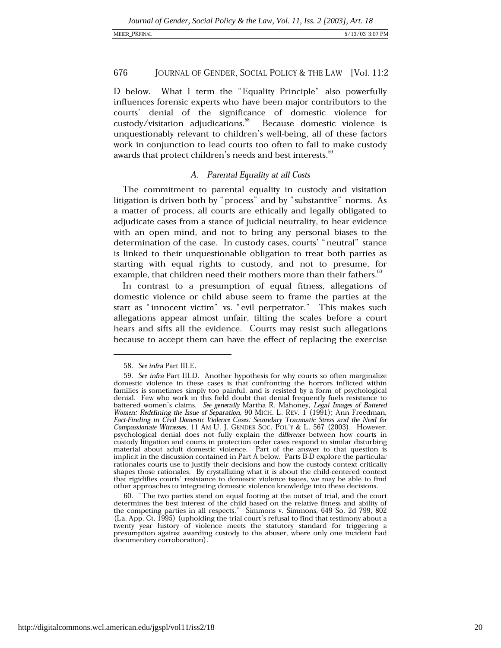### **MEIER PKFINAI**

### 676 JOURNAL OF GENDER, SOCIAL POLICY & THE LAW [Vol. 11:2

D below. What I term the "Equality Principle" also powerfully influences forensic experts who have been major contributors to the courts' denial of the significance of domestic violence for custody/visitation adjudications.<sup>38</sup> Because domestic violence is unquestionably relevant to children's well-being, all of these factors work in conjunction to lead courts too often to fail to make custody awards that protect children's needs and best interests.<sup>5</sup>

### A. Parental Equality at all Costs

The commitment to parental equality in custody and visitation litigation is driven both by "process" and by "substantive" norms. As a matter of process, all courts are ethically and legally obligated to adjudicate cases from a stance of judicial neutrality, to hear evidence with an open mind, and not to bring any personal biases to the determination of the case. In custody cases, courts' "neutral" stance is linked to their unquestionable obligation to treat both parties as starting with equal rights to custody, and not to presume, for example, that children need their mothers more than their fathers.<sup>30</sup>

In contrast to a presumption of equal fitness, allegations of domestic violence or child abuse seem to frame the parties at the start as "innocent victim" vs. "evil perpetrator." This makes such allegations appear almost unfair, tilting the scales before a court hears and sifts all the evidence. Courts may resist such allegations because to accept them can have the effect of replacing the exercise

<sup>58.</sup> See infra Part III.E.

<sup>59.</sup> See infra Part III.D. Another hypothesis for why courts so often marginalize domestic violence in these cases is that confronting the horrors inflicted within families is sometimes simply too painful, and is resisted by a form of psychological denial. Few who work in this field doubt that denial frequently fuels resistance to battered women's claims. See generally Martha R. Mahoney, Legal Images of Battered Women: Redefining the Issue of Separation, 90 MICH. L. REV. 1 (1991); Ann Freedman, Fact-Finding in Civil Domestic Violence Cases: Secondary Traumatic Stress and the Need for Compassionate Witnesses, 11 AM U. J. GENDER SOC. POL'Y & L. 567 (2003). However, psychological denial does not fully explain the difference between how courts in custody litigation and courts in protection order cases respond to similar disturbing material about adult domestic violence. Part of the answer to that question is<br>implicit in the discussion contained in Part A below. Parts B-D explore the particular rationales courts use to justify their decisions and how the custody context critically shapes those rationales. By crystallizing what it is about the child-centered context that rigidifies courts' resistance to domestic violence issues, we may be able to find other approaches to integrating domestic violence knowledge into these decisions.

<sup>60. &</sup>quot;The two parties stand on equal footing at the outset of trial, and the court determines the best interest of the child based on the relative fitness and ability of the competing parties in all respects." Simmons v. Simmons, 649 So. 2d 799, 802 (La. App. Ct. 1995) (upholding the trial court's refusal to find that testimony about a twenty year history of violence meets the statutory standard for triggering a presumption against awarding custody to the abuser, where only one incident had documentary corroboration).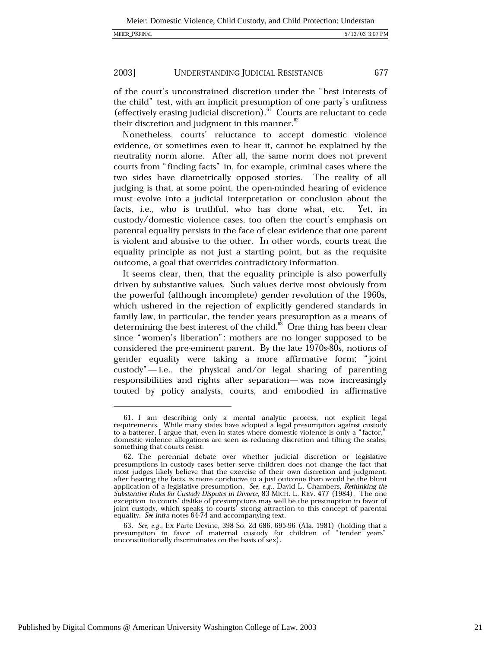of the court's unconstrained discretion under the "best interests of the child" test, with an implicit presumption of one party's unfitness (effectively erasing judicial discretion).<sup>61</sup> Courts are reluctant to cede their discretion and judgment in this manner.<sup>62</sup>

Nonetheless, courts' reluctance to accept domestic violence evidence, or sometimes even to hear it, cannot be explained by the neutrality norm alone. After all, the same norm does not prevent courts from "finding facts" in, for example, criminal cases where the two sides have diametrically opposed stories. The reality of all judging is that, at some point, the open-minded hearing of evidence must evolve into a judicial interpretation or conclusion about the facts, i.e., who is truthful, who has done what, etc. Yet. in custody/domestic violence cases, too often the court's emphasis on parental equality persists in the face of clear evidence that one parent is violent and abusive to the other. In other words, courts treat the equality principle as not just a starting point, but as the requisite outcome, a goal that overrides contradictory information.

It seems clear, then, that the equality principle is also powerfully driven by substantive values. Such values derive most obviously from the powerful (although incomplete) gender revolution of the 1960s, which ushered in the rejection of explicitly gendered standards in family law, in particular, the tender years presumption as a means of determining the best interest of the child.<sup>63</sup> One thing has been clear since "women's liberation": mothers are no longer supposed to be considered the pre-eminent parent. By the late 1970s-80s, notions of gender equality were taking a more affirmative form; "joint custody" $-i.e.,$  the physical and/or legal sharing of parenting responsibilities and rights after separation—was now increasingly touted by policy analysts, courts, and embodied in affirmative

63. See, e.g., Ex Parte Devine, 398 So. 2d 686, 695-96 (Ala. 1981) (holding that a presumption in favor of maternal custody for children of "tender years" unconstitutionally discriminates on the basis of sex).

<sup>61.</sup> I am describing only a mental analytic process, not explicit legal requirements. While many states have adopted a legal presumption against custody to a batterer, I argue that, even in states where domestic violence is only a "factor," domestic violence allegations are seen as reducing discretion and tilting the scales, something that courts resist.

<sup>62.</sup> The perennial debate over whether judicial discretion or legislative presumptions in custody cases better serve children does not change the fact that most judges likely believe that the exercise of their own discretion and judgment, after hearing the facts, is more conducive to a just outcome than would be the blunt application of a legislative presumption. See, e.g., David L. Chambers, Rethinking the Substantive Rules for Custody Disputes in Divorce, 83 MICH. L. REV. 477 (1984). The one exception to courts' dislike of presumptions may well be the presumption in favor of joint custody, which speaks to courts' strong attraction to this concept of parental equality. See infra notes 64-74 and accompanying text.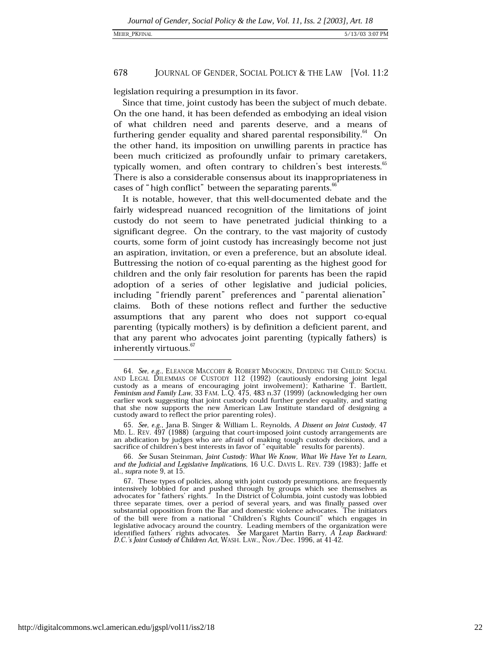### **MEIER PKFINAI**

### 678 JOURNAL OF GENDER, SOCIAL POLICY & THE LAW [Vol. 11:2]

legislation requiring a presumption in its favor.

Since that time, joint custody has been the subject of much debate. On the one hand, it has been defended as embodying an ideal vision of what children need and parents deserve, and a means of furthering gender equality and shared parental responsibility.<sup>64</sup> On the other hand, its imposition on unwilling parents in practice has been much criticized as profoundly unfair to primary caretakers, typically women, and often contrary to children's best interests.<sup>65</sup> There is also a considerable consensus about its inappropriateness in cases of "high conflict" between the separating parents.

It is notable, however, that this well-documented debate and the fairly widespread nuanced recognition of the limitations of joint custody do not seem to have penetrated judicial thinking to a significant degree. On the contrary, to the vast majority of custody courts, some form of joint custody has increasingly become not just an aspiration, invitation, or even a preference, but an absolute ideal. Buttressing the notion of co-equal parenting as the highest good for children and the only fair resolution for parents has been the rapid adoption of a series of other legislative and judicial policies, including "friendly parent" preferences and "parental alienation" claims. Both of these notions reflect and further the seductive assumptions that any parent who does not support co-equal parenting (typically mothers) is by definition a deficient parent, and that any parent who advocates joint parenting (typically fathers) is inherently virtuous.<sup>67</sup>

<sup>64.</sup> See, e.g., ELEANOR MACCOBY & ROBERT MNOOKIN, DIVIDING THE CHILD: SOCIAL AND LEGAL DILEMMAS OF CUSTODY 112 (1992) (cautiously endorsing joint legal custody as a means of encouraging joint involvement); Katharine T. Bartlett,<br>Feminism and Family Law, 33 FAM. L.Q. 475, 483 n.37 (1999) (acknowledging her own earlier work suggesting that joint custody could further gender equality, and stating that she now supports the new American Law Institute standard of designing a custody award to reflect the prior parenting roles).

<sup>65.</sup> See, e.g., Jana B. Singer & William L. Reynolds, A Dissent on Joint Custody, 47 MD. L. REV. 497 (1988) (arguing that court-imposed joint custody arrangements are an abdication by judges who are afraid of making tough custody decisions, and a sacrifice of children's best interests in favor of "equitable" results for parents).

<sup>66.</sup> See Susan Steinman, Joint Custody: What We Know, What We Have Yet to Learn, and the Judicial and Legislative Implications, 16 U.C. DAVIS L. REV. 739 (1983); Jaffe et al., supra note 9, at 15.

<sup>67.</sup> These types of policies, along with joint custody presumptions, are frequently intensively lobbied for and pushed through by groups which see themselves as<br>advocates for "fathers' rights." In the District of Columbia, joint custody was lobbied diverse separate times, over a period of several years, and was finally passed over<br>substantial opposition from the Bar and domestic violence advocates. The initiators<br>of the bill were from a national "Children's Rights Co legislative advocacy around the country. Leading members of the organization were identified fathers' rights advocates. See Margaret Martin Barry, A Leap Backward: D.C.'s Joint Custody of Children Act, WASH. LAW., Nov./Dec. 1996, at 41-42.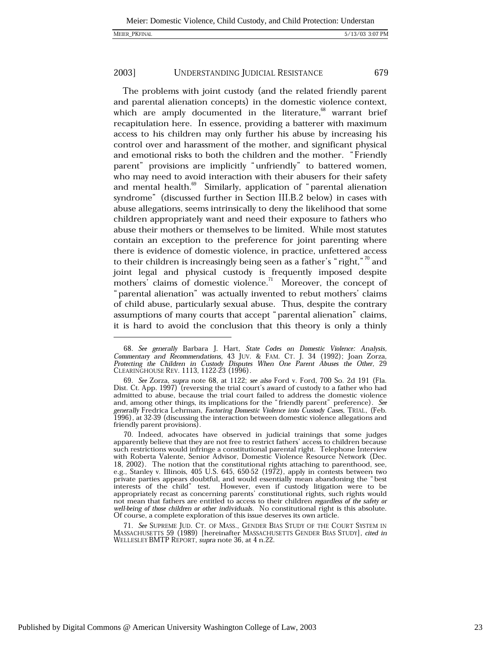The problems with joint custody (and the related friendly parent and parental alienation concepts) in the domestic violence context, which are amply documented in the literature,<sup>68</sup> warrant brief recapitulation here. In essence, providing a batterer with maximum access to his children may only further his abuse by increasing his control over and harassment of the mother, and significant physical and emotional risks to both the children and the mother. "Friendly parent" provisions are implicitly "unfriendly" to battered women, who may need to avoid interaction with their abusers for their safety and mental health.<sup>69</sup> Similarly, application of "parental alienation syndrome" (discussed further in Section III.B.2 below) in cases with abuse allegations, seems intrinsically to deny the likelihood that some children appropriately want and need their exposure to fathers who abuse their mothers or themselves to be limited. While most statutes contain an exception to the preference for joint parenting where there is evidence of domestic violence, in practice, unfettered access to their children is increasingly being seen as a father's "right,"<sup>70</sup> and joint legal and physical custody is frequently imposed despite mothers' claims of domestic violence.<sup>71</sup> Moreover, the concept of "parental alienation" was actually invented to rebut mothers' claims of child abuse, particularly sexual abuse. Thus, despite the contrary assumptions of many courts that accept "parental alienation" claims, it is hard to avoid the conclusion that this theory is only a thinly

71. See SUPREME JUD. CT. OF MASS., GENDER BIAS STUDY OF THE COURT SYSTEM IN MASSACHUSETTS 59 (1989) [hereinafter MASSACHUSETTS GENDER BIAS STUDY], cited in WELLESLEY BMTP REPORT, supra note 36, at 4 n.22.

<sup>68.</sup> See generally Barbara J. Hart, State Codes on Domestic Violence: Analysis, Commentary and Recommendations, 43 JUV. & FAM. CT. J. 34 (1992); Joan Zorza, Protecting the Children in Custody Disputes When One Parent Abuses the Other, 29 CLEARINGHOUSE REV. 1113, 1122-23 (1996).

<sup>69.</sup> See Zorza, supra note 68, at 1122; see also Ford v. Ford, 700 So. 2d 191 (Fla. Dist. Ct. App. 1997) (reversing the trial court's award of custody to a father who had admitted to abuse, because the trial court failed to address the domestic violence and, among other things, its implications for the "friendly parent" preference). See<br>generally Fredrica Lehrman, *Factoring Domestic Violence into Custody Cases*, TRIAL, (Feb. 1996), at 32-39 (discussing the interaction between domestic violence allegations and friendly parent provisions).

<sup>70.</sup> Indeed, advocates have observed in judicial trainings that some judges apparently believe that they are not free to restrict fathers' access to children because such restrictions would infringe a constitutional parental right. Telephone Interview with Roberta Valente, Senior Advisor, Domestic Violence Resource Network (Dec. 18, 2002). The notion that the constitutional rights attaching to parenthood, see, e.g., Stanley v. Illinois, 405 U.S. 645, 650-52 (1972), apply in contests between two private parties appears doubtful, and would essentially mean abandoning the "best" interests of the child" test. However, even if custody litigation were to be appropriately recast as concerning parents' constitutional rights, such rights would not mean that fathers are entitled to access to their children regardless of the safety or well-being of those children or other individuals. No constitutional right is this absolute. Of course, a complete exploration of this issue deserves its own article.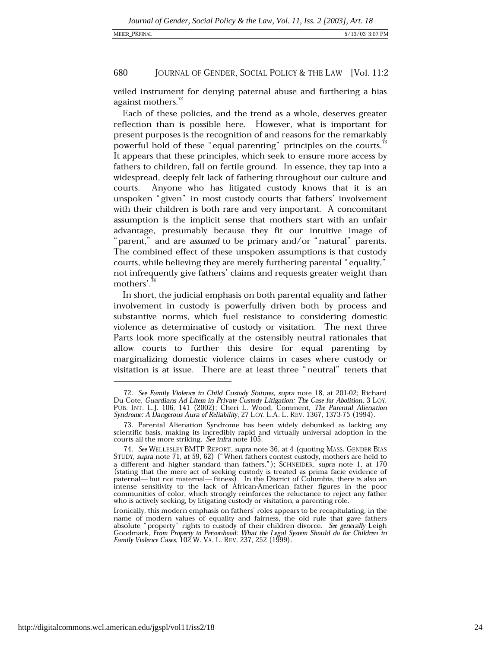veiled instrument for denying paternal abuse and furthering a bias against mothers.<sup>12</sup>

Each of these policies, and the trend as a whole, deserves greater reflection than is possible here. However, what is important for present purposes is the recognition of and reasons for the remarkably powerful hold of these "equal parenting" principles on the courts. It appears that these principles, which seek to ensure more access by fathers to children, fall on fertile ground. In essence, they tap into a widespread, deeply felt lack of fathering throughout our culture and Anyone who has litigated custody knows that it is an courts. unspoken "given" in most custody courts that fathers' involvement with their children is both rare and very important. A concomitant assumption is the implicit sense that mothers start with an unfair advantage, presumably because they fit our intuitive image of "parent," and are assumed to be primary and/or "natural" parents. The combined effect of these unspoken assumptions is that custody courts, while believing they are merely furthering parental "equality," not infrequently give fathers' claims and requests greater weight than mothers'.<sup>74</sup>

In short, the judicial emphasis on both parental equality and father involvement in custody is powerfully driven both by process and substantive norms, which fuel resistance to considering domestic violence as determinative of custody or visitation. The next three Parts look more specifically at the ostensibly neutral rationales that allow courts to further this desire for equal parenting by marginalizing domestic violence claims in cases where custody or visitation is at issue. There are at least three "neutral" tenets that

<sup>72.</sup> See Family Violence in Child Custody Statutes, supra note 18, at 201-02; Richard Du Cote, Guardians Ad Litem in Private Custody Litigation: The Case for Abolition, 3 LOY. PUB. INT. L.J. 106, 141 (2002); Cheri L. Wood, Comment, The Parental Alienation Syndrome: A Dangerous Aura of Reliability, 27 LOY. L.A. L. REV. 1367, 1373-75 (1994).

<sup>73.</sup> Parental Alienation Syndrome has been widely debunked as lacking any scientific basis, making its incredibly rapid and virtually universal adoption in the courts all the more striking. See infra note 105.

<sup>74.</sup> See WELLESLEY BMTP REPORT, supra note 36, at 4 (quoting MASS, GENDER BIAS STUDY, supra note 71, at 59, 62) ("When fathers contest custody, mothers are held to a different and higher standard than fathers."); SCHNEIDER, supra note 1, at 170 (stating that the mere act of seeking custody is treated as prima facie evidence of paternal— but not maternal— fitness). In the District of Columbia, there is also an intense sensitivity to the lack of African-American father figures in the poor communities of color, which strongly reinforces the reluctance to reject any father who is actively seeking, by litigating custody or visitation, a parenting role.

Ironically, this modern emphasis on fathers' roles appears to be recapitulating, in the name of modern values of equality and fairness, the old rule that gave fathers absolute "property" rights to custody of their children divorce. See generally Leigh Goodmark, From Property to Personhood: What the Legal System Should do for Children in Family Violence Cases, 102 W. VA. L. REV. 237, 252 (1999).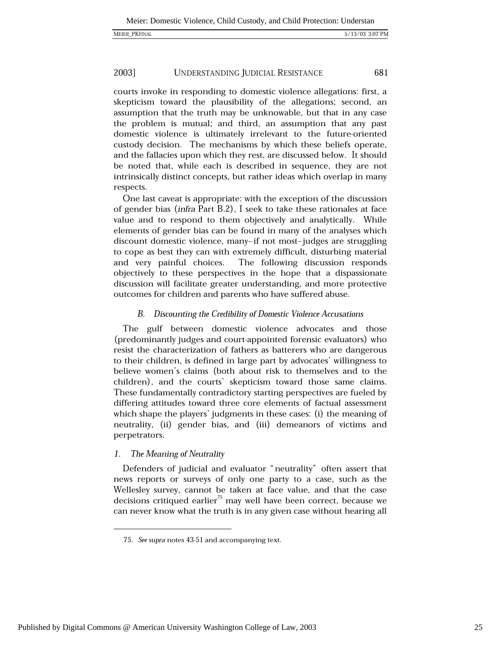courts invoke in responding to domestic violence allegations: first, a skepticism toward the plausibility of the allegations; second, an assumption that the truth may be unknowable, but that in any case the problem is mutual; and third, an assumption that any past domestic violence is ultimately irrelevant to the future-oriented custody decision. The mechanisms by which these beliefs operate, and the fallacies upon which they rest, are discussed below. It should be noted that, while each is described in sequence, they are not intrinsically distinct concepts, but rather ideas which overlap in many respects.

One last caveat is appropriate: with the exception of the discussion of gender bias (infra Part B.2), I seek to take these rationales at face value and to respond to them objectively and analytically. While elements of gender bias can be found in many of the analyses which discount domestic violence, many-if not most-judges are struggling to cope as best they can with extremely difficult, disturbing material The following discussion responds and very painful choices. objectively to these perspectives in the hope that a dispassionate discussion will facilitate greater understanding, and more protective outcomes for children and parents who have suffered abuse.

### B. Discounting the Credibility of Domestic Violence Accusations

The gulf between domestic violence advocates and those (predominantly judges and court-appointed forensic evaluators) who resist the characterization of fathers as batterers who are dangerous to their children, is defined in large part by advocates' willingness to believe women's claims (both about risk to themselves and to the children), and the courts' skepticism toward those same claims. These fundamentally contradictory starting perspectives are fueled by differing attitudes toward three core elements of factual assessment which shape the players' judgments in these cases: (i) the meaning of neutrality, (ii) gender bias, and (iii) demeanors of victims and perpetrators.

### $\mathbf{1}$ . The Meaning of Neutrality

Defenders of judicial and evaluator "neutrality" often assert that news reports or surveys of only one party to a case, such as the Wellesley survey, cannot be taken at face value, and that the case decisions critiqued earlier<sup>75</sup> may well have been correct, because we can never know what the truth is in any given case without hearing all

<sup>75.</sup> See supra notes 43-51 and accompanying text.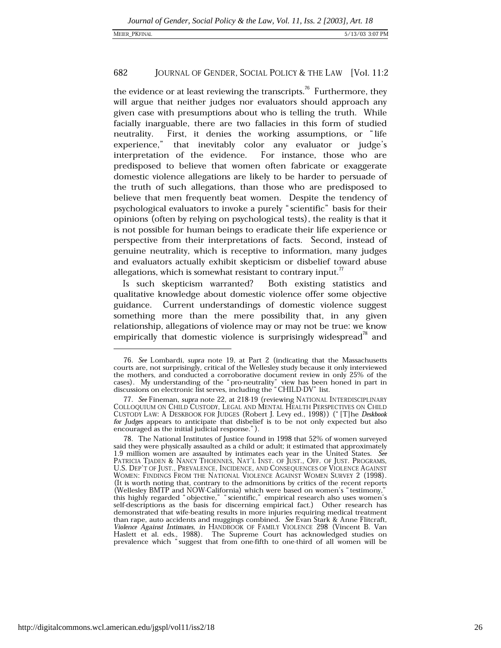the evidence or at least reviewing the transcripts.<sup>76</sup> Furthermore, they will argue that neither judges nor evaluators should approach any given case with presumptions about who is telling the truth. While facially inarguable, there are two fallacies in this form of studied First, it denies the working assumptions, or "life neutrality. experience." that inevitably color any evaluator or judge's interpretation of the evidence. For instance, those who are predisposed to believe that women often fabricate or exaggerate domestic violence allegations are likely to be harder to persuade of the truth of such allegations, than those who are predisposed to believe that men frequently beat women. Despite the tendency of psychological evaluators to invoke a purely "scientific" basis for their opinions (often by relying on psychological tests), the reality is that it is not possible for human beings to eradicate their life experience or perspective from their interpretations of facts. Second, instead of genuine neutrality, which is receptive to information, many judges and evaluators actually exhibit skepticism or disbelief toward abuse allegations, which is somewhat resistant to contrary input. $\mathbf{u}$ 

Is such skepticism warranted? Both existing statistics and qualitative knowledge about domestic violence offer some objective guidance. Current understandings of domestic violence suggest something more than the mere possibility that, in any given relationship, allegations of violence may or may not be true: we know empirically that domestic violence is surprisingly widespread<sup>18</sup> and

<sup>76.</sup> See Lombardi, supra note 19, at Part 2 (indicating that the Massachusetts courts are, not surprisingly, critical of the Wellesley study because it only interviewed the mothers, and conducted a corroborative document review in only 25% of the cases). My understanding of the "pro-neutrality" view has been honed in part in discussions on electronic list serves, including the "CHILD-DV" list.

<sup>77.</sup> See Fineman, supra note 22, at 218-19 (reviewing NATIONAL INTERDISCIPLINARY COLLOQUIUM ON CHILD CUSTODY, LEGAL AND MENTAL HEALTH PERSPECTIVES ON CHILD CUSTODY LAW: A DESKBOOK FOR JUDGES (Robert J. Levy ed., 1998)) ("[T]he Deskbook for Judges appears to anticipate that disbelief is to be not only expected but also encouraged as the initial judicial response.").

<sup>78.</sup> The National Institutes of Justice found in 1998 that 52% of women surveyed said they were physically assaulted as a child or adult; it estimated that approximately 1.9 million women are assaulted by intimates each year in the United States. See PATRICIA TJADEN & NANCY THOENNES, NAT'L INST. OF JUST., OFF. OF JUST. PROGRAMS, U.S. DEP'T OF JUST., PREVALENCE, INCIDENCE, AND CONSEQUENCES OF VIOLENCE AGAINST WOMEN: FINDINGS FROM THE NATIONAL VIOLENCE AGAINST WOMEN SURVEY 2 (1998). (It is worth noting that, contrary to the admonitions by critics of the recent reports (Wellesley BMTP and NOW-California) which were based on women's "testimony," this highly regarded "objective," "scientific," empirical research also uses women's self-descriptions as the basis for discerning empirical fact.) Other research has demonstrated that wife-beating results in more injuries requiring medical treatment than rape, auto accidents and muggings combined. See Evan Stark & Anne Flitcraft, Violence Against Intimates, in HANDBOOK OF FAMILY VIOLENCE 298 (Vincent B. Van Haslett et al. eds., 1988). The Supreme Court has acknowledged studies on prevalence which "suggest that from one-fifth to one-third of all women will be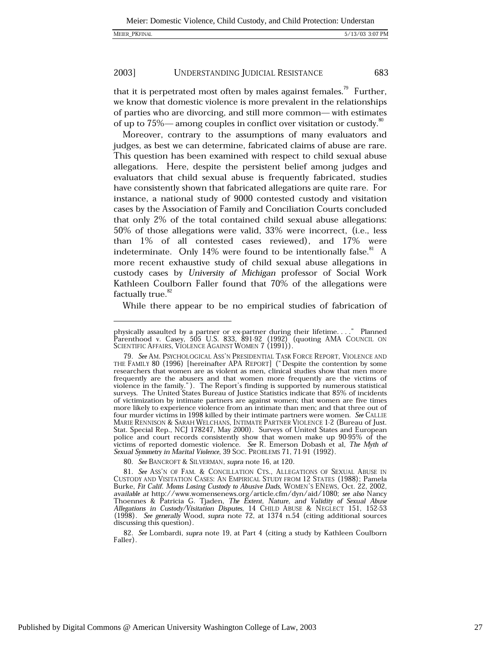that it is perpetrated most often by males against females.<sup> $\frac{1}{3}$ </sup> Further, we know that domestic violence is more prevalent in the relationships of parties who are divorcing, and still more common—with estimates of up to  $75\%$ — among couples in conflict over visitation or custody.<sup>80</sup>

Moreover, contrary to the assumptions of many evaluators and judges, as best we can determine, fabricated claims of abuse are rare. This question has been examined with respect to child sexual abuse allegations. Here, despite the persistent belief among judges and evaluators that child sexual abuse is frequently fabricated, studies have consistently shown that fabricated allegations are quite rare. For instance, a national study of 9000 contested custody and visitation cases by the Association of Family and Conciliation Courts concluded that only 2% of the total contained child sexual abuse allegations: 50% of those allegations were valid, 33% were incorrect, (i.e., less than 1% of all contested cases reviewed), and 17% were indeterminate. Only 14% were found to be intentionally false.<sup>81</sup> A more recent exhaustive study of child sexual abuse allegations in custody cases by University of Michigan professor of Social Work Kathleen Coulborn Faller found that 70% of the allegations were factually true.<sup>82</sup>

While there appear to be no empirical studies of fabrication of

80. See BANCROFT & SILVERMAN, supra note 16, at 120.

82. See Lombardi, supra note 19, at Part 4 (citing a study by Kathleen Coulborn Faller).

physically assaulted by a partner or ex-partner during their lifetime...." Planned<br>Parenthood v. Casey, 505 U.S. 833, 891-92 (1992) (quoting AMA COUNCIL ON ." Planned SCIENTIFIC AFFAIRS, VIOLENCE AGAINST WOMEN 7 (1991).

<sup>79.</sup> See AM. PSYCHOLOGICAL ASS'N PRESIDENTIAL TASK FORCE REPORT, VIOLENCE AND THE FAMILY 80 (1996) [hereinafter APA REPORT] ("Despite the contention by some researchers that women are as violent as men, clinical studies show that men more frequently are the abusers and that women more frequently are the victims of violence in the family."). The Report's finding is supported by numerous statistical surveys. The United States Bureau of Justice Statistics indicate that 85% of incidents of victimization by intimate partners are against women; that women are five times more likely to experience violence from an intimate than men; and that three out of four murder victims in 1998 killed by their intimate partners were women. See CALLIE MARIE RENNISON & SARAH WELCHANS, INTIMATE PARTNER VIOLENCE 1-2 (Bureau of Just. Stat. Special Rep., NCJ 178247, May 2000). Surveys of United States and European police and court records consistently show that women make up 90-95% of the victims of reported domestic violence. See R. Emerson Dobash et al, The Myth of Sexual Symmetry in Marital Violence, 39 SOC. PROBLEMS 71, 71-91 (1992).

<sup>81.</sup> See ASS'N OF FAM. & CONCILLATION CTS., ALLEGATIONS OF SEXUAL ABUSE IN CUSTODY AND VISITATION CASES: AN EMPIRICAL STUDY FROM 12 STATES (1988); Pamela Burke, Fit Calif. Moms Losing Custody to Abusive Dads, WOMEN'S ENEWS, Oct. 22, 2002, available at http://www.womensenews.org/article.cfm/dyn/aid/1080; see also Nancy Thoennes & Patricia G. Tjaden, The Extent, Nature, and Validity of Sexual Abuse Allegations in Custody/Visitation Disputes, 14 CHILD ABUSE & NEGLECT 151, 152-53  $(1998)$ . See generally Wood, supra note 72, at 1374 n.54 (citing additional sources discussing this question).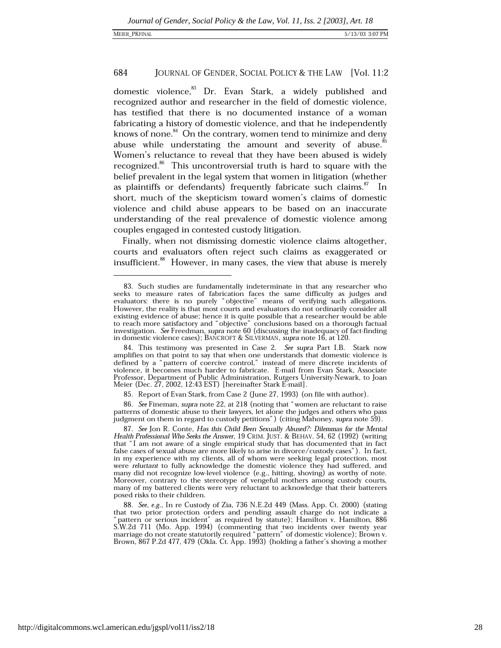domestic violence,<sup>83</sup> Dr. Evan Stark, a widely published and recognized author and researcher in the field of domestic violence, has testified that there is no documented instance of a woman fabricating a history of domestic violence, and that he independently knows of none.<sup>84</sup> On the contrary, women tend to minimize and deny abuse while understating the amount and severity of abuse.<sup>85</sup> Women's reluctance to reveal that they have been abused is widely recognized.<sup>86</sup> This uncontroversial truth is hard to square with the belief prevalent in the legal system that women in litigation (whether as plaintiffs or defendants) frequently fabricate such claims.<sup>87</sup> In short, much of the skepticism toward women's claims of domestic violence and child abuse appears to be based on an inaccurate understanding of the real prevalence of domestic violence among couples engaged in contested custody litigation.

Finally, when not dismissing domestic violence claims altogether, courts and evaluators often reject such claims as exaggerated or insufficient.<sup>88</sup> However, in many cases, the view that abuse is merely

85. Report of Evan Stark, from Case 2 (June 27, 1993) (on file with author).

86. See Fineman, supra note 22, at 218 (noting that "women are reluctant to raise patterns of domestic abuse to their lawyers, let alone the judges and others who pass judgment on them in regard to custody petitions") (citing Mahoney, supra note 59).

87. See Jon R. Conte, Has this Child Been Sexually Abused?: Dilemmas for the Mental Health Professional Who Seeks the Answer, 19 CRIM. JUST. & BEHAV. 54, 62 (1992) (writing that "I am not aware of a single empirical study that has documented that in fact false cases of sexual abuse are more likely to arise in divorce/custody cases"). In fact, in my experience with my clients, all of whom were seeking legal protection, most were reluctant to fully acknowledge the domestic violence they had suffered, and many did not recognize low-level violence (e.g., hitting, shoving) as worthy of note. Moreover, contrary to the stereotype of vengeful mothers among custody courts, many of my battered clients were very reluctant to acknowledge that their batterers posed risks to their children.

88. See, e.g., In re Custody of Zia, 736 N.E.2d 449 (Mass. App. Ct. 2000) (stating that two prior protection orders and pending assault charge do not indicate a pattern or serious incident" as required by statute); Hamilton v. Hamilton, 886 S.W.2d 711 (Mo. App. 1994) (commenting that two incidents over twenty year marriage do not create statutorily required "pattern" of domestic violence); Brown v.<br>Brown, 867 P.2d 477, 479 (Okla. Ct. App. 1993) (holding a father's shoving a mother

<sup>83.</sup> Such studies are fundamentally indeterminate in that any researcher who seeks to measure rates of fabrication faces the same difficulty as judges and evaluators: there is no purely "objective" means of verifying such allegations.<br>However, the reality is that most courts and evaluators do not ordinarily consider all existing evidence of abuse; hence it is quite possible that a researcher would be able to reach more satisfactory and "objective" conclusions based on a thorough factual<br>investigation. See Freedman, supra note 60 (discussing the inadequacy of fact-finding in domestic violence cases); BANCROFT & SILVERMAN, supra note 16, at 120.

<sup>84.</sup> This testimony was presented in Case 2. See supra Part I.B. Stark now amplifies on that point to say that when one understands that domestic violence is<br>defined by a "pattern of coercive control," instead of mere discrete incidents of<br>violence, it becomes much harder to fabricate. E-mail fro Professor, Department of Public Administration, Rutgers University-Newark, to Joan Meier (Dec. 27, 2002, 12:43 EST) [hereinafter Stark E-mail].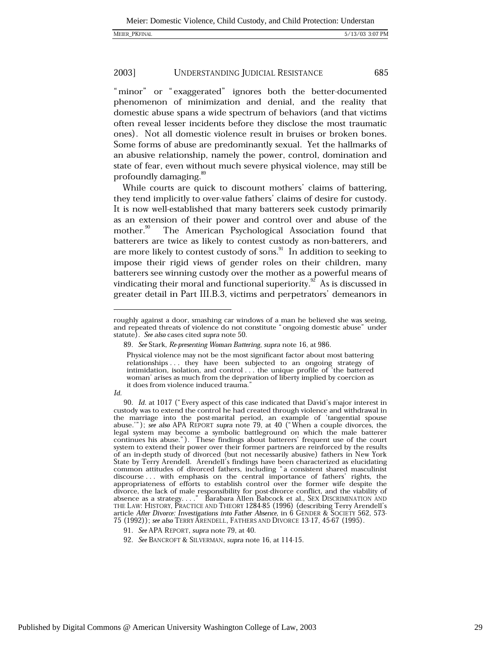685

#### 2003] UNDERSTANDING JUDICIAL RESISTANCE

"minor" or "exaggerated" ignores both the better-documented phenomenon of minimization and denial, and the reality that domestic abuse spans a wide spectrum of behaviors (and that victims often reveal lesser incidents before they disclose the most traumatic ones). Not all domestic violence result in bruises or broken bones. Some forms of abuse are predominantly sexual. Yet the hallmarks of an abusive relationship, namely the power, control, domination and state of fear, even without much severe physical violence, may still be profoundly damaging.<sup>89</sup>

While courts are quick to discount mothers' claims of battering, they tend implicitly to over-value fathers' claims of desire for custody. It is now well-established that many batterers seek custody primarily as an extension of their power and control over and abuse of the mother.<sup>90</sup> The American Psychological Association found that batterers are twice as likely to contest custody as non-batterers, and are more likely to contest custody of sons.<sup>91</sup> In addition to seeking to impose their rigid views of gender roles on their children, many batterers see winning custody over the mother as a powerful means of vindicating their moral and functional superiority.<sup>92</sup> As is discussed in greater detail in Part III.B.3, victims and perpetrators' demeanors in

Id.

91. See APA REPORT, supra note 79, at 40.

92. See BANCROFT & SILVERMAN, supra note 16, at 114-15.

roughly against a door, smashing car windows of a man he believed she was seeing, and repeated threats of violence do not constitute "ongoing domestic abuse" under statute). See also cases cited supra note 50.

<sup>89.</sup> See Stark, Re-presenting Woman Battering, supra note 16, at 986.

Physical violence may not be the most significant factor about most battering relationships ... they have been subjected to an ongoing strategy of intimidation, isolation, and control ... the unique profile of 'the battered woman' arises as much from the deprivation of liberty implied by coercion as it does from violence induced trauma."

<sup>90.</sup> Id. at 1017 ("Every aspect of this case indicated that David's major interest in custody was to extend the control he had created through violence and withdrawal in the marriage into the post-marital period, an example of 'tangential spouse abuse."); see also APA REPORT supra note 79, at 40 ("When a couple divorces, the legal system may become a symbolic battleground on which the male batterer continues his abuse."). These findings about batterers' frequent use of the court system to extend their power over their former partners are reinforced by the results of an in-depth study of divorced (but not necessarily abusive) fathers in New York State by Terry Arendell. Arendell's findings have been characterized as elucidating common attitudes of divorced fathers, including "a consistent shared masculinist discourse ... with emphasis on the central importance of fathers' rights, the appropriateness of efforts to establish control over the former wife despite the appropriate the lack of male responsibility for post-divorce conflict, and the viability of divorce, the lack of male responsibility for post-divorce conflict, and the viability of absence as a strategy...." Barabara Allen 75 (1992)); see also TERRY ARENDELL, FATHERS AND DIVORCE 13-17, 45-67 (1995).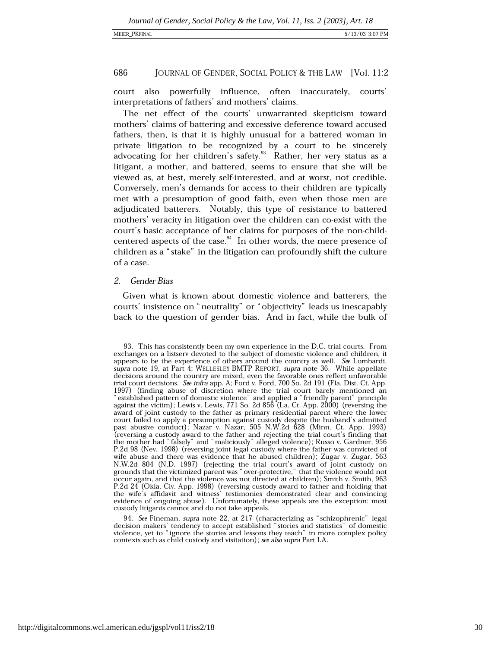court also powerfully influence, often inaccurately, courts' interpretations of fathers' and mothers' claims.

The net effect of the courts' unwarranted skepticism toward mothers' claims of battering and excessive deference toward accused fathers, then, is that it is highly unusual for a battered woman in private litigation to be recognized by a court to be sincerely advocating for her children's safety.<sup>33</sup> Rather, her very status as a litigant, a mother, and battered, seems to ensure that she will be viewed as, at best, merely self-interested, and at worst, not credible. Conversely, men's demands for access to their children are typically met with a presumption of good faith, even when those men are adjudicated batterers. Notably, this type of resistance to battered mothers' veracity in litigation over the children can co-exist with the court's basic acceptance of her claims for purposes of the non-childcentered aspects of the case.<sup>94</sup> In other words, the mere presence of children as a "stake" in the litigation can profoundly shift the culture of a case.

### **Gender Bias**  $2.$

Given what is known about domestic violence and batterers, the courts' insistence on "neutrality" or "objectivity" leads us inescapably back to the question of gender bias. And in fact, while the bulk of

<sup>93.</sup> This has consistently been my own experience in the D.C. trial courts. From exchanges on a listserv devoted to the subject of domestic violence and children, it appears to be the experience of others around the country as well. See Lombardi, supra note 19, at Part 4; WELLESLEY BMTP REPORT, supra note 36. While appellate decisions around the country are mixed, even the favorable ones reflect unfavorable trial court decisions. See infra app. A; Ford v. Ford, 700 So. 2d 191 (Fla. Dist. Ct. App. 1997) (finding abuse of discretion where the trial court barely mentioned an " established pattern of domestic violence" and applied a "friendly parent" principle against the victim); Lewis v. Lewis, 771 So. 2d 856 (La. Ct. App. 2000) (reversing the award of joint custody to the father as primary residential parent where the lower court failed to apply a presumption against custody despite the husband's admitted past abusive conduct); Nazar v. Nazar, 505 N.W.2d 628 (Minn. Ct. App. 1993) (reversing a custody award to the father and rejecting the trial court's finding that the mother had "falsely" and "maliciously" alleged violence); Russo v. Gardner, 956 P.2d 98 (Nev. 1998) (reversing joint legal custody where the father was convicted of wife abuse and there was evidence that he abused children); Zugar v. Zugar, 563 N.W.2d 804 (N.D. 1997) (rejecting the trial court's award of joint custody on<br>grounds that the victimized parent was "over-protective," that the violence would not occur again, and that the violence was not directed at children); Smith v. Smith, 963 P.2d 24 (Okla. Civ. App. 1998) (reversing custody award to father and holding that the wife's affidavit and witness' testimonies demonstrated clear and convincing evidence of ongoing abuse). Unfortunately, these appeals are the exception: most custody litigants cannot and do not take appeals.

<sup>94.</sup> See Fineman, supra note 22, at 217 (characterizing as "schizophrenic" legal decision makers' tendency to accept established "stories and statistics" of domestic violence, yet to "ignore the stories and lessons they teach" in more complex policy contexts such as child custody and visitation); see also supra Part I.A.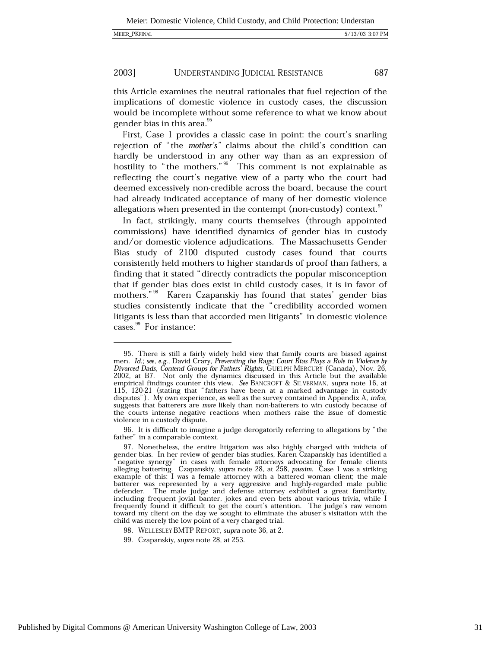687

#### 2003] UNDERSTANDING JUDICIAL RESISTANCE

this Article examines the neutral rationales that fuel rejection of the implications of domestic violence in custody cases, the discussion would be incomplete without some reference to what we know about gender bias in this area.<sup>95</sup>

First, Case 1 provides a classic case in point: the court's snarling rejection of "the mother's" claims about the child's condition can hardly be understood in any other way than as an expression of hostility to "the mothers." This comment is not explainable as reflecting the court's negative view of a party who the court had deemed excessively non-credible across the board, because the court had already indicated acceptance of many of her domestic violence allegations when presented in the contempt (non-custody) context.<sup>97</sup>

In fact, strikingly, many courts themselves (through appointed commissions) have identified dynamics of gender bias in custody and/or domestic violence adjudications. The Massachusetts Gender Bias study of 2100 disputed custody cases found that courts consistently held mothers to higher standards of proof than fathers, a finding that it stated "directly contradicts the popular misconception that if gender bias does exist in child custody cases, it is in favor of mothers."<sup>98</sup> Karen Czapanskiy has found that states' gender bias studies consistently indicate that the "credibility accorded women litigants is less than that accorded men litigants" in domestic violence cases.<sup>99</sup> For instance:

96. It is difficult to imagine a judge derogatorily referring to allegations by "the father" in a comparable context.

<sup>95.</sup> There is still a fairly widely held view that family courts are biased against men. Id.; see, e.g., David Crary, Preventing the Rage; Court Bias Plays a Role in Violence by Divorced Dads, Contend Groups for Fathers' Rights, GUELPH MERCURY (Canada), Nov. 26, 2002, at B7. Not only the dynamics discussed in this Article but the available empirical findings counter this view. See BANCROFT & SILVERMAN, supra note 16, at 115, 120-21 (stating that "fathers have been at a marked advantage in custody disputes"). My own experience, as well as the survey contained in Appendix A, *infra*, suggests that batterers are more likely than non-batterers to win custody because of the courts intense negative reactions when mothers raise the issue of domestic violence in a custody dispute.

<sup>97.</sup> Nonetheless, the entire litigation was also highly charged with inidicia of gender bias. In her review of gender bias studies, Karen Czapanskiy has identified a "negative synergy" in cases with female attorneys advocating for female clients alleging battering. Czapanskiy, supra note 28, at 258, passim. Case 1 was a striking example of this: I was a female attorney with a battered woman client; the male batterer was represented by a very aggressive and highly-regarded male public defender. The male judge and defense attorney exhibited a great familiarity, including frequent jovial banter, jokes and even bets about various trivia, while I frequently found it difficult to get the court's attention. The judge's raw venom toward my client on the day we sought to eliminate the abuser's visitation with the child was merely the low point of a very charged trial.

<sup>98.</sup> WELLESLEY BMTP REPORT, supra note 36, at 2.

<sup>99.</sup> Czapanskiy, supra note 28, at 253.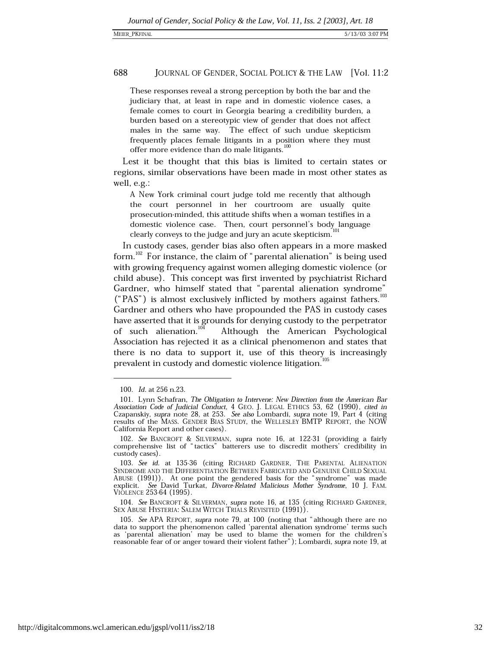These responses reveal a strong perception by both the bar and the judiciary that, at least in rape and in domestic violence cases, a female comes to court in Georgia bearing a credibility burden, a burden based on a stereotypic view of gender that does not affect males in the same way. The effect of such undue skepticism frequently places female litigants in a position where they must offer more evidence than do male litigants.<sup>100</sup>

Lest it be thought that this bias is limited to certain states or regions, similar observations have been made in most other states as well, e.g.:

A New York criminal court judge told me recently that although the court personnel in her courtroom are usually quite prosecution-minded, this attitude shifts when a woman testifies in a domestic violence case. Then, court personnel's body language clearly conveys to the judge and jury an acute skepticism.

In custody cases, gender bias also often appears in a more masked form.<sup>102</sup> For instance, the claim of "parental alienation" is being used with growing frequency against women alleging domestic violence (or child abuse). This concept was first invented by psychiatrist Richard Gardner, who himself stated that "parental alienation syndrome" ("PAS") is almost exclusively inflicted by mothers against fathers.<sup>103</sup> Gardner and others who have propounded the PAS in custody cases have asserted that it is grounds for denying custody to the perpetrator of such alienation.<sup>104</sup> Although the American Psychological Association has rejected it as a clinical phenomenon and states that there is no data to support it, use of this theory is increasingly prevalent in custody and domestic violence litigation.<sup>105</sup>

<sup>100.</sup> Id. at 256 n.23.

<sup>101.</sup> Lynn Schafran, The Obligation to Intervene: New Direction from the American Bar Association Code of Judicial Conduct, 4 GEO. J. LEGAL ETHICS 53, 62 (1990), cited in Czapanskiy, supra note 28, at 253. See also Lombardi, supra note 19, Part 4 (citing results of the MASS. GENDER BIAS STUDY, the WELLESLEY California Report and other cases).

<sup>102.</sup> See BANCROFT & SILVERMAN, supra note 16, at 122-31 (providing a fairly comprehensive list of "tactics" batterers use to discredit mothers' credibility in custody cases).

<sup>103.</sup> See id. at 135-36 (citing RICHARD GARDNER, THE PARENTAL ALIENATION SYNDROME AND THE DIFFERENTIATION BETWEEN FABRICATED AND GENUINE CHILD SEXUAL ABUSE (1991)). At one point the gendered basis for the "syndrome" was made explicit. See David Turkat, Divorce-Related Malicious Mother Syndrome, 10 J. FAM. VIOLENCE 253-64 (1995).

<sup>104.</sup> See BANCROFT & SILVERMAN, supra note 16, at 135 (citing RICHARD GARDNER, SEX ABUSE HYSTERIA: SALEM WITCH TRIALS REVISITED (1991)).

<sup>105.</sup> See APA REPORT, supra note 79, at 100 (noting that "although there are no data to support the phenomenon called 'parental alienation syndrome' terms such as 'parental alienation' may be used to blame the women for the children's reasonable fear of or anger toward their violent father"); Lombardi, supra note 19, at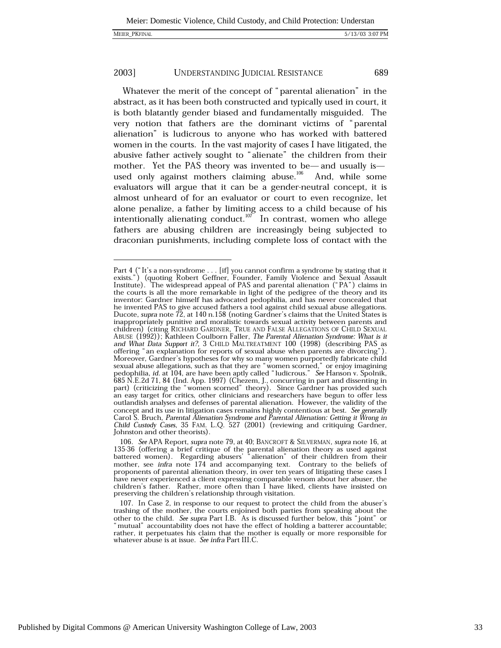689

Whatever the merit of the concept of "parental alienation" in the abstract, as it has been both constructed and typically used in court, it is both blatantly gender biased and fundamentally misguided. The very notion that fathers are the dominant victims of "parental alienation" is ludicrous to anyone who has worked with battered women in the courts. In the vast majority of cases I have litigated, the abusive father actively sought to "alienate" the children from their mother. Yet the PAS theory was invented to be—and usually is used only against mothers claiming abuse.<sup>106</sup> And, while some evaluators will argue that it can be a gender-neutral concept, it is almost unheard of for an evaluator or court to even recognize, let alone penalize, a father by limiting access to a child because of his intentionally alienating conduct.<sup>107</sup> In contrast, women who allege fathers are abusing children are increasingly being subjected to draconian punishments, including complete loss of contact with the

Part 4 ("It's a non-syndrome . . . [if] you cannot confirm a syndrome by stating that it exists.") (quoting Robert Geffner, Founder, Family Violence and Sexual Assault Institute). The widespread appeal of PAS and parental the courts is all the more remarkable in light of the pedigree of the theory and its inventor: Gardner himself has advocated pedophilia, and has never concealed that he invented PAS to give accused fathers a tool against child sexual abuse allegations.<br>Ducote, supra note 72, at 140 n.158 (noting Gardner's claims that the United States is inappropriately punitive and moralistic towards sexual activity between parents and nappropriately paintive and information (citing RICHARD GARDNER, TRUE AND FALSE ALLEGATIONS OF CHILD SEXUAL<br>ABUSE (1992)); Kathleen Coulborn Faller, *The Parental Alienation Syndrome: What is it*<br>and *What Data Support it?* offering "an explanation for reports of sexual abuse when parents are divorcing"). Moreover, Gardner's hypotheses for why so many women purportedly fabricate child sexual abuse allegations, such as that they are "women scorned," or enjoy imagining bedophilia, *id.* at 104, are have been aptly called "ludicrous." See Hanson v. Spolnik, 685 N.E.2d 71, 84 (Ind. App. 1997) (Chezem, J., concurring in part and dissenting in part) (criticizing the "women scorned" theory). outlandish analyses and defenses of parental alienation. However, the validity of the concept and its use in litigation cases remains highly contentious at best. See generally Carol S. Bruch, Parental Alienation Syndrome and Parental Alienation: Getting it Wrong in Child Custody Cases, 35 FAM. L.Q. 527 (2001) (reviewing and critiquing Gardner, Johnston and other theorists).

<sup>106.</sup> See APA Report, supra note 79, at 40; BANCROFT & SILVERMAN, supra note 16, at 135-36 (offering a brief critique of the parental alienation theory as used against<br>battered women). Regarding abusers' "alienation" of their children from their mother, see infra note 174 and accompanying text. Contrary to the beliefs of proponents of parental alienation theory, in over ten years of litigating these cases I have never experienced a client expressing comparable venom about her abuser, the children's father. Rather, more often than I have liked, clients have insisted on preserving the children's relationship through visitation.

<sup>107.</sup> In Case 2, in response to our request to protect the child from the abuser's trashing of the mother, the courts enjoined both parties from speaking about the other to the child. See supra Part I.B. As is discussed further below, this "joint" or "mutual" accountability does not have the effect of holding a batterer accountable; rather, it perpetuates his claim that the mother is equally or more responsible for whatever abuse is at issue. See infra Part III.C.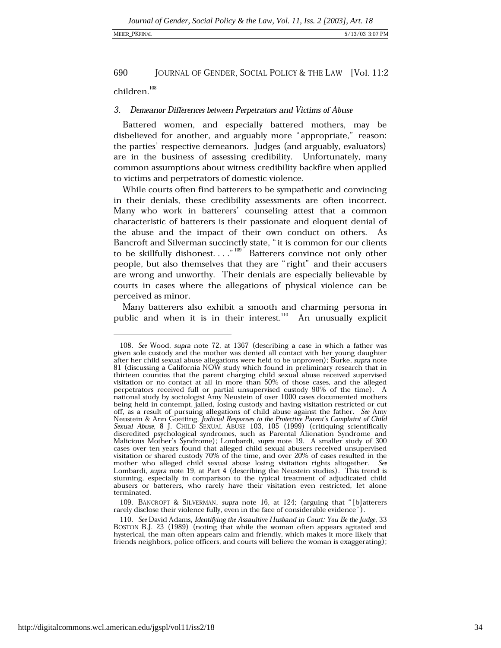### MEIER PKFINAL

### 690 JOURNAL OF GENDER, SOCIAL POLICY & THE LAW [Vol. 11:2

children.<sup>108</sup>

### Demeanor Differences between Perpetrators and Victims of Abuse 3.

Battered women, and especially battered mothers, may be disbelieved for another, and arguably more "appropriate," reason: the parties' respective demeanors. Judges (and arguably, evaluators) are in the business of assessing credibility. Unfortunately, many common assumptions about witness credibility backfire when applied to victims and perpetrators of domestic violence.

While courts often find batterers to be sympathetic and convincing in their denials, these credibility assessments are often incorrect. Many who work in batterers' counseling attest that a common characteristic of batterers is their passionate and eloquent denial of the abuse and the impact of their own conduct on others. As Bancroft and Silverman succinctly state, "it is common for our clients to be skillfully dishonest...."<sup>109</sup> Batterers convince not only other people, but also themselves that they are "right" and their accusers are wrong and unworthy. Their denials are especially believable by courts in cases where the allegations of physical violence can be perceived as minor.

Many batterers also exhibit a smooth and charming persona in public and when it is in their interest.<sup>110</sup> An unusually explicit

109. BANCROFT & SILVERMAN, supra note 16, at 124; (arguing that "[b] atterers rarely disclose their violence fully, even in the face of considerable evidence").

<sup>108.</sup> See Wood, supra note 72, at 1367 (describing a case in which a father was given sole custody and the mother was denied all contact with her young daughter after her child sexual abuse allegations were held to be unproven); Burke, supra note 81 (discussing a California NOW study which found in preliminary research that in thirteen counties that the parent charging child sexual abuse received supervised visitation or no contact at all in more than 50% of those cases, and the alleged perpetrators received full or partial unsupervised custody 90% of the time). A national study by sociologist Amy Neustein of over 1000 cases documented mothers being held in contempt, jailed, losing custody and having visitation restricted or cut off, as a result of pursuing allegations of child abuse against the father. See Amy Neustein & Ann Goetting, Judicial Responses to the Protective Parent's Complaint of Child<br>Sexual Abuse, 8 J. CHILD SEXUAL ABUSE 103, 105 (1999) (critiquing scientifically discredited psychological syndromes, such as Parental Alienation Syndrome and Malicious Mother's Syndrome); Lombardi, supra note 19. A smaller study of 300 cases over ten years found that alleged child sexual abusers received unsupervised visitation or shared custody 70% of the time, and over 20% of cases resulted in the mother who alleged child sexual abuse losing visitation rights altogether. See Lombardi, supra note 19, at Part 4 (describing the Neustein studies). This trend is stunning, especially in comparison to the typical treatment of adjudicated child abusers or batterers, who rarely have their visitation even restricted, let alone terminated.

<sup>110.</sup> See David Adams, Identifying the Assaultive Husband in Court: You Be the Judge, 33 BOSTON B.J. 23 (1989) (noting that while the woman often appears agitated and hysterical, the man often appears calm and friendly, which makes it more likely that friends neighbors, police officers, and courts will believe the woman is exaggerating);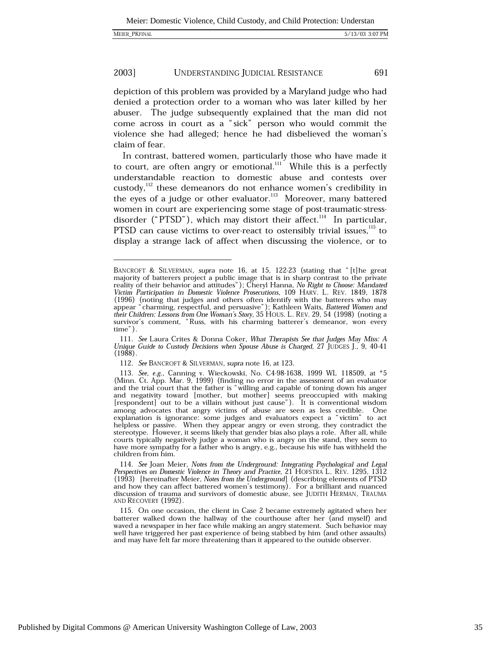depiction of this problem was provided by a Maryland judge who had denied a protection order to a woman who was later killed by her abuser. The judge subsequently explained that the man did not come across in court as a "sick" person who would commit the violence she had alleged; hence he had disbelieved the woman's claim of fear.

In contrast, battered women, particularly those who have made it to court, are often angry or emotional.<sup>111</sup> While this is a perfectly understandable reaction to domestic abuse and contests over custody,<sup>112</sup> these demeanors do not enhance women's credibility in the eyes of a judge or other evaluator.<sup>113</sup> Moreover, many battered women in court are experiencing some stage of post-traumatic-stressdisorder ("PTSD"), which may distort their affect.<sup>114</sup> In particular, PTSD can cause victims to over-react to ostensibly trivial issues.<sup>115</sup> to display a strange lack of affect when discussing the violence, or to

BANCROFT & SILVERMAN, supra note 16, at 15, 122-23 (stating that "[t] he great majority of batterers project a public image that is in sharp contrast to the private reality of their behavior and attitudes"); Cheryl Hanna, No Right to Choose: Mandated Victim Participation in Domestic Violence Prosecutions, 109 HARV. L. REV. 1849, 1878 (1996) (noting that judges and others often identify with the batterers who may appear "charming, respectful, and persuasive"); Kathleen Waits, *Battered Women and their Children: Lessons from One Woman's Story*, 35 HOUS. survivor's comment, "Russ, with his charming batterer's demeanor, won every  $time$ ").

<sup>111.</sup> See Laura Crites & Donna Coker, What Therapists See that Judges May Miss: A Unique Guide to Custody Decisions when Spouse Abuse is Charged, 27 JUDGES J., 9, 40-41  $(1988)$ .

<sup>112.</sup> See BANCROFT & SILVERMAN, supra note 16, at 123.

<sup>113.</sup> See, e.g., Canning v. Wieckowski, No. C4-98-1638, 1999 WL 118509, at  $*5$  (Minn. Ct. App. Mar. 9, 1999) (finding no error in the assessment of an evaluator (William Ct. App. *war. 3, 1999)* (untuing no critical in the assessment of an example and the trial court that the father is "willing and capable of toning down his anger and negativity toward [mother, but mother] seems p [respondent] out to be a villain without just cause"). It is conventional wisdom among advocates that angry victims of abuse are seen as less credible. One explanation is ignorance: some judges and evaluators expect a "victim" to act helpless or passive. When they appear angry or even strong, they contradict the stereotype. However, it seems likely that gender bias also plays a role. After all, while courts typically negatively judge a woman who is angry on the stand, they seem to have more sympathy for a father who is angry, e.g., because his wife has withheld the children from him.

<sup>114.</sup> See Joan Meier, Notes from the Underground: Integrating Psychological and Legal Perspectives on Domestic Violence in Theory and Practice, 21 HOFSTRA L. REV. 1295, 1312 (1993) [hereinafter Meier, Notes from the Underground] (describing elements of PTSD and how they can affect battered women's testimony). For a brilliant and nuanced discussion of trauma and survivors of domestic abuse, see JUDITH HERMAN, TRAUMA AND RECOVERY (1992).

<sup>115.</sup> On one occasion, the client in Case 2 became extremely agitated when her batterer walked down the hallway of the courthouse after her (and myself) and waved a newspaper in her face while making an angry statement. Such behavior may well have triggered her past experience of being stabbed by him (and other assaults) and may have felt far more threatening than it appeared to the outside observer.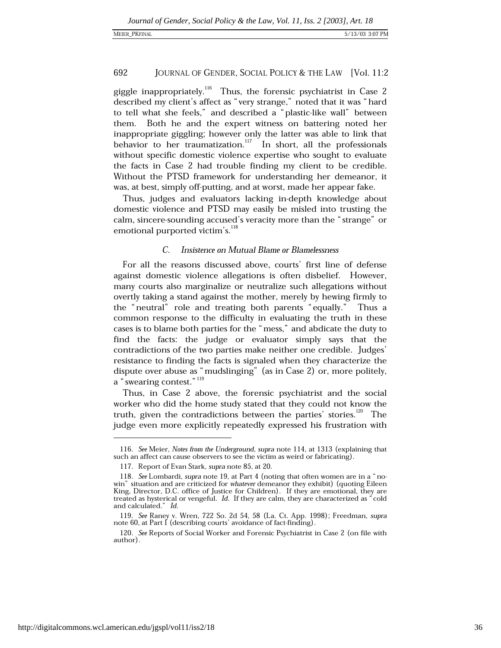giggle inappropriately.<sup>116</sup> Thus, the forensic psychiatrist in Case 2 described my client's affect as "very strange," noted that it was "hard to tell what she feels," and described a "plastic-like wall" between Both he and the expert witness on battering noted her them. inappropriate giggling; however only the latter was able to link that<br>behavior to her traumatization.<sup>117</sup> In short, all the professionals without specific domestic violence expertise who sought to evaluate the facts in Case 2 had trouble finding my client to be credible. Without the PTSD framework for understanding her demeanor, it was, at best, simply off-putting, and at worst, made her appear fake.

Thus, judges and evaluators lacking in-depth knowledge about domestic violence and PTSD may easily be misled into trusting the calm, sincere-sounding accused's veracity more than the "strange" or emotional purported victim's.<sup>118</sup>

#### $\mathcal{C}$ **Insistence on Mutual Blame or Blamelessness**

For all the reasons discussed above, courts' first line of defense against domestic violence allegations is often disbelief. However, many courts also marginalize or neutralize such allegations without overtly taking a stand against the mother, merely by hewing firmly to the "neutral" role and treating both parents "equally." Thus a common response to the difficulty in evaluating the truth in these cases is to blame both parties for the "mess," and abdicate the duty to find the facts: the judge or evaluator simply says that the contradictions of the two parties make neither one credible. Judges' resistance to finding the facts is signaled when they characterize the dispute over abuse as "mudslinging" (as in Case 2) or, more politely, a "swearing contest." 119

Thus, in Case 2 above, the forensic psychiatrist and the social worker who did the home study stated that they could not know the truth, given the contradictions between the parties' stories.<sup>120</sup> The judge even more explicitly repeatedly expressed his frustration with

<sup>116.</sup> See Meier, Notes from the Underground, supra note 114, at 1313 (explaining that such an affect can cause observers to see the victim as weird or fabricating).

<sup>117.</sup> Report of Evan Stark, supra note 85, at 20.

<sup>118.</sup> See Lombardi, supra note 19, at Part 4 (noting that often women are in a "nowin" situation and are criticized for *whatever* demeanor they exhibit) (quoting Eileen King, Director, D.C. office of Justice for Children). If they are emotional, they are treated as hysterical or vengeful. Id. If they are calm, they are characterized as "cold and calculated." Id.

<sup>119.</sup> See Raney v. Wren, 722 So. 2d 54, 58 (La. Ct. App. 1998); Freedman, supra note 60, at Part I (describing courts' avoidance of fact-finding).

<sup>120.</sup> See Reports of Social Worker and Forensic Psychiatrist in Case 2 (on file with author).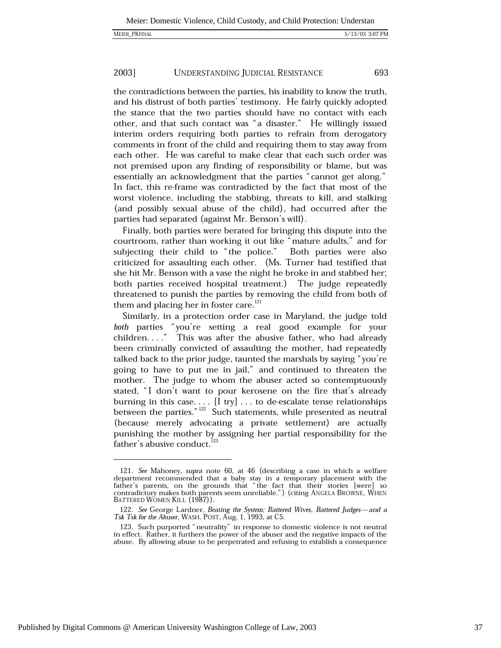693

#### 2003] UNDERSTANDING JUDICIAL RESISTANCE

the contradictions between the parties, his inability to know the truth, and his distrust of both parties' testimony. He fairly quickly adopted the stance that the two parties should have no contact with each other, and that such contact was "a disaster." He willingly issued interim orders requiring both parties to refrain from derogatory comments in front of the child and requiring them to stay away from each other. He was careful to make clear that each such order was not premised upon any finding of responsibility or blame, but was essentially an acknowledgment that the parties "cannot get along." In fact, this re-frame was contradicted by the fact that most of the worst violence, including the stabbing, threats to kill, and stalking (and possibly sexual abuse of the child), had occurred after the parties had separated (against Mr. Benson's will).

Finally, both parties were berated for bringing this dispute into the courtroom, rather than working it out like "mature adults," and for subjecting their child to "the police." Both parties were also criticized for assaulting each other. (Ms. Turner had testified that she hit Mr. Benson with a vase the night he broke in and stabbed her; both parties received hospital treatment.) The judge repeatedly threatened to punish the parties by removing the child from both of them and placing her in foster care.<sup>121</sup>

Similarly, in a protection order case in Maryland, the judge told both parties "you're setting a real good example for your children...." This was after the abusive father, who had already been criminally convicted of assaulting the mother, had repeatedly talked back to the prior judge, taunted the marshals by saying "you're going to have to put me in jail," and continued to threaten the mother. The judge to whom the abuser acted so contemptuously stated, "I don't want to pour kerosene on the fire that's already burning in this case....  $[I \text{ try}]$ ... to de-escalate tense relationships between the parties."<sup>122</sup> Such statements, while presented as neutral (because merely advocating a private settlement) are actually punishing the mother by assigning her partial responsibility for the father's abusive conduct.<sup>123</sup>

<sup>121.</sup> See Mahoney, supra note 60, at 46 (describing a case in which a welfare department recommended that a baby stay in a temporary placement with the father's parents, on the grounds that "the fact that their stories [were] so contradictory makes both parents seem unreliable.") (citing ANGELA BROWNE, WHEN BATTERED WOMEN KILL (1987)).

<sup>122.</sup> See George Lardner, Beating the System; Battered Wives, Battered Judges—and a Tsk Tsk for the Abuser, WASH. POST, Aug. 1, 1993, at C5.

<sup>123.</sup> Such purported "neutrality" in response to domestic violence is not neutral in effect. Rather, it furthers the power of the abuser and the negative impacts of the abuse. By allowing abuse to be perpetrated and refusing to establish a consequence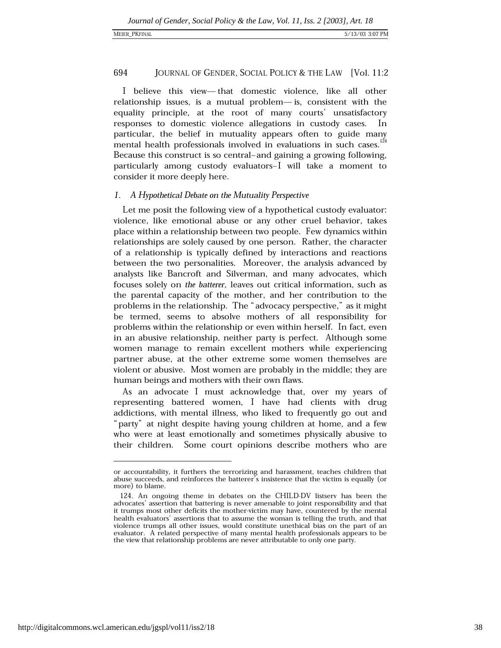I believe this view-that domestic violence, like all other relationship issues, is a mutual problem-is, consistent with the equality principle, at the root of many courts' unsatisfactory responses to domestic violence allegations in custody cases. In particular, the belief in mutuality appears often to guide many mental health professionals involved in evaluations in such cases.<sup>124</sup> Because this construct is so central-and gaining a growing following, particularly among custody evaluators-I will take a moment to consider it more deeply here.

# 1. A Hypothetical Debate on the Mutuality Perspective

Let me posit the following view of a hypothetical custody evaluator: violence, like emotional abuse or any other cruel behavior, takes place within a relationship between two people. Few dynamics within relationships are solely caused by one person. Rather, the character of a relationship is typically defined by interactions and reactions between the two personalities. Moreover, the analysis advanced by analysts like Bancroft and Silverman, and many advocates, which focuses solely on the batterer, leaves out critical information, such as the parental capacity of the mother, and her contribution to the problems in the relationship. The "advocacy perspective," as it might be termed, seems to absolve mothers of all responsibility for problems within the relationship or even within herself. In fact, even in an abusive relationship, neither party is perfect. Although some women manage to remain excellent mothers while experiencing partner abuse, at the other extreme some women themselves are violent or abusive. Most women are probably in the middle; they are human beings and mothers with their own flaws.

As an advocate I must acknowledge that, over my years of representing battered women, I have had clients with drug addictions, with mental illness, who liked to frequently go out and "party" at night despite having young children at home, and a few who were at least emotionally and sometimes physically abusive to their children. Some court opinions describe mothers who are

or accountability, it furthers the terrorizing and harassment, teaches children that abuse succeeds, and reinforces the batterer's insistence that the victim is equally (or more) to blame.

<sup>124.</sup> An ongoing theme in debates on the CHILD-DV listserv has been the advocates' assertion that battering is never amenable to joint responsibility and that it trumps most other deficits the mother-victim may have, countered by the mental health evaluators' assertions that to assume the woman is telling the truth, and that violence trumps all other issues, would constitute unethical bias on the part of an evaluator. A related perspective of many mental health professionals appears to be the view that relationship problems are never attributable to only one party.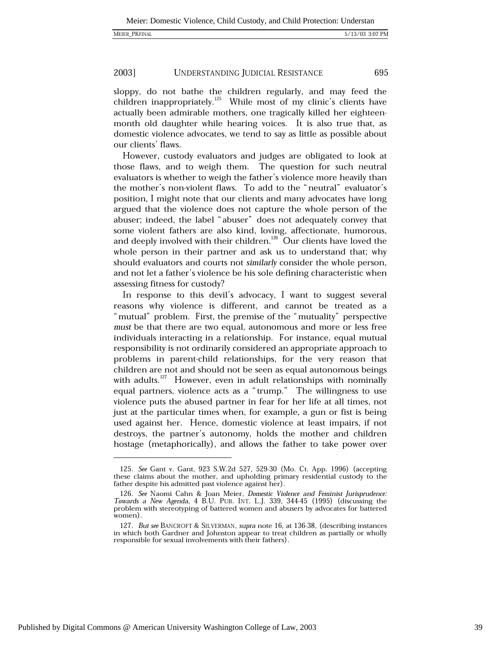695

#### 2003] UNDERSTANDING JUDICIAL RESISTANCE

sloppy, do not bathe the children regularly, and may feed the children inappropriately.<sup>125</sup> While most of my clinic's clients have actually been admirable mothers, one tragically killed her eighteenmonth old daughter while hearing voices. It is also true that, as domestic violence advocates, we tend to say as little as possible about our clients' flaws.

However, custody evaluators and judges are obligated to look at those flaws, and to weigh them. The question for such neutral evaluators is whether to weigh the father's violence more heavily than the mother's non-violent flaws. To add to the "neutral" evaluator's position, I might note that our clients and many advocates have long argued that the violence does not capture the whole person of the abuser; indeed, the label "abuser" does not adequately convey that some violent fathers are also kind, loving, affectionate, humorous, and deeply involved with their children.<sup>126</sup> Our clients have loved the whole person in their partner and ask us to understand that; why should evaluators and courts not similarly consider the whole person, and not let a father's violence be his sole defining characteristic when assessing fitness for custody?

In response to this devil's advocacy, I want to suggest several reasons why violence is different, and cannot be treated as a "mutual" problem. First, the premise of the "mutuality" perspective must be that there are two equal, autonomous and more or less free individuals interacting in a relationship. For instance, equal mutual responsibility is not ordinarily considered an appropriate approach to problems in parent-child relationships, for the very reason that children are not and should not be seen as equal autonomous beings with adults.<sup>127</sup> However, even in adult relationships with nominally equal partners, violence acts as a "trump." The willingness to use violence puts the abused partner in fear for her life at all times, not just at the particular times when, for example, a gun or fist is being used against her. Hence, domestic violence at least impairs, if not destroys, the partner's autonomy, holds the mother and children hostage (metaphorically), and allows the father to take power over

<sup>125.</sup> See Gant v. Gant, 923 S.W.2d 527, 529-30 (Mo. Ct. App. 1996) (accepting these claims about the mother, and upholding primary residential custody to the father despite his admitted past violence against her).

<sup>126.</sup> See Naomi Cahn & Joan Meier, Domestic Violence and Feminist Jurisprudence: Towards a New Agenda, 4 B.U. PUB. INT. L.J. 339, 344-45 (1995) (discussing the problem with stereotyping of battered women and abusers by advocates for battered women).

<sup>127.</sup> But see BANCROFT & SILVERMAN, supra note 16, at 136-38, (describing instances in which both Gardner and Johnston appear to treat children as partially or wholly responsible for sexual involvements with their fathers).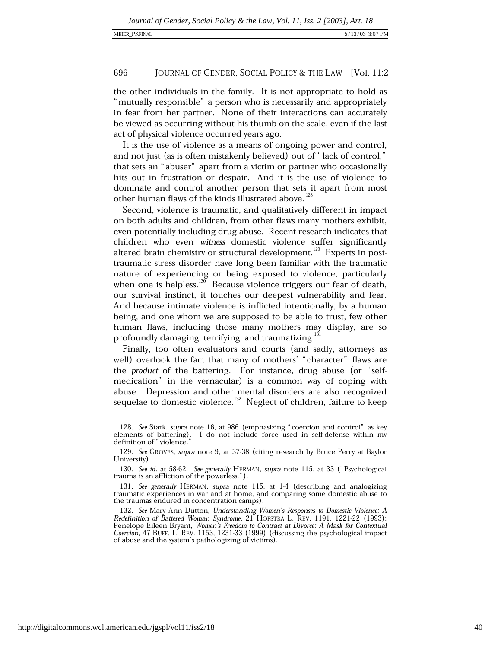the other individuals in the family. It is not appropriate to hold as "mutually responsible" a person who is necessarily and appropriately in fear from her partner. None of their interactions can accurately be viewed as occurring without his thumb on the scale, even if the last act of physical violence occurred years ago.

It is the use of violence as a means of ongoing power and control, and not just (as is often mistakenly believed) out of "lack of control," that sets an "abuser" apart from a victim or partner who occasionally hits out in frustration or despair. And it is the use of violence to dominate and control another person that sets it apart from most other human flaws of the kinds illustrated above.<sup>128</sup>

Second, violence is traumatic, and qualitatively different in impact on both adults and children, from other flaws many mothers exhibit, even potentially including drug abuse. Recent research indicates that children who even witness domestic violence suffer significantly altered brain chemistry or structural development.<sup>129</sup> Experts in posttraumatic stress disorder have long been familiar with the traumatic nature of experiencing or being exposed to violence, particularly when one is helpless.<sup>130</sup> Because violence triggers our fear of death, our survival instinct, it touches our deepest vulnerability and fear. And because intimate violence is inflicted intentionally, by a human being, and one whom we are supposed to be able to trust, few other human flaws, including those many mothers may display, are so profoundly damaging, terrifying, and traumatizing.<sup>131</sup>

Finally, too often evaluators and courts (and sadly, attorneys as well) overlook the fact that many of mothers' "character" flaws are the product of the battering. For instance, drug abuse (or "selfmedication" in the vernacular) is a common way of coping with abuse. Depression and other mental disorders are also recognized sequelae to domestic violence.<sup>132</sup> Neglect of children, failure to keep

<sup>128.</sup> See Stark, supra note 16, at 986 (emphasizing "coercion and control" as key elements of battering). I do not include force used in self-defense within my definition of "violence.

<sup>129.</sup> See GROVES, supra note 9, at 37-38 (citing research by Bruce Perry at Baylor University)

<sup>130.</sup> See id. at 58-62. See generally HERMAN, supra note 115, at 33 ("Psychological trauma is an affliction of the powerless.").

<sup>131.</sup> See generally HERMAN, supra note 115, at 1-4 (describing and analogizing traumatic experiences in war and at home, and comparing some domestic abuse to the traumas endured in concentration camps).

<sup>132.</sup> See Mary Ann Dutton, Understanding Women's Responses to Domestic Violence: A Redefinition of Battered Woman Syndrome, 21 HOFSTRA L. REV. 1191, 1221-22 (1993); Penelope Eileen Bryant, Women's Freedom to Contract at Divorce: A Mask for Contextual Coercion, 47 BUFF. L. REV. 1153, 1231-33 (1999) (discussing the psychological impact of abuse and the system's pathologizing of victims).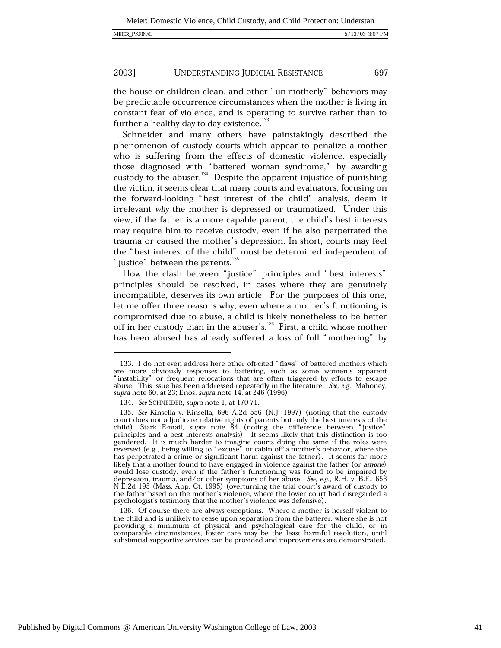697

#### 2003] UNDERSTANDING JUDICIAL RESISTANCE

the house or children clean, and other "un-motherly" behaviors may be predictable occurrence circumstances when the mother is living in constant fear of violence, and is operating to survive rather than to further a healthy day-to-day existence.<sup>133</sup>

Schneider and many others have painstakingly described the phenomenon of custody courts which appear to penalize a mother who is suffering from the effects of domestic violence, especially those diagnosed with "battered woman syndrome," by awarding custody to the abuser.<sup>134</sup> Despite the apparent injustice of punishing the victim, it seems clear that many courts and evaluators, focusing on the forward-looking "best interest of the child" analysis, deem it irrelevant why the mother is depressed or traumatized. Under this view, if the father is a more capable parent, the child's best interests may require him to receive custody, even if he also perpetrated the trauma or caused the mother's depression. In short, courts may feel the "best interest of the child" must be determined independent of "justice" between the parents.<sup>135</sup>

How the clash between "justice" principles and "best interests" principles should be resolved, in cases where they are genuinely incompatible, deserves its own article. For the purposes of this one, let me offer three reasons why, even where a mother's functioning is compromised due to abuse, a child is likely nonetheless to be better off in her custody than in the abuser's.<sup>136</sup> First, a child whose mother has been abused has already suffered a loss of full "mothering" by

<sup>133.</sup> I do not even address here other oft-cited "flaws" of battered mothers which are more obviously responses to battering, such as some women's apparent "instability" or frequent relocations that are often triggered by efforts to escape abuse. This issue has been addressed repeatedly in the literature. See, e.g., Mahoney, supra note 60, at 23; Enos, supra note 14, at 246 (1996).

<sup>134.</sup> See SCHNEIDER, supra note 1, at 170-71.

<sup>135.</sup> See Kinsella v. Kinsella, 696 A.2d 556 (N.J. 1997) (noting that the custody court does not adjudicate relative rights of parents but only the best interests of the child); Stark E-mail, supra note 84 (noting the difference between "justice" principles and a best interests analysis). It seems likely that this distinction is too gendered. It is much harder to imagine courts doing the same if the roles were seversed (e.g., being willing to "excuse" or cabin off a mother's behavior, where she<br>has perpetrated a crime or significant harm against the father). It seems far more likely that a mother found to have engaged in violence against the father (or anyone) would lose custody, even if the father's functioning was found to be impaired by depression, trauma, and/or other symptoms of her abuse. See, e.g., R.H. v. B.F., 653 N.E.2d 195 (Mass. App. Ct. 1995) (overturning the trial court's award of custody to the father based on the mother's violence, where the lower court had disregarded a psychologist's testimony that the mother's violence was defensive).

<sup>136.</sup> Of course there are always exceptions. Where a mother is herself violent to the child and is unlikely to cease upon separation from the batterer, where she is not providing a minimum of physical and psychological care for the child, or in comparable circumstances, foster care may be the least harmful resolution, until substantial supportive services can be provided and improvements are demonstrated.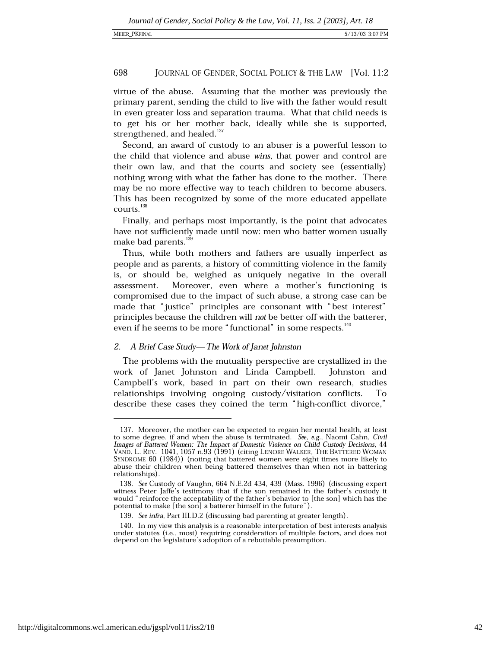virtue of the abuse. Assuming that the mother was previously the primary parent, sending the child to live with the father would result in even greater loss and separation trauma. What that child needs is to get his or her mother back, ideally while she is supported, strengthened, and healed.<sup>137</sup>

Second, an award of custody to an abuser is a powerful lesson to the child that violence and abuse wins, that power and control are their own law, and that the courts and society see (essentially) nothing wrong with what the father has done to the mother. There may be no more effective way to teach children to become abusers. This has been recognized by some of the more educated appellate courts.<sup>138</sup>

Finally, and perhaps most importantly, is the point that advocates have not sufficiently made until now: men who batter women usually make bad parents.<sup>13</sup>

Thus, while both mothers and fathers are usually imperfect as people and as parents, a history of committing violence in the family is, or should be, weighed as uniquely negative in the overall Moreover, even where a mother's functioning is assessment. compromised due to the impact of such abuse, a strong case can be made that "justice" principles are consonant with "best interest" principles because the children will not be better off with the batterer, even if he seems to be more "functional" in some respects. <sup>140</sup>

# 2. A Brief Case Study—The Work of Janet Johnston

The problems with the mutuality perspective are crystallized in the work of Janet Johnston and Linda Campbell. Johnston and Campbell's work, based in part on their own research, studies relationships involving ongoing custody/visitation conflicts. Ίò describe these cases they coined the term "high-conflict divorce,"

<sup>137.</sup> Moreover, the mother can be expected to regain her mental health, at least to some degree, if and when the abuse is terminated. See, e.g., Naomi Cahn, Civil<br>Images of Battered Women: The Impact of Domestic Violence on Child Custody Decisions, 44 VAND. L. REV. 1041, 1057 n.93 (1991) (citing LENORE WALKER, THE BATTERED WOMAN SYNDROME 60 (1984)) (noting that battered women were eight times more likely to abuse their children when being battered themselves than when not in battering relationships).

<sup>138.</sup> See Custody of Vaughn, 664 N.E.2d 434, 439 (Mass. 1996) (discussing expert witness Peter Jaffe's testimony that if the son remained in the father's custody it would "reinforce the acceptability of the father's behavior to [the son] which has the potential to make [the son] a batterer himself in the future").

<sup>139.</sup> See infra, Part III.D.2 (discussing bad parenting at greater length).

<sup>140.</sup> In my view this analysis is a reasonable interpretation of best interests analysis under statutes (i.e., most) requiring consideration of multiple factors, and does not depend on the legislature's adoption of a rebuttable presumption.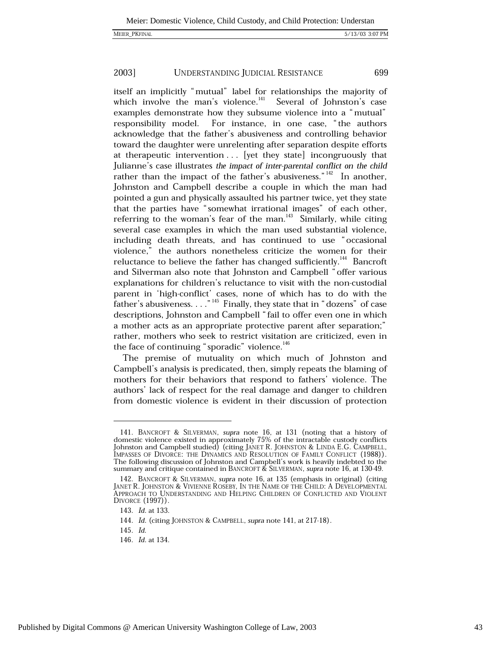MEIER\_PKFINAL

699

#### 2003] UNDERSTANDING JUDICIAL RESISTANCE

itself an implicitly "mutual" label for relationships the majority of which involve the man's violence.<sup>141</sup> Several of Johnston's case examples demonstrate how they subsume violence into a "mutual" responsibility model. For instance, in one case, "the authors acknowledge that the father's abusiveness and controlling behavior toward the daughter were unrelenting after separation despite efforts at therapeutic intervention . . . [yet they state] incongruously that Julianne's case illustrates the impact of inter-parental conflict on the child rather than the impact of the father's abusiveness." $142$  In another, Johnston and Campbell describe a couple in which the man had pointed a gun and physically assaulted his partner twice, yet they state that the parties have "somewhat irrational images" of each other, referring to the woman's fear of the man.<sup>143</sup> Similarly, while citing several case examples in which the man used substantial violence, including death threats, and has continued to use "occasional violence," the authors nonetheless criticize the women for their reluctance to believe the father has changed sufficiently.<sup>144</sup> Bancroft and Silverman also note that Johnston and Campbell "offer various explanations for children's reluctance to visit with the non-custodial parent in 'high-conflict' cases, none of which has to do with the father's abusiveness. . . . "<sup>145</sup> Finally, they state that in "dozens" of case descriptions, Johnston and Campbell "fail to offer even one in which a mother acts as an appropriate protective parent after separation;" rather, mothers who seek to restrict visitation are criticized, even in the face of continuing "sporadic" violence.<sup>146</sup>

The premise of mutuality on which much of Johnston and Campbell's analysis is predicated, then, simply repeats the blaming of mothers for their behaviors that respond to fathers' violence. The authors' lack of respect for the real damage and danger to children from domestic violence is evident in their discussion of protection

145. Id.

<sup>141.</sup> BANCROFT & SILVERMAN, supra note 16, at 131 (noting that a history of domestic violence existed in approximately 75% of the intractable custody conflicts Johnston and Campbell studied) (citing JANET R. JOHNSTON & LINDA E.G. CAMPBELL, IMPASSES OF DIVORCE: THE DYNAMICS AND RESOLUTION OF FAMILY CONFLICT (1988)). The following discussion of Johnston and Campbell's work is heavily indebted to the summary and critique contained in BANCROFT & SILVERMAN, supra note 16, at 130-49.

<sup>142.</sup> BANCROFT & SILVERMAN, supra note 16, at 135 (emphasis in original) (citing JANET R. JOHNSTON & VIVIENNE ROSEBY, IN THE NAME OF THE CHILD: A DEVELOPMENTAL APPROACH TO UNDERSTANDING AND HELPING CHILDREN OF CONFLICTED AND VIOLENT DIVORCE (1997)).

<sup>143.</sup> *Id.* at 133.

<sup>144.</sup> Id. (citing JOHNSTON & CAMPBELL, supra note 141, at 217-18).

<sup>146.</sup> Id. at 134.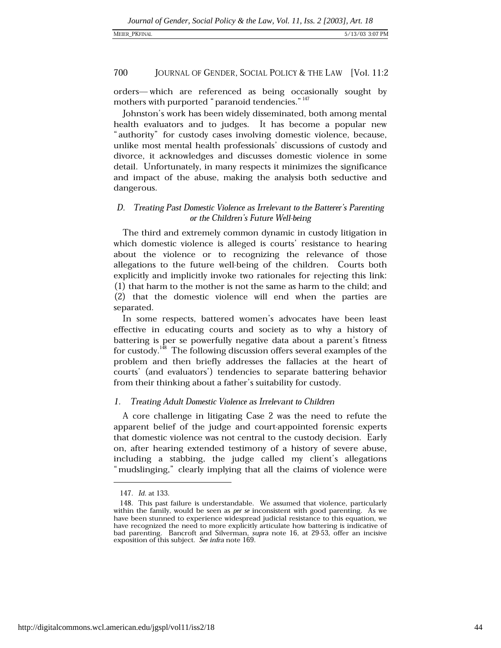## MEIER\_PKFINAL

### 700 JOURNAL OF GENDER, SOCIAL POLICY & THE LAW [Vol. 11:2

orders-which are referenced as being occasionally sought by mothers with purported "paranoid tendencies." <sup>147</sup>

Johnston's work has been widely disseminated, both among mental health evaluators and to judges. It has become a popular new "authority" for custody cases involving domestic violence, because, unlike most mental health professionals' discussions of custody and divorce, it acknowledges and discusses domestic violence in some detail. Unfortunately, in many respects it minimizes the significance and impact of the abuse, making the analysis both seductive and dangerous.

# D. Treating Past Domestic Violence as Irrelevant to the Batterer's Parenting or the Children's Future Well-being

The third and extremely common dynamic in custody litigation in which domestic violence is alleged is courts' resistance to hearing about the violence or to recognizing the relevance of those allegations to the future well-being of the children. Courts both explicitly and implicitly invoke two rationales for rejecting this link: (1) that harm to the mother is not the same as harm to the child; and (2) that the domestic violence will end when the parties are separated.

In some respects, battered women's advocates have been least effective in educating courts and society as to why a history of battering is per se powerfully negative data about a parent's fitness for custody.<sup>148</sup> The following discussion offers several examples of the problem and then briefly addresses the fallacies at the heart of courts' (and evaluators') tendencies to separate battering behavior from their thinking about a father's suitability for custody.

#### Treating Adult Domestic Violence as Irrelevant to Children 1.

A core challenge in litigating Case 2 was the need to refute the apparent belief of the judge and court-appointed forensic experts that domestic violence was not central to the custody decision. Early on, after hearing extended testimony of a history of severe abuse, including a stabbing, the judge called my client's allegations "mudslinging," clearly implying that all the claims of violence were

<sup>147.</sup> Id. at 133.

<sup>148.</sup> This past failure is understandable. We assumed that violence, particularly within the family, would be seen as *per se* inconsistent with good parenting. As we have been stunned to experience widespread judicial resistance to this equation, we have recognized the need to more explicitly articulate how battering is indicative of bad parenting. Bancroft and Silverman, supra note 16, at 29-53, offer an incisive exposition of this subject. See infra note 169.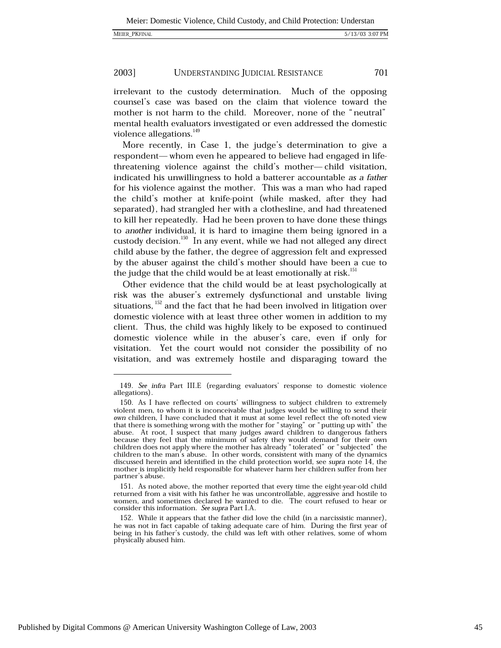701

#### 2003] UNDERSTANDING JUDICIAL RESISTANCE

irrelevant to the custody determination. Much of the opposing counsel's case was based on the claim that violence toward the mother is not harm to the child. Moreover, none of the "neutral" mental health evaluators investigated or even addressed the domestic violence allegations.<sup>149</sup>

More recently, in Case 1, the judge's determination to give a respondent-whom even he appeared to believe had engaged in lifethreatening violence against the child's mother-child visitation, indicated his unwillingness to hold a batterer accountable as a father for his violence against the mother. This was a man who had raped the child's mother at knife-point (while masked, after they had separated), had strangled her with a clothesline, and had threatened to kill her repeatedly. Had he been proven to have done these things to another individual, it is hard to imagine them being ignored in a custody decision.<sup>150</sup> In any event, while we had not alleged any direct child abuse by the father, the degree of aggression felt and expressed by the abuser against the child's mother should have been a cue to the judge that the child would be at least emotionally at risk.<sup>151</sup>

Other evidence that the child would be at least psychologically at risk was the abuser's extremely dysfunctional and unstable living situations, <sup>152</sup> and the fact that he had been involved in litigation over domestic violence with at least three other women in addition to my client. Thus, the child was highly likely to be exposed to continued domestic violence while in the abuser's care, even if only for visitation. Yet the court would not consider the possibility of no visitation, and was extremely hostile and disparaging toward the

<sup>149.</sup> See infra Part III.E (regarding evaluators' response to domestic violence allegations).

<sup>150.</sup> As I have reflected on courts' willingness to subject children to extremely violent men, to whom it is inconceivable that judges would be willing to send their own children, I have concluded that it must at some level reflect the oft-noted view that there is something wrong with the mother for "staying" or "putting up with" the abuse. At root, I suspect that many judges award children to dangerous fathers<br>because they feel that the minimum of safety they would demand for their own children does not apply where the mother has already "tolerated" or "subjected" the children to the man's abuse. In other words, consistent with many of the dynamics discussed herein and identified in the child protection world, see supra note 14, the mother is implicitly held responsible for whatever harm her children suffer from her partner's abuse.

<sup>151.</sup> As noted above, the mother reported that every time the eight-year-old child returned from a visit with his father he was uncontrollable, aggressive and hostile to women, and sometimes declared he wanted to die. The court refused to hear or consider this information. See supra Part I.A.

<sup>152.</sup> While it appears that the father did love the child (in a narcissistic manner), he was not in fact capable of taking adequate care of him. During the first year of being in his father's custody, the child was left with other relatives, some of whom physically abused him.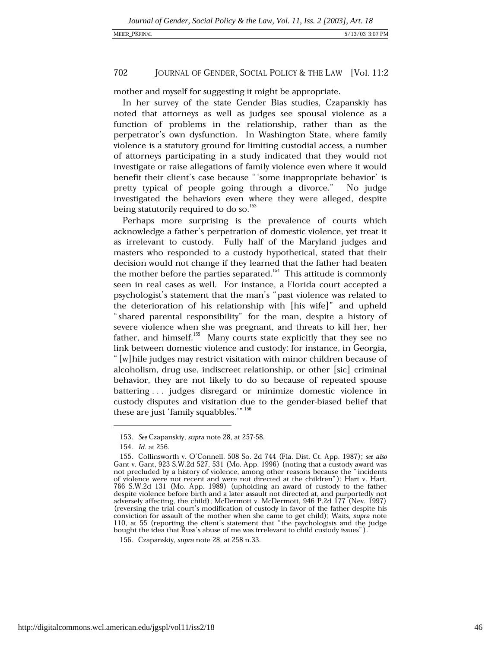## MEIER\_PKFINAL

### 702 JOURNAL OF GENDER, SOCIAL POLICY & THE LAW [Vol. 11:2]

mother and myself for suggesting it might be appropriate.

In her survey of the state Gender Bias studies, Czapanskiy has noted that attorneys as well as judges see spousal violence as a function of problems in the relationship, rather than as the perpetrator's own dysfunction. In Washington State, where family violence is a statutory ground for limiting custodial access, a number of attorneys participating in a study indicated that they would not investigate or raise allegations of family violence even where it would benefit their client's case because "'some inappropriate behavior' is pretty typical of people going through a divorce." No judge investigated the behaviors even where they were alleged, despite being statutorily required to do so.<sup>153</sup>

Perhaps more surprising is the prevalence of courts which acknowledge a father's perpetration of domestic violence, yet treat it as irrelevant to custody. Fully half of the Maryland judges and masters who responded to a custody hypothetical, stated that their decision would not change if they learned that the father had beaten the mother before the parties separated.<sup>154</sup> This attitude is commonly seen in real cases as well. For instance, a Florida court accepted a psychologist's statement that the man's "past violence was related to the deterioration of his relationship with [his wife]" and upheld "shared parental responsibility" for the man, despite a history of severe violence when she was pregnant, and threats to kill her, her father, and himself. $^{155}$  Many courts state explicitly that they see no link between domestic violence and custody: for instance, in Georgia, " [w] hile judges may restrict visitation with minor children because of alcoholism, drug use, indiscreet relationship, or other [sic] criminal behavior, they are not likely to do so because of repeated spouse battering ... judges disregard or minimize domestic violence in custody disputes and visitation due to the gender-biased belief that these are just 'family squabbles.'" 156

<sup>153.</sup> See Czapanskiy, supra note 28, at 257-58.

<sup>154.</sup> *Id.* at 256.

<sup>155.</sup> Collinsworth v. O'Connell, 508 So. 2d 744 (Fla. Dist. Ct. App. 1987); see also Gant v. Gant, 923 S.W.2d 527, 531 (Mo. App. 1996) (noting that a custody award was not precluded by a history of violence, among other reasons because the "incidents of violence were not recent and were not directed at the children"); Hart v. Hart, 766 S.W.2d 131 (Mo. App. 1989) (upholding an award of custody to the father despite violence before birth and a later assault not directed at, and purportedly not adversely affecting, the child); McDermott v. McDermott, 946 P.2d 177 (Nev. 1997) (reversing the trial court's modification of custody in favor of the father despite his conviction for assault of the mother when she came to get child); Waits, supra note 110, at 55 (reporting the client's statement that "the psychologists and the judge bought the idea that Russ's abuse of me was irrelevant to child custody issues").

<sup>156.</sup> Czapanskiy, supra note 28, at 258 n.33.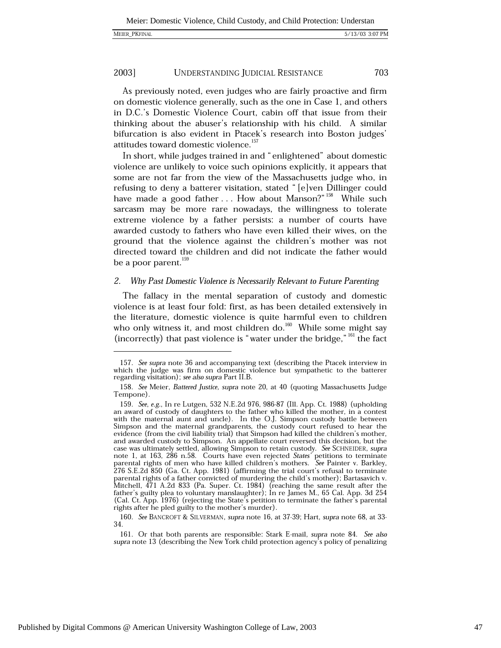As previously noted, even judges who are fairly proactive and firm on domestic violence generally, such as the one in Case 1, and others in D.C.'s Domestic Violence Court, cabin off that issue from their thinking about the abuser's relationship with his child. A similar bifurcation is also evident in Ptacek's research into Boston judges' attitudes toward domestic violence.<sup>157</sup>

In short, while judges trained in and "enlightened" about domestic violence are unlikely to voice such opinions explicitly, it appears that some are not far from the view of the Massachusetts judge who, in refusing to deny a batterer visitation, stated "[e]ven Dillinger could have made a good father ... How about Manson?"<sup>158</sup> While such sarcasm may be more rare nowadays, the willingness to tolerate extreme violence by a father persists: a number of courts have awarded custody to fathers who have even killed their wives, on the ground that the violence against the children's mother was not directed toward the children and did not indicate the father would be a poor parent.  $159$ 

#### Why Past Domestic Violence is Necessarily Relevant to Future Parenting 2.

The fallacy in the mental separation of custody and domestic violence is at least four fold: first, as has been detailed extensively in the literature, domestic violence is quite harmful even to children who only witness it, and most children do.<sup>160</sup> While some might say (incorrectly) that past violence is "water under the bridge," <sup>161</sup> the fact

160. See BANCROFT & SILVERMAN, supra note 16, at 37-39; Hart, supra note 68, at 33-34.

161. Or that both parents are responsible: Stark E-mail, supra note 84. See also supra note 13 (describing the New York child protection agency's policy of penalizing

<sup>157.</sup> See supra note 36 and accompanying text (describing the Ptacek interview in which the judge was firm on domestic violence but sympathetic to the batterer regarding visitation); see also supra Part II.B.

<sup>158.</sup> See Meier, Battered Justice, supra note 20, at 40 (quoting Massachusetts Judge Tempone).

<sup>159.</sup> See, e.g., In re Lutgen, 532 N.E.2d 976, 986-87 (Ill. App. Ct. 1988) (upholding an award of custody of daughters to the father who killed the mother, in a contest with the maternal aunt and uncle). In the O.J. Simpson custody battle between Simpson and the maternal grandparents, the custody court refused to hear the evidence (from the civil liability trial) that Simpson had killed the children's mother, and awarded custody to Simpson. An appellate court reversed this decision, but the case was ultimately settled, allowing Simpson to retain custody. See SCHNEIDER, supra note 1, at 163, 286 n.58. Courts have even rejected States' petitions to terminate parental rights of men who have killed children's mothers. See Painter v. Barkley, 276 S.E.2d 850 (Ga. Ct. App. 1981) (affirming the trial court's refusal to terminate parental rights of a father convicted of murdering the child's mother); Bartasavich v. Mitchell, 471 A.2d 833 (Pa. Super. Ct. 1984) (reaching the same result after the father's guilty plea to voluntary manslaughter); In re James M., 65 Cal. App. 3d 254 (Cal. Ct. App. 1976) (rejecting the State's petition to terminate the father's parental rights after he pled guilty to the mother's murder).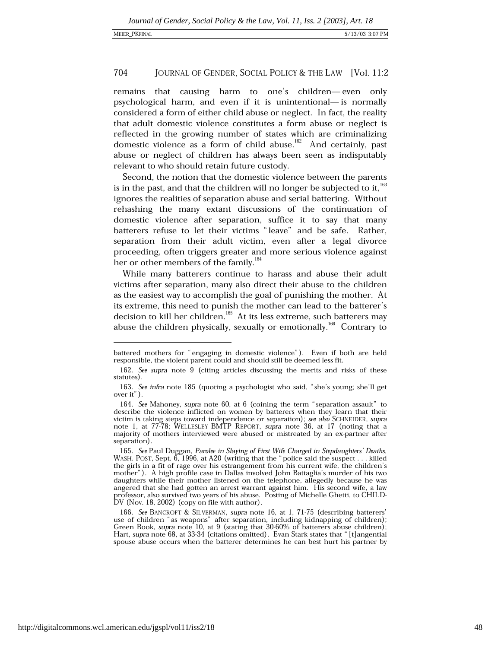remains that causing harm to one's children—even only psychological harm, and even if it is unintentional— is normally considered a form of either child abuse or neglect. In fact, the reality that adult domestic violence constitutes a form abuse or neglect is reflected in the growing number of states which are criminalizing domestic violence as a form of child abuse.<sup>162</sup> And certainly, past abuse or neglect of children has always been seen as indisputably relevant to who should retain future custody.

Second, the notion that the domestic violence between the parents is in the past, and that the children will no longer be subjected to it,<sup>163</sup> ignores the realities of separation abuse and serial battering. Without rehashing the many extant discussions of the continuation of domestic violence after separation, suffice it to say that many batterers refuse to let their victims "leave" and be safe. Rather, separation from their adult victim, even after a legal divorce proceeding, often triggers greater and more serious violence against her or other members of the family.<sup>164</sup>

While many batterers continue to harass and abuse their adult victims after separation, many also direct their abuse to the children as the easiest way to accomplish the goal of punishing the mother. At its extreme, this need to punish the mother can lead to the batterer's decision to kill her children.<sup>165</sup> At its less extreme, such batterers may abuse the children physically, sexually or emotionally.<sup>166</sup> Contrary to

battered mothers for "engaging in domestic violence"). Even if both are held responsible, the violent parent could and should still be deemed less fit.

<sup>162.</sup> See supra note 9 (citing articles discussing the merits and risks of these statutes).

<sup>163.</sup> See infra note 185 (quoting a psychologist who said, "she's young; she'll get over it").

<sup>164.</sup> See Mahoney, supra note 60, at 6 (coining the term "separation assault" to describe the violence inflicted on women by batterers when they learn that their victim is taking steps toward independence or separation); see also SCHNEIDER, supra note 1, at 77-78; WELLESLEY BMTP REPORT, supra note 36, at 17 (noting that a majority of mothers interviewed were abused or mistreated by an ex-partner after separation).

<sup>165.</sup> See Paul Duggan, Parolee in Slaying of First Wife Charged in Stepdaughters' Deaths, WASH. POST, Sept. 6, 1996, at A20 (writing that the "police said the suspect . . . killed the girls in a fit of rage over his estrangement from his current wife, the children's mother"). A high profile case in Dallas involved John Battaglia's murder of his two daughters while their mother listened on the telephone, allegedly because he was angered that she had gotten an arrest warrant against him. His second wife, a law professor, also survived two years of his abuse. Posting of Michelle Ghetti, to CHILD-DV (Nov. 18, 2002) (copy on file with author).

<sup>166.</sup> See BANCROFT & SILVERMAN, supra note 16, at 1, 71-75 (describing batterers' use of children "as weapons" after separation, including kidnapping of children); Green Book, supra note 10, at 9 (stating that 30-60% of batterers abuse children); Hart, supra note 68, at 33-34 (citations omitted). Evan Stark states that "[t]angential spouse abuse occurs when the batterer determines he can best hurt his partner by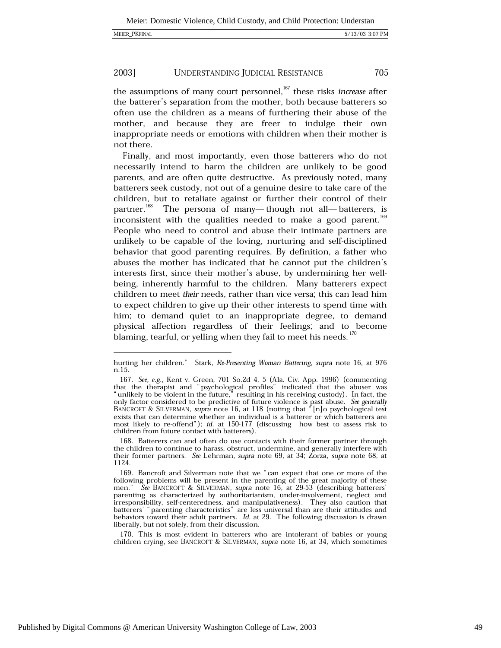the assumptions of many court personnel,  $167$  these risks *increase* after the batterer's separation from the mother, both because batterers so often use the children as a means of furthering their abuse of the mother, and because they are freer to indulge their own inappropriate needs or emotions with children when their mother is not there.

Finally, and most importantly, even those batterers who do not necessarily intend to harm the children are unlikely to be good parents, and are often quite destructive. As previously noted, many batterers seek custody, not out of a genuine desire to take care of the children, but to retaliate against or further their control of their partner.<sup>168</sup> The persona of many—though not all—batterers, is inconsistent with the qualities needed to make a good parent.<sup>169</sup> People who need to control and abuse their intimate partners are unlikely to be capable of the loving, nurturing and self-disciplined behavior that good parenting requires. By definition, a father who abuses the mother has indicated that he cannot put the children's interests first, since their mother's abuse, by undermining her wellbeing, inherently harmful to the children. Many batterers expect children to meet their needs, rather than vice versa; this can lead him to expect children to give up their other interests to spend time with him; to demand quiet to an inappropriate degree, to demand physical affection regardless of their feelings; and to become blaming, tearful, or yelling when they fail to meet his needs.<sup>170</sup>

168. Batterers can and often do use contacts with their former partner through the children to continue to harass, obstruct, undermine, and generally interfere with their former partners. See Lehrman, supra note 69, at 34; Zorza, supra note 68, at 1124.

170. This is most evident in batterers who are intolerant of babies or young children crying, see BANCROFT & SILVERMAN, supra note 16, at 34, which sometimes

hurting her children." Stark, Re-Presenting Woman Battering, supra note 16, at 976 n.15.

<sup>167.</sup> See, e.g., Kent v. Green, 701 So.2d 4, 5 (Ala. Civ. App. 1996) (commenting that the therapist and "psychological profiles" indicated that the abuser was " unlikely to be violent in the future," resulting in his receiving custody). In fact, the only factor considered to be predictive of future violence is past abuse. See generally<br>BANCROFT & SILVERMAN, supra note 16, at 118 (noting that "[n]o psychological test exists that can determine whether an individual is a batterer or which batterers are most likely to re-offend"); id. at 150-177 (discussing how best to assess risk to children from future contact with batterers).

<sup>169.</sup> Bancroft and Silverman note that we "can expect that one or more of the following problems will be present in the parenting of the great majority of these See BANCROFT & SILVERMAN, supra note 16, at 29-53 (describing batterers) men." parenting as characterized by authoritarianism, under-involvement, neglect and irresponsibility, self-centeredness, and manipulativeness). They also caution that batterers' "parenting characteristics" are less universal than are their attitudes and behaviors toward their adult partners. *Id.* at 29. The following discussion is drawn liberally, but not solely, from their discussion.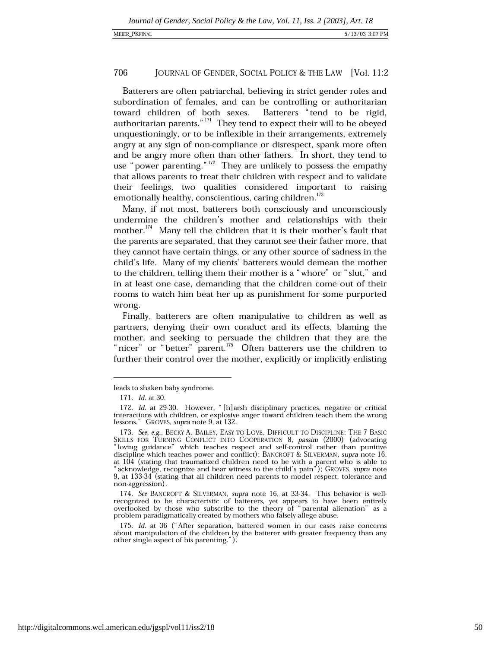Batterers are often patriarchal, believing in strict gender roles and subordination of females, and can be controlling or authoritarian toward children of both sexes. Batterers "tend to be rigid, authoritarian parents."<sup>171</sup> They tend to expect their will to be obeyed unquestioningly, or to be inflexible in their arrangements, extremely angry at any sign of non-compliance or disrespect, spank more often and be angry more often than other fathers. In short, they tend to use "power parenting."<sup>172</sup> They are unlikely to possess the empathy that allows parents to treat their children with respect and to validate their feelings, two qualities considered important to raising emotionally healthy, conscientious, caring children.<sup>173</sup>

Many, if not most, batterers both consciously and unconsciously undermine the children's mother and relationships with their mother.<sup>174</sup> Many tell the children that it is their mother's fault that the parents are separated, that they cannot see their father more, that they cannot have certain things, or any other source of sadness in the child's life. Many of my clients' batterers would demean the mother to the children, telling them their mother is a "whore" or "slut," and in at least one case, demanding that the children come out of their rooms to watch him beat her up as punishment for some purported wrong.

Finally, batterers are often manipulative to children as well as partners, denying their own conduct and its effects, blaming the mother, and seeking to persuade the children that they are the "nicer" or "better" parent.<sup>175</sup> Often batterers use the children to further their control over the mother, explicitly or implicitly enlisting

leads to shaken baby syndrome.

<sup>171.</sup> *Id.* at 30.

<sup>172.</sup> Id. at 29-30. However, "[h]arsh disciplinary practices, negative or critical interactions with children, or explosive anger toward children teach them the wrong lessons." GROVES, supra note 9, at 132.

<sup>173.</sup> See, e.g., BECKY A. BAILEY, EASY TO LOVE, DIFFICULT TO DISCIPLINE: THE 7 BASIC SKILLS FOR TURNING CONFLICT INTO COOPERATION 8, passim (2000) (advocating "loving guidance" which teaches respect and self-control rather than punitive discipline which teaches power and conflict); BANCROFT & SILVERMAN, supra note 16, at 104 (stating that traumatized children need to be with a parent who is able to " acknowledge, recognize and bear witness to the child's pain"); GROVES, supra note 9, at 133-34 (stating that all children need parents to model respect, tolerance and non-aggression).

<sup>174.</sup> See BANCROFT & SILVERMAN, supra note 16, at 33-34. This behavior is wellrecognized to be characteristic of batterers, yet appears to have been entirely overlooked by those who subscribe to the theory of "parental alienation" as a problem paradigmatically created by mothers who falsely allege abuse.

<sup>175.</sup> Id. at 36 ("After separation, battered women in our cases raise concerns about manipulation of the children by the batterer with greater frequency than any other single aspect of his parenting.").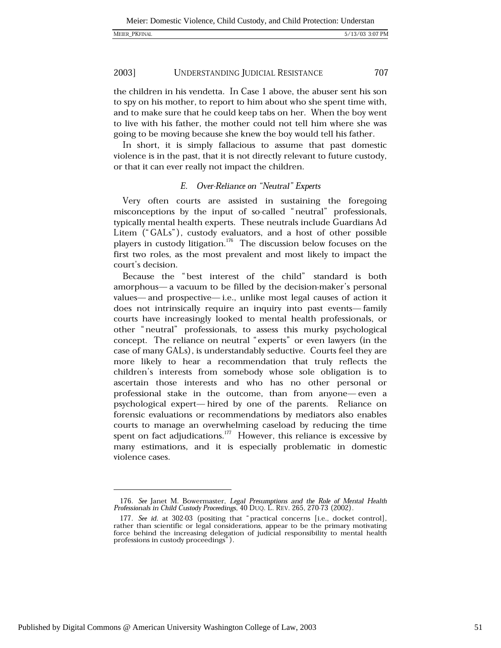the children in his vendetta. In Case 1 above, the abuser sent his son to spy on his mother, to report to him about who she spent time with, and to make sure that he could keep tabs on her. When the boy went to live with his father, the mother could not tell him where she was going to be moving because she knew the boy would tell his father.

In short, it is simply fallacious to assume that past domestic violence is in the past, that it is not directly relevant to future custody, or that it can ever really not impact the children.

# E. Over-Reliance on "Neutral" Experts

Very often courts are assisted in sustaining the foregoing misconceptions by the input of so-called "neutral" professionals, typically mental health experts. These neutrals include Guardians Ad Litem ("GALs"), custody evaluators, and a host of other possible players in custody litigation.<sup>176</sup> The discussion below focuses on the first two roles, as the most prevalent and most likely to impact the court's decision.

Because the "best interest of the child" standard is both amorphous— a vacuum to be filled by the decision-maker's personal values—and prospective—i.e., unlike most legal causes of action it does not intrinsically require an inquiry into past events—family courts have increasingly looked to mental health professionals, or other "neutral" professionals, to assess this murky psychological concept. The reliance on neutral "experts" or even lawyers (in the case of many GALs), is understandably seductive. Courts feel they are more likely to hear a recommendation that truly reflects the children's interests from somebody whose sole obligation is to ascertain those interests and who has no other personal or professional stake in the outcome, than from anyone-even a psychological expert—hired by one of the parents. Reliance on forensic evaluations or recommendations by mediators also enables courts to manage an overwhelming caseload by reducing the time spent on fact adjudications.<sup>177</sup> However, this reliance is excessive by many estimations, and it is especially problematic in domestic violence cases.

<sup>176.</sup> See Janet M. Bowermaster, Legal Presumptions and the Role of Mental Health Professionals in Child Custody Proceedings, 40 DUQ. L. REV. 265, 270-73 (2002).

<sup>177.</sup> See id. at 302-03 (positing that "practical concerns [i.e., docket control], rather than scientific or legal considerations, appear to be the primary motivating force behind the increasing delegation of judicial responsibility to mental health professions in custody proceedings").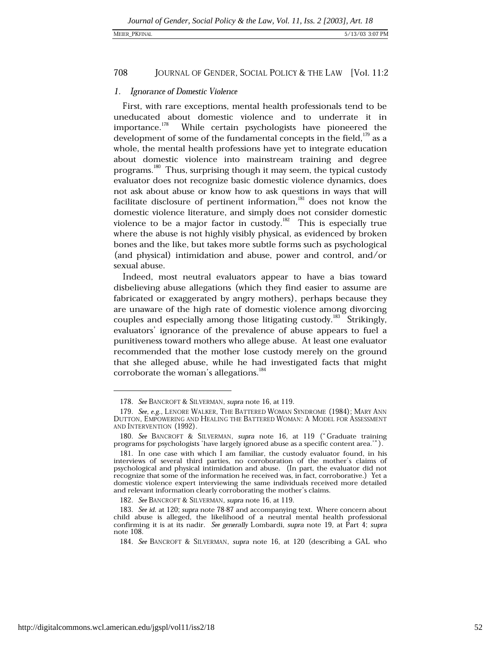## MEIER\_PKFINAL

#### 708 JOURNAL OF GENDER, SOCIAL POLICY & THE LAW [Vol. 11:2

# 1. Ignorance of Domestic Violence

First, with rare exceptions, mental health professionals tend to be uneducated about domestic violence and to underrate it in importance.<sup>178</sup> While certain psychologists have pioneered the development of some of the fundamental concepts in the field,  $\frac{179}{179}$  as a whole, the mental health professions have yet to integrate education about domestic violence into mainstream training and degree programs.<sup>180</sup> Thus, surprising though it may seem, the typical custody evaluator does not recognize basic domestic violence dynamics, does not ask about abuse or know how to ask questions in ways that will facilitate disclosure of pertinent information,<sup>181</sup> does not know the domestic violence literature, and simply does not consider domestic violence to be a major factor in custody.<sup>182</sup> This is especially true where the abuse is not highly visibly physical, as evidenced by broken bones and the like, but takes more subtle forms such as psychological (and physical) intimidation and abuse, power and control, and/or sexual abuse.

Indeed, most neutral evaluators appear to have a bias toward disbelieving abuse allegations (which they find easier to assume are fabricated or exaggerated by angry mothers), perhaps because they are unaware of the high rate of domestic violence among divorcing couples and especially among those litigating custody.<sup>183</sup> Strikingly, evaluators' ignorance of the prevalence of abuse appears to fuel a punitiveness toward mothers who allege abuse. At least one evaluator recommended that the mother lose custody merely on the ground that she alleged abuse, while he had investigated facts that might corroborate the woman's allegations.<sup>184</sup>

<sup>178.</sup> See BANCROFT & SILVERMAN, supra note 16, at 119.

<sup>179.</sup> See, e.g., LENORE WALKER, THE BATTERED WOMAN SYNDROME (1984); MARY ANN DUTTON, EMPOWERING AND HEALING THE BATTERED WOMAN: A MODEL FOR ASSESSMENT AND INTERVENTION (1992).

<sup>180.</sup> See BANCROFT & SILVERMAN, supra note 16, at 119 ("Graduate training programs for psychologists 'have largely ignored abuse as a specific content area.").

<sup>181.</sup> In one case with which I am familiar, the custody evaluator found, in his interviews of several third parties, no corroboration of the mother's claims of psychological and physical intimidation and abuse. (In part, the evaluator did not recognize that some of the information he received was, in fact, corroborative.) Yet a domestic violence expert interviewing the same individuals received more detailed and relevant information clearly corroborating the mother's claims.

<sup>182.</sup> See BANCROFT & SILVERMAN, supra note 16, at 119.

<sup>183.</sup> See id. at 120; supra note 78-87 and accompanying text. Where concern about child abuse is alleged, the likelihood of a neutral mental health professional confirming it is at its nadir. See generally Lombardi, supra note 19, at Part 4; supra note 108.

<sup>184.</sup> See BANCROFT & SILVERMAN, supra note 16, at 120 (describing a GAL who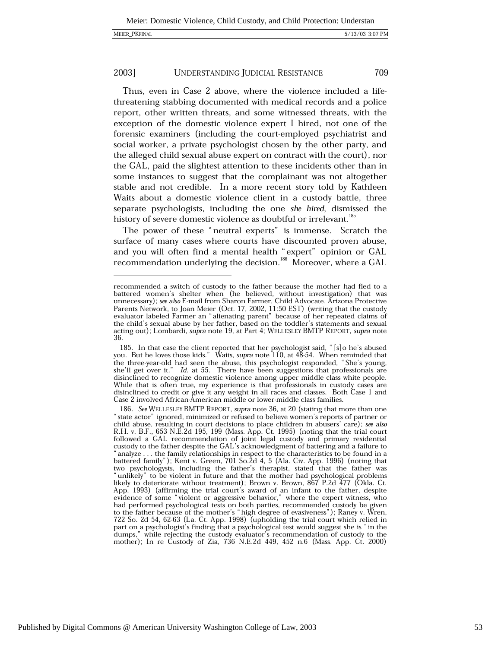Thus, even in Case 2 above, where the violence included a lifethreatening stabbing documented with medical records and a police report, other written threats, and some witnessed threats, with the exception of the domestic violence expert I hired, not one of the forensic examiners (including the court-employed psychiatrist and social worker, a private psychologist chosen by the other party, and the alleged child sexual abuse expert on contract with the court), nor the GAL, paid the slightest attention to these incidents other than in some instances to suggest that the complainant was not altogether stable and not credible. In a more recent story told by Kathleen Waits about a domestic violence client in a custody battle, three separate psychologists, including the one she hired, dismissed the history of severe domestic violence as doubtful or irrelevant.<sup>185</sup>

The power of these "neutral experts" is immense. Scratch the surface of many cases where courts have discounted proven abuse, and you will often find a mental health "expert" opinion or GAL recommendation underlying the decision.<sup>186</sup> Moreover, where a GAL

recommended a switch of custody to the father because the mother had fled to a battered women's shelter when (he believed, without investigation) that was<br>unnecessary); see also E-mail from Sharon Farmer, Child Advocate, Arizona Protective Parents Network, to Joan Meier (Oct. 17, 2002, 11:50 EST) (writing that the custody evaluator labeled Farmer an "alienating parent" because of her repeated claims of the child's sexual abuse by her father, based on the toddler's statements and sexual acting out); Lombardi, supra note 19, at Part 4; WELLESLEY BMTP REPORT, supra note 36.

<sup>185.</sup> In that case the client reported that her psychologist said, "[s]o he's abused you. But he loves those kids." Waits, supra note 110, at 48-54. When reminded that the three-year-old had seen the abuse, this psychologist responded, "She's young, she'll get over it." Id. at 55. There have been suggestions that professionals are disinclined to recognize domestic violence among upper middle class white people. While that is often true, my experience is that professionals in custody cases are disinclined to credit or give it any weight in all races and classes. Both Case 1 and Case 2 involved African-American middle or lower-middle class families.

<sup>186.</sup> See WELLESLEY BMTP REPORT, supra note 36, at 20 (stating that more than one "state actor" ignored, minimized or refused to believe women's reports of partner or child abuse, resulting in court decisions to place children in abusers' care); see also R.H. v. B.F., 653 N.E.2d 195, 199 (Mass. App. Ct. 1995) (noting that the trial court followed a GAL recommendation of joint legal custody and primary residential custody to the father despite the GAL's acknowledgment of battering and a failure to " analyze . . . the family relationships in respect to the characteristics to be found in a battered family"); Kent v. Green, 701 So.2d 4, 5 (Ala. Civ. App. 1996) (noting that two psychologysts, including the father's therapist, stated that the father was "unlikely" to be violent in future and that the mother had psychological problems likely to deteriorate without treatment); Brown v. Brown, 867 P.2d 477 (Okla. Ct. App. 1993) (affirming the trial court's award of an infant to the father, despite evidence of some "violent or aggressive behavior," where the expert witness, who and performed psychological tests on both parties, recommended custody be given<br>to the father because of the mother's "high degree of evasiveness"); Raney v. Wren,<br>722 So. 2d 54, 62-63 (La. Ct. App. 1998) (upholding the tr part on a psychologist's finding that a psychological test would suggest she is "in the dumps," while rejecting the custody evaluator's recommendation of custody to the mother); In re Custody of Zia, 736 N.E.2d 449, 452 n.6 (Mass. App. Ct. 2000)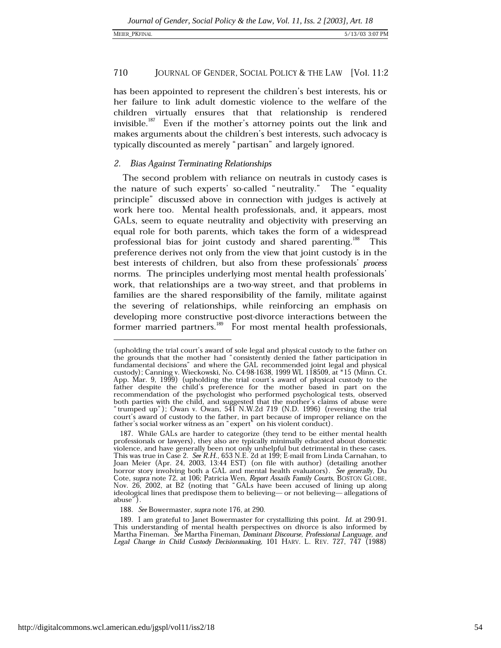has been appointed to represent the children's best interests, his or her failure to link adult domestic violence to the welfare of the children virtually ensures that that relationship is rendered invisible.<sup>187</sup> Even if the mother's attorney points out the link and makes arguments about the children's best interests, such advocacy is typically discounted as merely "partisan" and largely ignored.

# 2. Bias Against Terminating Relationships

The second problem with reliance on neutrals in custody cases is the nature of such experts' so-called "neutrality." The "equality principle" discussed above in connection with judges is actively at work here too. Mental health professionals, and, it appears, most GALs, seem to equate neutrality and objectivity with preserving an equal role for both parents, which takes the form of a widespread professional bias for joint custody and shared parenting.<sup>188</sup> This preference derives not only from the view that joint custody is in the best interests of children, but also from these professionals' process norms. The principles underlying most mental health professionals' work, that relationships are a two-way street, and that problems in families are the shared responsibility of the family, militate against the severing of relationships, while reinforcing an emphasis on developing more constructive post-divorce interactions between the former married partners.<sup>189</sup> For most mental health professionals,

<sup>(</sup>upholding the trial court's award of sole legal and physical custody to the father on the grounds that the mother had "consistently denied the father participation in fundamental decisions" and where the GAL recommended joint legal and physical custody); Canning v. Wieckowski, No. C4-98-1638, 1999 WL 118509, at \*15 (Minn. Ct.<br>App. Mar. 9, 1999) (upholding the trial court's award of physical custody to the father despite the child's preference for the mother based recommendation of the psychologist who performed psychological tests, observed both parties with the child, and suggested that the mother's claims of abuse were<br>"trumped up"); Owan v. Owan, 541 N.W.2d 719 (N.D. 1996) (reversing the trial court's award of custody to the father, in part because of improper reliance on the father's social worker witness as an "expert" on his violent conduct).

<sup>187.</sup> While GALs are harder to categorize (they tend to be either mental health professionals or lawyers), they also are typically minimally educated about domestic violence, and have generally been not only unhelpful but detrimental in these cases. This was true in Case 2. See R.H., 653 N.E. 2d at 199; E-mail from Linda Carnahan, to Joan Meier (Apr. 24, 2003, 13:44 EST) (on file with author) (detailing another horror story involving both a GAL and mental health evaluators). See generally, Du Cote, supra note 72, at 106; Patricia Wen, Report Assails Family Courts, BOSTON GLOBE, Nov. 26, 2002, at B2 (noting that "GALs have been accused of lining up along ideological lines that predispose them to believing— or not believing—allegations of abuse").

<sup>188.</sup> See Bowermaster, supra note 176, at 290.

<sup>189.</sup> I am grateful to Janet Bowermaster for crystallizing this point. Id. at 290-91. This understanding of mental health perspectives on divorce is also informed by<br>Martha Fineman. See Martha Fineman, Dominant Discourse, Professional Language, and Legal Change in Child Custody Decisionmaking, 101 HARV. L. REV. 727, 747 (1988)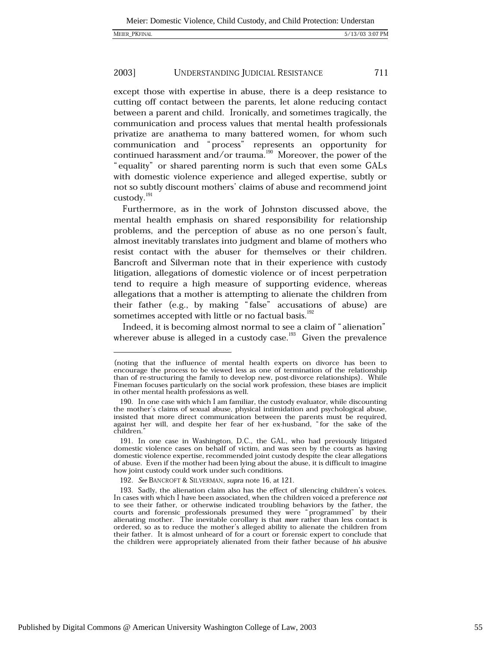except those with expertise in abuse, there is a deep resistance to cutting off contact between the parents, let alone reducing contact between a parent and child. Ironically, and sometimes tragically, the communication and process values that mental health professionals privatize are anathema to many battered women, for whom such communication and "process" represents an opportunity for continued harassment and/or trauma.<sup>190</sup> Moreover, the power of the "equality" or shared parenting norm is such that even some GALs with domestic violence experience and alleged expertise, subtly or not so subtly discount mothers' claims of abuse and recommend joint custody. $^{191}$ 

Furthermore, as in the work of Johnston discussed above, the mental health emphasis on shared responsibility for relationship problems, and the perception of abuse as no one person's fault, almost inevitably translates into judgment and blame of mothers who resist contact with the abuser for themselves or their children. Bancroft and Silverman note that in their experience with custody litigation, allegations of domestic violence or of incest perpetration tend to require a high measure of supporting evidence, whereas allegations that a mother is attempting to alienate the children from their father (e.g., by making "false" accusations of abuse) are sometimes accepted with little or no factual basis.<sup>192</sup>

Indeed, it is becoming almost normal to see a claim of "alienation" wherever abuse is alleged in a custody case.<sup>193</sup> Given the prevalence

<sup>(</sup>noting that the influence of mental health experts on divorce has been to encourage the process to be viewed less as one of termination of the relationship than of re-structuring the family to develop new, post-divorce relationships). While Fineman focuses particularly on the social work profession, these biases are implicit in other mental health professions as well.

<sup>190.</sup> In one case with which I am familiar, the custody evaluator, while discounting the mother's claims of sexual abuse, physical intimidation and psychological abuse, insisted that more direct communication between the parents must be required, against her will, and despite her fear of her ex-husband, "for the sake of the children.

<sup>191.</sup> In one case in Washington, D.C., the GAL, who had previously litigated domestic violence cases on behalf of victim, and was seen by the courts as having domestic violence expertise, recommended joint custody despite the clear allegations of abuse. Even if the mother had been lying about the abuse, it is difficult to imagine how joint custody could work under such conditions.

<sup>192.</sup> See BANCROFT & SILVERMAN, supra note 16, at 121.

<sup>193.</sup> Sadly, the alienation claim also has the effect of silencing children's voices. In cases with which I have been associated, when the children voiced a preference not to see their father, or otherwise indicated troubling behaviors by the father, the courts and forensic professionals presumed they were "programmed" by their alienating mother. The inevitable corollary is that more rather than less contact is ordered, so as to reduce the mother's alleged ability to alienate the children from their father. It is almost unheard of for a court or forensic expert to conclude that the children were appropriately alienated from their father because of his abusive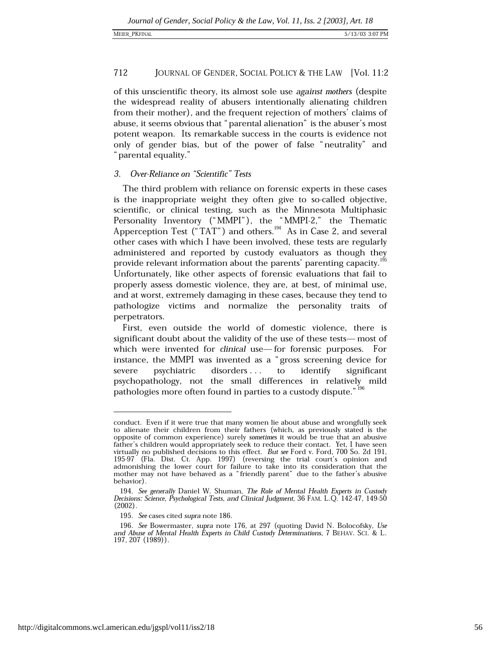## MEIER PKFINAL

#### 712 JOURNAL OF GENDER, SOCIAL POLICY & THE LAW [Vol. 11:2

of this unscientific theory, its almost sole use against mothers (despite the widespread reality of abusers intentionally alienating children from their mother), and the frequent rejection of mothers' claims of abuse, it seems obvious that "parental alienation" is the abuser's most potent weapon. Its remarkable success in the courts is evidence not only of gender bias, but of the power of false "neutrality" and " parental equality."

# 3. Over-Reliance on "Scientific" Tests

The third problem with reliance on forensic experts in these cases is the inappropriate weight they often give to so-called objective, scientific, or clinical testing, such as the Minnesota Multiphasic Personality Inventory ("MMPI"), the "MMPI-2," the Thematic Apperception Test ("TAT") and others.<sup>194</sup> As in Case 2, and several other cases with which I have been involved, these tests are regularly administered and reported by custody evaluators as though they provide relevant information about the parents' parenting capacity.<sup>195</sup> Unfortunately, like other aspects of forensic evaluations that fail to properly assess domestic violence, they are, at best, of minimal use, and at worst, extremely damaging in these cases, because they tend to pathologize victims and normalize the personality traits of perpetrators.

First, even outside the world of domestic violence, there is significant doubt about the validity of the use of these tests— most of which were invented for *clinical* use—for forensic purposes. For instance, the MMPI was invented as a "gross screening device for disorders . . . severe psychiatric  $\mathbf{t}$ identify significant psychopathology, not the small differences in relatively mild pathologies more often found in parties to a custody dispute." 196

conduct. Even if it were true that many women lie about abuse and wrongfully seek to alienate their children from their fathers (which, as previously stated is the opposite of common experience) surely sometimes it would be true that an abusive father's children would appropriately seek to reduce their contact. Yet, I have seen<br>virtually no published decisions to this effect. But see Ford v. Ford, 700 So. 2d 191, 195-97 (Fla. Dist. Ct. App. 1997) (reversing the trial court's opinion and admonishing the lower court for failure to take into its consideration that the mother may not have behaved as a "friendly parent" due to the father's abusive behavior).

<sup>194.</sup> See generally Daniel W. Shuman, The Role of Mental Health Experts in Custody Decisions: Science, Psychological Tests, and Clinical Judgment, 36 FAM. L.Q. 142-47, 149-50  $(2002)$ .

<sup>195.</sup> See cases cited supra note 186.

<sup>196.</sup> See Bowermaster, supra note 176, at 297 (quoting David N. Bolocofsky, Use and Abuse of Mental Health Experts in Child Custody Determinations, 7 BEHAV. SCI. & L. 197, 207 (1989)).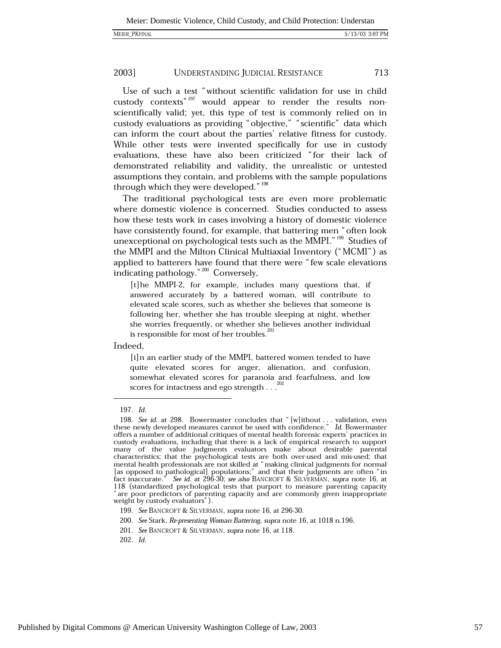Use of such a test "without scientific validation for use in child custody contexts"<sup>197</sup> would appear to render the results nonscientifically valid; yet, this type of test is commonly relied on in custody evaluations as providing "objective," "scientific" data which can inform the court about the parties' relative fitness for custody. While other tests were invented specifically for use in custody evaluations, these have also been criticized "for their lack of demonstrated reliability and validity, the unrealistic or untested assumptions they contain, and problems with the sample populations through which they were developed." 198

The traditional psychological tests are even more problematic where domestic violence is concerned. Studies conducted to assess how these tests work in cases involving a history of domestic violence have consistently found, for example, that battering men "often look unexceptional on psychological tests such as the MMPI."<sup>199</sup> Studies of the MMPI and the Milton Clinical Multiaxial Inventory ("MCMI") as applied to batterers have found that there were "few scale elevations indicating pathology." 200 Conversely,

[t] he MMPI-2, for example, includes many questions that, if answered accurately by a battered woman, will contribute to elevated scale scores, such as whether she believes that someone is following her, whether she has trouble sleeping at night, whether she worries frequently, or whether she believes another individual is responsible for most of her troubles.<sup>201</sup>

Indeed,

[i]n an earlier study of the MMPI, battered women tended to have quite elevated scores for anger, alienation, and confusion, somewhat elevated scores for paranoia and fearfulness, and low scores for intactness and ego strength . . .  $202$ 

202. Id.

<sup>197.</sup> Id.

<sup>198.</sup> See id. at 298. Bowermaster concludes that "[w]ithout ... validation, even these newly developed measures cannot be used with confidence." Id. Bowermaster offers a number of additional critiques of mental health forensic experts' practices in custody evaluations, including that there is a lack of empirical research to support many of the value judgments evaluators make about desirable parental characteristics; that the psychological tests are both over-used and mis-used; that mental health professionals are not skilled at "making clinical judgments for normal as opposed to pathological] populations;" and that their judgments are often "in fact inaccurate." See id. at 296-30; see also BANCROFT & SILVERMAN, supra note 16, at 118 (standardized psychological tests that purport to measure parenting capacity " are poor predictors of parenting capacity and are commonly given inappropriate weight by custody evaluators").

<sup>199.</sup> See BANCROFT & SILVERMAN, supra note 16, at 296-30.

<sup>200.</sup> See Stark, Re-presenting Woman Battering, supra note 16, at 1018 n.196.

<sup>201.</sup> See BANCROFT & SILVERMAN, supra note 16, at 118.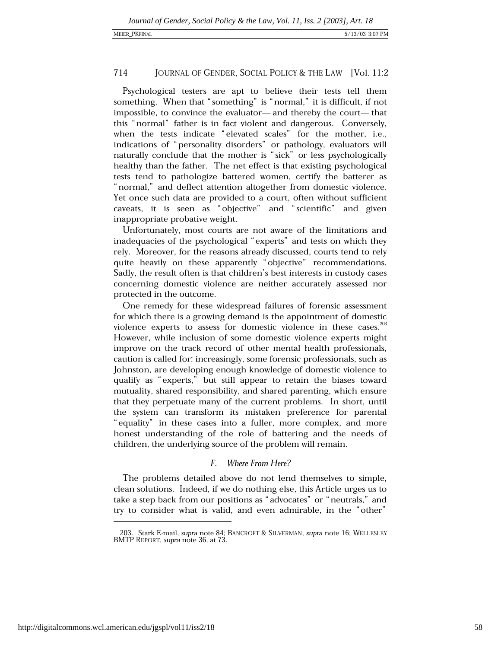Psychological testers are apt to believe their tests tell them something. When that "something" is "normal," it is difficult, if not impossible, to convince the evaluator—and thereby the court—that this "normal" father is in fact violent and dangerous. Conversely, when the tests indicate "elevated scales" for the mother, i.e., indications of "personality disorders" or pathology, evaluators will naturally conclude that the mother is "sick" or less psychologically healthy than the father. The net effect is that existing psychological tests tend to pathologize battered women, certify the batterer as "normal," and deflect attention altogether from domestic violence. Yet once such data are provided to a court, often without sufficient caveats, it is seen as "objective" and "scientific" and given inappropriate probative weight.

Unfortunately, most courts are not aware of the limitations and inadequacies of the psychological "experts" and tests on which they rely. Moreover, for the reasons already discussed, courts tend to rely quite heavily on these apparently "objective" recommendations. Sadly, the result often is that children's best interests in custody cases concerning domestic violence are neither accurately assessed nor protected in the outcome.

One remedy for these widespread failures of forensic assessment for which there is a growing demand is the appointment of domestic violence experts to assess for domestic violence in these cases.<sup>203</sup> However, while inclusion of some domestic violence experts might improve on the track record of other mental health professionals, caution is called for: increasingly, some forensic professionals, such as Johnston, are developing enough knowledge of domestic violence to qualify as "experts," but still appear to retain the biases toward mutuality, shared responsibility, and shared parenting, which ensure that they perpetuate many of the current problems. In short, until the system can transform its mistaken preference for parental "equality" in these cases into a fuller, more complex, and more honest understanding of the role of battering and the needs of children, the underlying source of the problem will remain.

### $F_{\cdot}$ **Where From Here?**

The problems detailed above do not lend themselves to simple, clean solutions. Indeed, if we do nothing else, this Article urges us to take a step back from our positions as "advocates" or "neutrals," and try to consider what is valid, and even admirable, in the "other"

<sup>203.</sup> Stark E-mail, supra note 84; BANCROFT & SILVERMAN, supra note 16; WELLESLEY BMTP REPORT, supra note 36, at 73.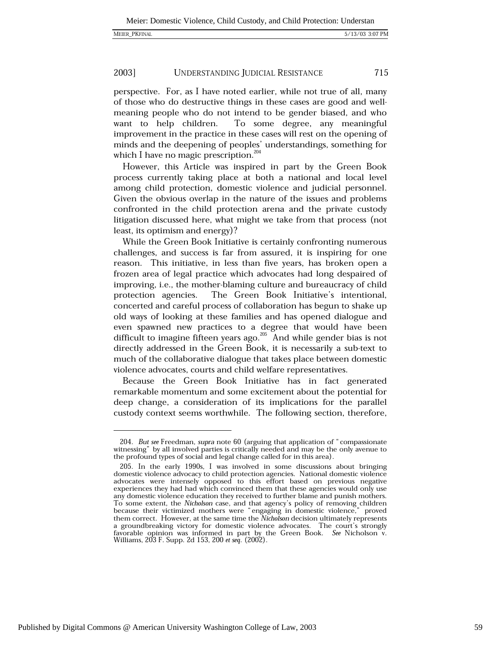perspective. For, as I have noted earlier, while not true of all, many of those who do destructive things in these cases are good and wellmeaning people who do not intend to be gender biased, and who To some degree, any meaningful want to help children. improvement in the practice in these cases will rest on the opening of minds and the deepening of peoples' understandings, something for which I have no magic prescription.  $204$ 

However, this Article was inspired in part by the Green Book process currently taking place at both a national and local level among child protection, domestic violence and judicial personnel. Given the obvious overlap in the nature of the issues and problems confronted in the child protection arena and the private custody litigation discussed here, what might we take from that process (not least, its optimism and energy)?

While the Green Book Initiative is certainly confronting numerous challenges, and success is far from assured, it is inspiring for one reason. This initiative, in less than five years, has broken open a frozen area of legal practice which advocates had long despaired of improving, i.e., the mother-blaming culture and bureaucracy of child The Green Book Initiative's intentional, protection agencies. concerted and careful process of collaboration has begun to shake up old ways of looking at these families and has opened dialogue and even spawned new practices to a degree that would have been difficult to imagine fifteen years ago.<sup>205</sup> And while gender bias is not directly addressed in the Green Book, it is necessarily a sub-text to much of the collaborative dialogue that takes place between domestic violence advocates, courts and child welfare representatives.

Because the Green Book Initiative has in fact generated remarkable momentum and some excitement about the potential for deep change, a consideration of its implications for the parallel custody context seems worthwhile. The following section, therefore,

<sup>204.</sup> But see Freedman, supra note 60 (arguing that application of "compassionate witnessing" by all involved parties is critically needed and may be the only avenue to the profound types of social and legal change called for in this area).

<sup>205.</sup> In the early 1990s, I was involved in some discussions about bringing domestic violence advocacy to child protection agencies. National domestic violence advocates were intensely opposed to this effort based on previous negative experiences they had had which convinced them that these agencies would only use any domestic violence education they received to further blame and punish mothers. To some extent, the Nicholson case, and that agency's policy of removing children because their victimized mothers were "engaging in domestic violence," proved them correct. However, at the same time the Nicholson decision ultimately represents a groundbreaking victory for domestic violence advocates. The court's strongly favorable opinion was informed in part by the Green Book. See Nicholson v. Williams, 203 F. Supp. 2d 153, 200 et seq. (2002).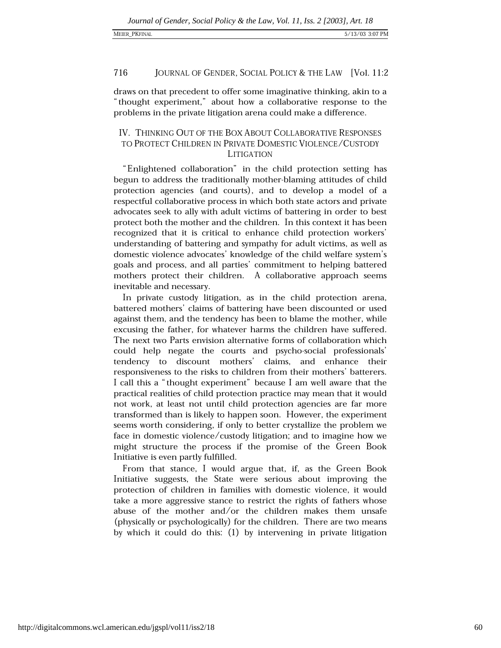## MEIER PKFINAL

#### 716 JOURNAL OF GENDER, SOCIAL POLICY & THE LAW [Vol. 11:2]

draws on that precedent to offer some imaginative thinking, akin to a "thought experiment," about how a collaborative response to the problems in the private litigation arena could make a difference.

# IV. THINKING OUT OF THE BOX ABOUT COLLABORATIVE RESPONSES TO PROTECT CHILDREN IN PRIVATE DOMESTIC VIOLENCE/CUSTODY **LITIGATION**

"Enlightened collaboration" in the child protection setting has begun to address the traditionally mother-blaming attitudes of child protection agencies (and courts), and to develop a model of a respectful collaborative process in which both state actors and private advocates seek to ally with adult victims of battering in order to best protect both the mother and the children. In this context it has been recognized that it is critical to enhance child protection workers' understanding of battering and sympathy for adult victims, as well as domestic violence advocates' knowledge of the child welfare system's goals and process, and all parties' commitment to helping battered mothers protect their children. A collaborative approach seems inevitable and necessary.

In private custody litigation, as in the child protection arena, battered mothers' claims of battering have been discounted or used against them, and the tendency has been to blame the mother, while excusing the father, for whatever harms the children have suffered. The next two Parts envision alternative forms of collaboration which could help negate the courts and psycho-social professionals' tendency to discount mothers' claims, and enhance their responsiveness to the risks to children from their mothers' batterers. I call this a "thought experiment" because I am well aware that the practical realities of child protection practice may mean that it would not work, at least not until child protection agencies are far more transformed than is likely to happen soon. However, the experiment seems worth considering, if only to better crystallize the problem we face in domestic violence/custody litigation; and to imagine how we might structure the process if the promise of the Green Book Initiative is even partly fulfilled.

From that stance, I would argue that, if, as the Green Book Initiative suggests, the State were serious about improving the protection of children in families with domestic violence, it would take a more aggressive stance to restrict the rights of fathers whose abuse of the mother and/or the children makes them unsafe (physically or psychologically) for the children. There are two means by which it could do this: (1) by intervening in private litigation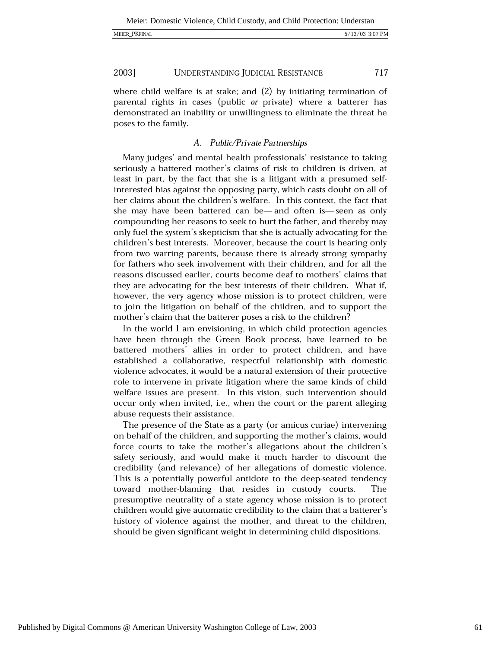MEIER\_PKFINAL

2003] UNDERSTANDING JUDICIAL RESISTANCE 717

where child welfare is at stake; and  $(2)$  by initiating termination of parental rights in cases (public or private) where a batterer has demonstrated an inability or unwillingness to eliminate the threat he poses to the family.

# A. Public/Private Partnerships

Many judges' and mental health professionals' resistance to taking seriously a battered mother's claims of risk to children is driven, at least in part, by the fact that she is a litigant with a presumed selfinterested bias against the opposing party, which casts doubt on all of her claims about the children's welfare. In this context, the fact that she may have been battered can be—and often is—seen as only compounding her reasons to seek to hurt the father, and thereby may only fuel the system's skepticism that she is actually advocating for the children's best interests. Moreover, because the court is hearing only from two warring parents, because there is already strong sympathy for fathers who seek involvement with their children, and for all the reasons discussed earlier, courts become deaf to mothers' claims that they are advocating for the best interests of their children. What if, however, the very agency whose mission is to protect children, were to join the litigation on behalf of the children, and to support the mother's claim that the batterer poses a risk to the children?

In the world I am envisioning, in which child protection agencies have been through the Green Book process, have learned to be battered mothers' allies in order to protect children, and have established a collaborative, respectful relationship with domestic violence advocates, it would be a natural extension of their protective role to intervene in private litigation where the same kinds of child welfare issues are present. In this vision, such intervention should occur only when invited, i.e., when the court or the parent alleging abuse requests their assistance.

The presence of the State as a party (or amicus curiae) intervening on behalf of the children, and supporting the mother's claims, would force courts to take the mother's allegations about the children's safety seriously, and would make it much harder to discount the credibility (and relevance) of her allegations of domestic violence. This is a potentially powerful antidote to the deep-seated tendency toward mother-blaming that resides in custody courts. The presumptive neutrality of a state agency whose mission is to protect children would give automatic credibility to the claim that a batterer's history of violence against the mother, and threat to the children, should be given significant weight in determining child dispositions.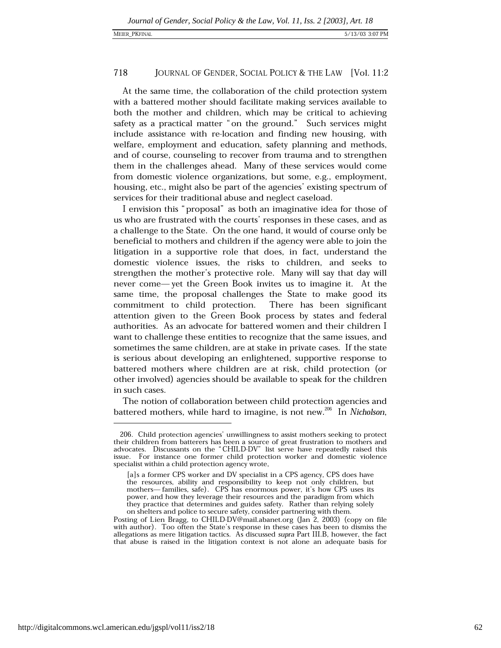## **MEIER PKFINAI**

### 718 JOURNAL OF GENDER, SOCIAL POLICY & THE LAW [Vol. 11:2]

At the same time, the collaboration of the child protection system with a battered mother should facilitate making services available to both the mother and children, which may be critical to achieving safety as a practical matter "on the ground." Such services might include assistance with re-location and finding new housing, with welfare, employment and education, safety planning and methods, and of course, counseling to recover from trauma and to strengthen them in the challenges ahead. Many of these services would come from domestic violence organizations, but some, e.g., employment, housing, etc., might also be part of the agencies' existing spectrum of services for their traditional abuse and neglect caseload.

I envision this "proposal" as both an imaginative idea for those of us who are frustrated with the courts' responses in these cases, and as a challenge to the State. On the one hand, it would of course only be beneficial to mothers and children if the agency were able to join the litigation in a supportive role that does, in fact, understand the domestic violence issues, the risks to children, and seeks to strengthen the mother's protective role. Many will say that day will never come—yet the Green Book invites us to imagine it. At the same time, the proposal challenges the State to make good its commitment to child protection. There has been significant attention given to the Green Book process by states and federal authorities. As an advocate for battered women and their children I want to challenge these entities to recognize that the same issues, and sometimes the same children, are at stake in private cases. If the state is serious about developing an enlightened, supportive response to battered mothers where children are at risk, child protection (or other involved) agencies should be available to speak for the children in such cases.

The notion of collaboration between child protection agencies and battered mothers, while hard to imagine, is not new.<sup>206</sup> In Nicholson,

<sup>206.</sup> Child protection agencies' unwillingness to assist mothers seeking to protect their children from batterers has been a source of great frustration to mothers and advocates. Discussants on the "CHILD-DV" list serve have repeatedly raised this issue. For instance one former child protection worker and domestic violence specialist within a child protection agency wrote,

<sup>[</sup>a]s a former CPS worker and DV specialist in a CPS agency, CPS does have the resources, ability and responsibility to keep not only children, but mothers—families, safe). CPS has enormous power, it's how CPS uses its power, and how they leverage their resources and the paradigm from which they practice that determines and guides safety. Rather than relying solely on shelters and police to secure safety, consider partnering with them.

Posting of Lien Bragg, to CHILD-DV@mail.abanet.org (Jan 2, 2003) (copy on file with author). Too often the State's response in these cases has been to dismiss the allegations as mere litigation tactics. As discussed supra Part III.B, however, the fact that abuse is raised in the litigation context is not alone an adequate basis for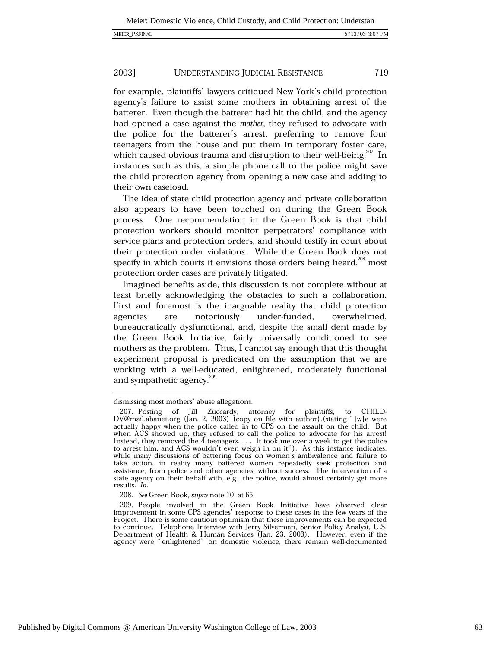for example, plaintiffs' lawyers critiqued New York's child protection agency's failure to assist some mothers in obtaining arrest of the batterer. Even though the batterer had hit the child, and the agency had opened a case against the mother, they refused to advocate with the police for the batterer's arrest, preferring to remove four teenagers from the house and put them in temporary foster care, which caused obvious trauma and disruption to their well-being.<sup>207</sup> In instances such as this, a simple phone call to the police might save the child protection agency from opening a new case and adding to their own caseload.

The idea of state child protection agency and private collaboration also appears to have been touched on during the Green Book process. One recommendation in the Green Book is that child protection workers should monitor perpetrators' compliance with service plans and protection orders, and should testify in court about their protection order violations. While the Green Book does not specify in which courts it envisions those orders being heard,<sup>208</sup> most protection order cases are privately litigated.

Imagined benefits aside, this discussion is not complete without at least briefly acknowledging the obstacles to such a collaboration. First and foremost is the inarguable reality that child protection agencies are notoriously under-funded. overwhelmed. bureaucratically dysfunctional, and, despite the small dent made by the Green Book Initiative, fairly universally conditioned to see mothers as the problem. Thus, I cannot say enough that this thought experiment proposal is predicated on the assumption that we are working with a well-educated, enlightened, moderately functional and sympathetic agency.<sup>209</sup>

dismissing most mothers' abuse allegations.

<sup>207.</sup> Posting of Jill Zuccardy, attorney for plaintiffs, to CHILD-DV@mail.abanet.org (Jan. 2, 2003) (copy on file with author) (stating "[w]e were actually happy when the police called in to CPS on the assault on the child. But when ACS showed up, they refused to call the police to advocate for his arrest! Instead, they removed the  $\tilde{4}$  teenagers. . . . It took me over a week to get the police to arrest him, and ACS wouldn't even weigh in on it"). As this instance indicates, while many discussions of battering focus on women's ambivalence and failure to take action, in reality many battered women repeatedly seek protection and assistance, from police and other agencies, without success. The intervention of a state agency on their behalf with, e.g., the police, would almost certainly get more results. Id.

<sup>208.</sup> See Green Book, supra note 10, at 65.

<sup>209.</sup> People involved in the Green Book Initiative have observed clear improvement in some CPS agencies' response to these cases in the few years of the Project. There is some cautious optimism that these improvements can be expected to continue. Telephone Interview with Jerry Silverman, Senior Policy Analyst, U.S.<br>Department of Health & Human Services (Jan. 23, 2003). However, even if the agency were "enlightened" on domestic violence, there remain well-documented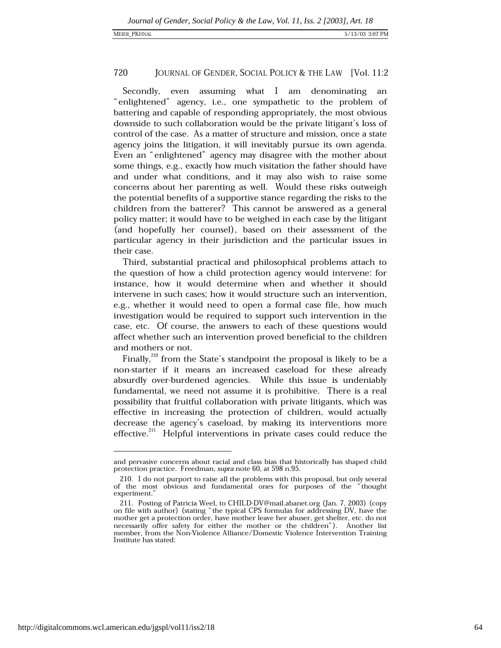even assuming what I am denominating Secondly. an "enlightened" agency, i.e., one sympathetic to the problem of battering and capable of responding appropriately, the most obvious downside to such collaboration would be the private litigant's loss of control of the case. As a matter of structure and mission, once a state agency joins the litigation, it will inevitably pursue its own agenda. Even an "enlightened" agency may disagree with the mother about some things, e.g., exactly how much visitation the father should have and under what conditions, and it may also wish to raise some concerns about her parenting as well. Would these risks outweigh the potential benefits of a supportive stance regarding the risks to the children from the batterer? This cannot be answered as a general policy matter; it would have to be weighed in each case by the litigant (and hopefully her counsel), based on their assessment of the particular agency in their jurisdiction and the particular issues in their case.

Third, substantial practical and philosophical problems attach to the question of how a child protection agency would intervene: for instance, how it would determine when and whether it should intervene in such cases: how it would structure such an intervention. e.g., whether it would need to open a formal case file, how much investigation would be required to support such intervention in the case, etc. Of course, the answers to each of these questions would affect whether such an intervention proved beneficial to the children and mothers or not.

Finally,<sup>210</sup> from the State's standpoint the proposal is likely to be a non-starter if it means an increased caseload for these already absurdly over-burdened agencies. While this issue is undeniably fundamental, we need not assume it is prohibitive. There is a real possibility that fruitful collaboration with private litigants, which was effective in increasing the protection of children, would actually decrease the agency's caseload, by making its interventions more effective.<sup>211</sup> Helpful interventions in private cases could reduce the

and pervasive concerns about racial and class bias that historically has shaped child protection practice. Freedman, supra note 60, at 598 n.95.

<sup>210.</sup> I do not purport to raise all the problems with this proposal, but only several of the most obvious and fundamental ones for purposes of the "thought experiment.'

<sup>211.</sup> Posting of Patricia Weel, to CHILD-DV@mail.abanet.org (Jan. 7, 2003) (copy on file with author) (stating "the typical CPS formulas for addressing DV, have the mother get a protection order, have mother leave her abuser, get shelter, etc. do not necessarily offer safety for either the mother or the children"). Another list member, from the Non-Violence Alliance/Domestic Violence Intervention Training Institute has stated: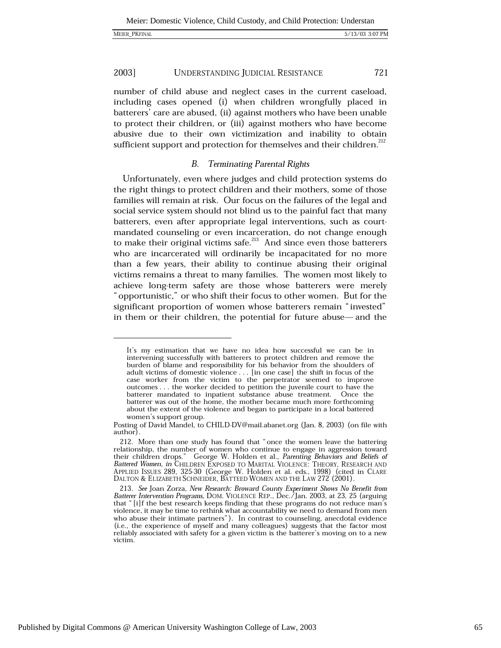number of child abuse and neglect cases in the current caseload, including cases opened (i) when children wrongfully placed in batterers' care are abused, (ii) against mothers who have been unable to protect their children, or (iii) against mothers who have become abusive due to their own victimization and inability to obtain sufficient support and protection for themselves and their children.<sup>212</sup>

#### **Terminating Parental Rights** *B.*

Unfortunately, even where judges and child protection systems do the right things to protect children and their mothers, some of those families will remain at risk. Our focus on the failures of the legal and social service system should not blind us to the painful fact that many batterers, even after appropriate legal interventions, such as courtmandated counseling or even incarceration, do not change enough to make their original victims safe.<sup>213</sup> And since even those batterers who are incarcerated will ordinarily be incapacitated for no more than a few years, their ability to continue abusing their original victims remains a threat to many families. The women most likely to achieve long-term safety are those whose batterers were merely "opportunistic," or who shift their focus to other women. But for the significant proportion of women whose batterers remain "invested" in them or their children, the potential for future abuse— and the

It's my estimation that we have no idea how successful we can be in intervening successfully with batterers to protect children and remove the burden of blame and responsibility for his behavior from the shoulders of adult victims of domestic violence . . . [in one case] the shift in focus of the case worker from the victim to the perpetrator seemed to improve outcomes . . . the worker decided to petition the juvenile court to have the batterer mandated to inpatient substance abuse treatment. Once the batterer was out of the home, the mother became much more forthcoming about the extent of the violence and began to participate in a local battered women's support group.

Posting of David Mandel, to CHILD-DV@mail.abanet.org (Jan. 8, 2003) (on file with author).

<sup>212.</sup> More than one study has found that "once the women leave the battering relationship, the number of women who continue to engage in aggression toward their children drops." George W. Holden et al., Parenting Behaviors and Beliefs of Battered Women, in CHILDREN EXPOSED TO MARITAL VIOLENCE: THEORY, RESEARCH AND APPLIED ISSUES 289, 325-30 (George W. Holden et al. eds., 1998) (cited in CLARE DALTON & ELIZABETH SCHNEIDER, BATTEED WOMEN AND THE LAW 272 (2001).

<sup>213.</sup> See Joan Zorza, New Research: Broward County Experiment Shows No Benefit from Batterer Intervention Programs, DOM. VIOLENCE REP., Dec./Jan. 2003, at 23, 25 (arguing that "[i]f the best research keeps finding that these programs do not reduce man's violence, it may be time to rethink what accountability we need to demand from men who abuse their intimate partners"). In contrast to counseling, anecdotal evidence (i.e., the experience of myself and many colleagues) suggests that the factor most reliably associated with safety for a given victim is the batterer's moving on to a new victim.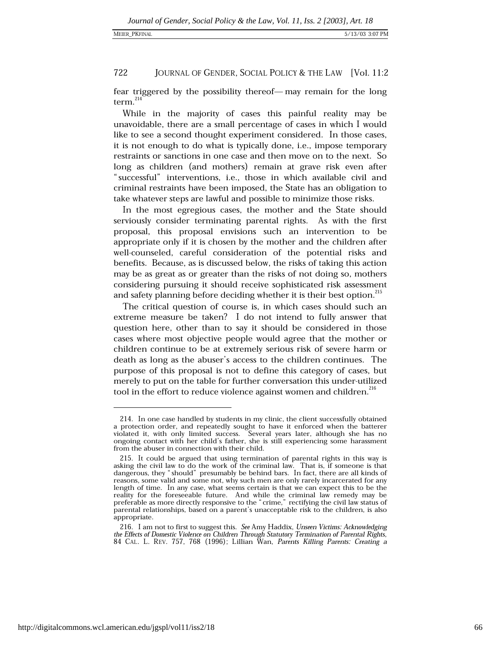fear triggered by the possibility thereof—may remain for the long  $term<sup>214</sup>$ 

While in the majority of cases this painful reality may be unavoidable, there are a small percentage of cases in which I would like to see a second thought experiment considered. In those cases, it is not enough to do what is typically done, i.e., impose temporary restraints or sanctions in one case and then move on to the next. So long as children (and mothers) remain at grave risk even after "successful" interventions, i.e., those in which available civil and criminal restraints have been imposed, the State has an obligation to take whatever steps are lawful and possible to minimize those risks.

In the most egregious cases, the mother and the State should serviously consider terminating parental rights. As with the first proposal, this proposal envisions such an intervention to be appropriate only if it is chosen by the mother and the children after well-counseled, careful consideration of the potential risks and benefits. Because, as is discussed below, the risks of taking this action may be as great as or greater than the risks of not doing so, mothers considering pursuing it should receive sophisticated risk assessment and safety planning before deciding whether it is their best option.<sup>215</sup>

The critical question of course is, in which cases should such an extreme measure be taken? I do not intend to fully answer that question here, other than to say it should be considered in those cases where most objective people would agree that the mother or children continue to be at extremely serious risk of severe harm or death as long as the abuser's access to the children continues. The purpose of this proposal is not to define this category of cases, but merely to put on the table for further conversation this under-utilized tool in the effort to reduce violence against women and children.<sup>216</sup>

<sup>214.</sup> In one case handled by students in my clinic, the client successfully obtained a protection order, and repeatedly sought to have it enforced when the batterer violated it, with only limited success. Several years later, although she has no ongoing contact with her child's father, she is still experiencing some harassment from the abuser in connection with their child.

<sup>215.</sup> It could be argued that using termination of parental rights in this way is asking the civil law to do the work of the criminal law. That is, if someone is that dangerous, they "should" presumably be behind bars. In f reasons, some valid and some not, why such men are only rarely incarcerated for any length of time. In any case, what seems certain is that we can expect this to be the reality for the foreseeable future. And while the criminal law remedy may be preferable as more directly responsive to the "crime," rectifying the civil law status of parental relationships, based on a parent's unacceptable risk to the children, is also appropriate.

<sup>216.</sup> I am not to first to suggest this. See Amy Haddix, Unseen Victims: Acknowledging the Effects of Domestic Violence on Children Through Statutory Termination of Parental Rights, 84 CAL. L. REV. 757, 768 (1996); Lillian Wan, Parents Killing Parents: Creating a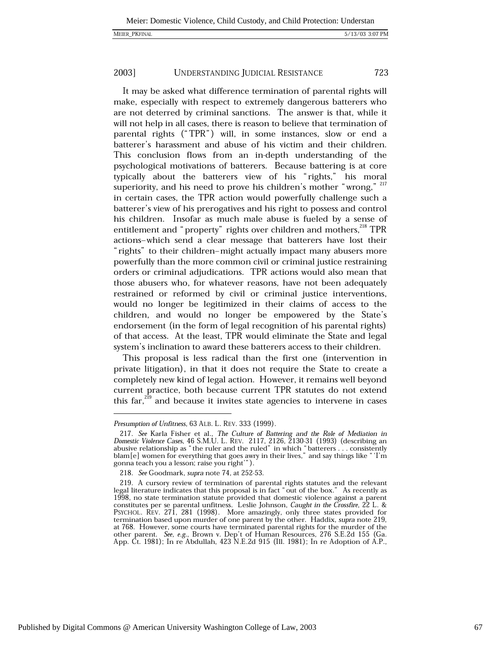723

#### 2003] UNDERSTANDING JUDICIAL RESISTANCE

It may be asked what difference termination of parental rights will make, especially with respect to extremely dangerous batterers who are not deterred by criminal sanctions. The answer is that, while it will not help in all cases, there is reason to believe that termination of parental rights ("TPR") will, in some instances, slow or end a batterer's harassment and abuse of his victim and their children. This conclusion flows from an in-depth understanding of the psychological motivations of batterers. Because battering is at core typically about the batterers view of his "rights," his moral superiority, and his need to prove his children's mother "wrong," <sup>217</sup> in certain cases, the TPR action would powerfully challenge such a batterer's view of his prerogatives and his right to possess and control his children. Insofar as much male abuse is fueled by a sense of entitlement and "property" rights over children and mothers,<sup>218</sup> TPR actions-which send a clear message that batterers have lost their "rights" to their children-might actually impact many abusers more powerfully than the more common civil or criminal justice restraining orders or criminal adjudications. TPR actions would also mean that those abusers who, for whatever reasons, have not been adequately restrained or reformed by civil or criminal justice interventions, would no longer be legitimized in their claims of access to the children, and would no longer be empowered by the State's endorsement (in the form of legal recognition of his parental rights) of that access. At the least, TPR would eliminate the State and legal system's inclination to award these batterers access to their children.

This proposal is less radical than the first one (intervention in private litigation), in that it does not require the State to create a completely new kind of legal action. However, it remains well beyond current practice, both because current TPR statutes do not extend this far, $^{219}$  and because it invites state agencies to intervene in cases

Presumption of Unfitness, 63 ALB. L. REV. 333 (1999).

<sup>217.</sup> See Karla Fisher et al., The Culture of Battering and the Role of Mediation in Domestic Violence Cases, 46 S.M.U. L. REV. 2117, 2126, 2130-31 (1993) (describing an abusive relationship as " the ruler and the ruled" i gonna teach you a lesson; raise you right").

<sup>218.</sup> See Goodmark, supra note 74, at 252-53.

<sup>219.</sup> A cursory review of termination of parental rights statutes and the relevant legal literature indicates that this proposal is in fact "out of the box." As recently as 1998, no state termination statute provided that domestic violence against a parent constitutes per se parental unfitness. Leslie Johnson, Caught in the Crossfire, 22 L. & PSYCHOL. REV. 271, 281 (1998). More amazingly, only three states provided for termination based upon murder of one parent by the other. Haddix, supra note 219, at 768. However, some courts have terminated parental rights for the murder of the other parent. See, e.g., Brown v. Dep't of Human Resources, 276 S.E.2d 155 (Ga. App. Ct. 1981); In re Abdullah, 423 N.E.2d 915 (Ill. 1981); In re Adoption of A.P.,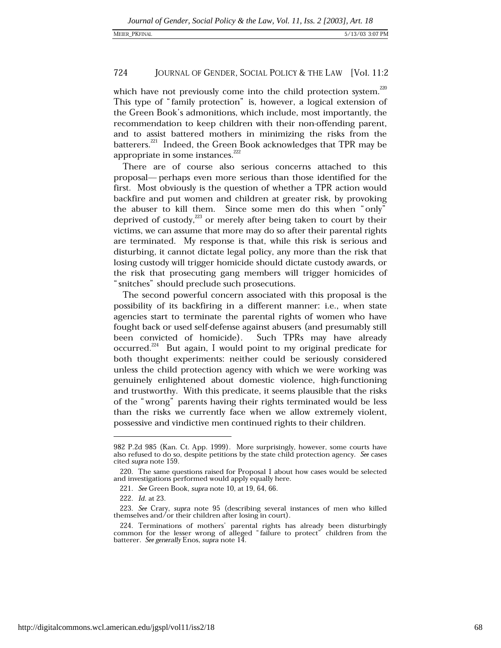which have not previously come into the child protection system.<sup>220</sup> This type of "family protection" is, however, a logical extension of the Green Book's admonitions, which include, most importantly, the recommendation to keep children with their non-offending parent, and to assist battered mothers in minimizing the risks from the batterers.<sup>221</sup> Indeed, the Green Book acknowledges that TPR may be appropriate in some instances.<sup>222</sup>

There are of course also serious concerns attached to this proposal— perhaps even more serious than those identified for the first. Most obviously is the question of whether a TPR action would backfire and put women and children at greater risk, by provoking the abuser to kill them. Since some men do this when "only" deprived of custody,<sup>223</sup> or merely after being taken to court by their victims, we can assume that more may do so after their parental rights are terminated. My response is that, while this risk is serious and disturbing, it cannot dictate legal policy, any more than the risk that losing custody will trigger homicide should dictate custody awards, or the risk that prosecuting gang members will trigger homicides of "snitches" should preclude such prosecutions.

The second powerful concern associated with this proposal is the possibility of its backfiring in a different manner: i.e., when state agencies start to terminate the parental rights of women who have fought back or used self-defense against abusers (and presumably still been convicted of homicide). Such TPRs may have already occurred.<sup>224</sup> But again, I would point to my original predicate for both thought experiments: neither could be seriously considered unless the child protection agency with which we were working was genuinely enlightened about domestic violence, high-functioning and trustworthy. With this predicate, it seems plausible that the risks of the "wrong" parents having their rights terminated would be less than the risks we currently face when we allow extremely violent, possessive and vindictive men continued rights to their children.

<sup>982</sup> P.2d 985 (Kan. Ct. App. 1999). More surprisingly, however, some courts have also refused to do so, despite petitions by the state child protection agency. See cases cited *supra* note 159.

<sup>220.</sup> The same questions raised for Proposal 1 about how cases would be selected and investigations performed would apply equally here.

<sup>221.</sup> See Green Book, supra note 10, at 19, 64, 66.

<sup>222.</sup> Id. at 23.

<sup>223.</sup> See Crary, supra note 95 (describing several instances of men who killed themselves and/or their children after losing in court).

<sup>224.</sup> Terminations of mothers' parental rights has already been disturbingly common for the lesser wrong of alleged "failure to protect" children from the batterer. See generally Enos, supra note 14.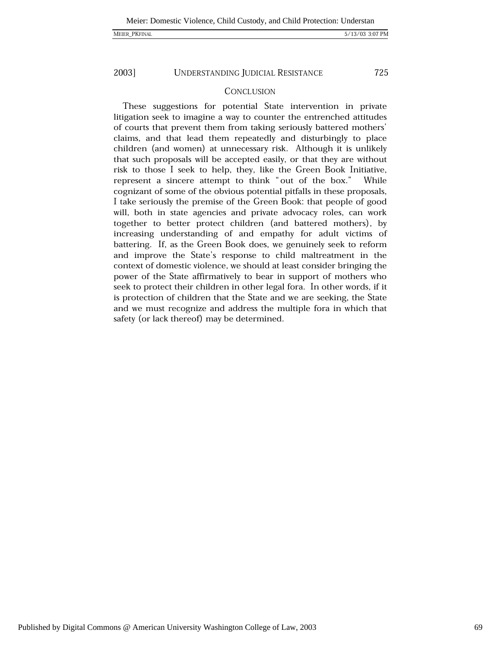## MEIER\_PKFINAL

## 5/13/03 3:07 PM

2003]

UNDERSTANDING JUDICIAL RESISTANCE

725

## **CONCLUSION**

These suggestions for potential State intervention in private litigation seek to imagine a way to counter the entrenched attitudes of courts that prevent them from taking seriously battered mothers' claims, and that lead them repeatedly and disturbingly to place children (and women) at unnecessary risk. Although it is unlikely that such proposals will be accepted easily, or that they are without risk to those I seek to help, they, like the Green Book Initiative, represent a sincere attempt to think "out of the box." While cognizant of some of the obvious potential pitfalls in these proposals, I take seriously the premise of the Green Book: that people of good will, both in state agencies and private advocacy roles, can work together to better protect children (and battered mothers), by increasing understanding of and empathy for adult victims of battering. If, as the Green Book does, we genuinely seek to reform and improve the State's response to child maltreatment in the context of domestic violence, we should at least consider bringing the power of the State affirmatively to bear in support of mothers who seek to protect their children in other legal fora. In other words, if it is protection of children that the State and we are seeking, the State and we must recognize and address the multiple fora in which that safety (or lack thereof) may be determined.

Published by Digital Commons @ American University Washington College of Law, 2003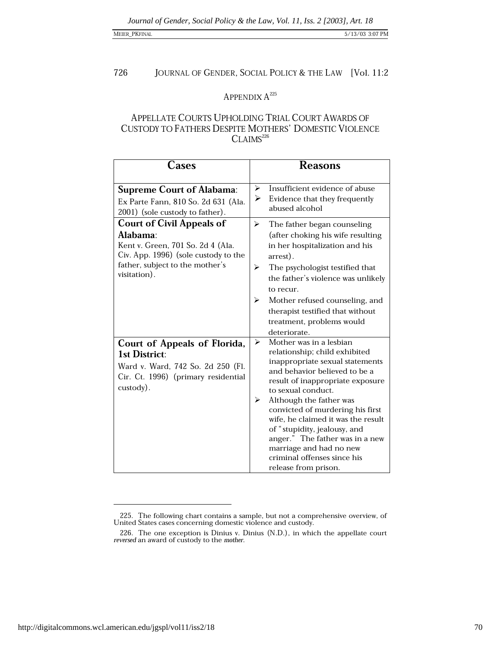## MEIER\_PKFINAL

### 726 JOURNAL OF GENDER, SOCIAL POLICY & THE LAW [Vol. 11:2

# APPENDIX  $A^{225}$

# APPELLATE COURTS UPHOLDING TRIAL COURT AWARDS OF CUSTODY TO FATHERS DESPITE MOTHERS' DOMESTIC VIOLENCE  $CLAIMS<sup>226</sup>$

| Cases                                                                                                                                                                        | <b>Reasons</b>                                                                                                                                                                                                                                                                                                                                                                                                                                             |  |  |
|------------------------------------------------------------------------------------------------------------------------------------------------------------------------------|------------------------------------------------------------------------------------------------------------------------------------------------------------------------------------------------------------------------------------------------------------------------------------------------------------------------------------------------------------------------------------------------------------------------------------------------------------|--|--|
| <b>Supreme Court of Alabama:</b><br>Ex Parte Fann, 810 So. 2d 631 (Ala.<br>2001) (sole custody to father).                                                                   | Insufficient evidence of abuse<br>$\blacktriangleright$<br>➤<br>Evidence that they frequently<br>abused alcohol                                                                                                                                                                                                                                                                                                                                            |  |  |
| <b>Court of Civil Appeals of</b><br>Alabama:<br>Kent v. Green, 701 So. 2d 4 (Ala.<br>Civ. App. 1996) (sole custody to the<br>father, subject to the mother's<br>visitation). | ➤<br>The father began counseling<br>(after choking his wife resulting<br>in her hospitalization and his<br>arrest).<br>➤<br>The psychologist testified that<br>the father's violence was unlikely<br>to recur.<br>➤<br>Mother refused counseling, and<br>therapist testified that without<br>treatment, problems would<br>deteriorate.                                                                                                                     |  |  |
| Court of Appeals of Florida,<br>1st District:<br>Ward v. Ward, 742 So. 2d 250 (Fl.<br>Cir. Ct. 1996) (primary residential<br>custody).                                       | Mother was in a lesbian<br>⋗<br>relationship; child exhibited<br>inappropriate sexual statements<br>and behavior believed to be a<br>result of inappropriate exposure<br>to sexual conduct.<br>Although the father was<br>➤<br>convicted of murdering his first<br>wife, he claimed it was the result<br>of "stupidity, jealousy, and<br>anger." The father was in a new<br>marriage and had no new<br>criminal offenses since his<br>release from prison. |  |  |

<sup>225.</sup> The following chart contains a sample, but not a comprehensive overview, of United States cases concerning domestic violence and custody.

<sup>226.</sup> The one exception is Dinius v. Dinius (N.D.), in which the appellate court reversed an award of custody to the mother.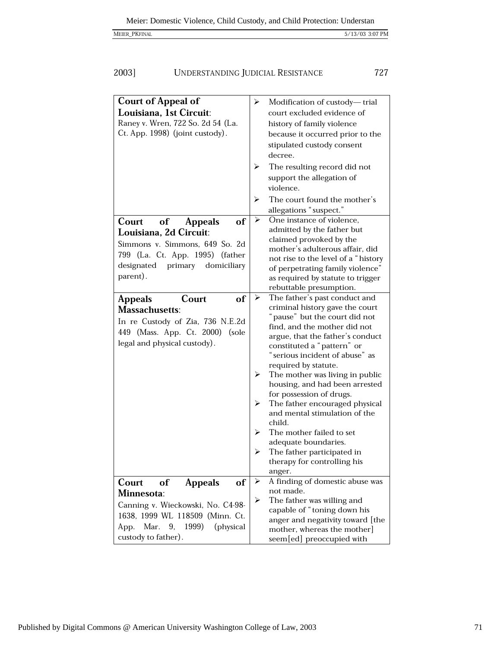5/13/03 3:07 PM

727

| MEIER_PKFINAL |  |  |
|---------------|--|--|

### 2003] UNDERSTANDING JUDICIAL RESISTANCE

**Court of Appeal of**  $\blacktriangleright$ Modification of custody-trial Louisiana, 1st Circuit: court excluded evidence of Ranev v. Wren, 722 So. 2d 54 (La. history of family violence Ct. App. 1998) (joint custody). because it occurred prior to the stipulated custody consent decree. The resulting record did not  $\blacktriangleright$ support the allegation of violence. The court found the mother's allegations "suspect." One instance of violence, Court of of  $\blacktriangleright$ **Appeals** admitted by the father but Louisiana, 2d Circuit: claimed provoked by the Simmons v. Simmons, 649 So. 2d mother's adulterous affair, did 799 (La. Ct. App. 1995) (father not rise to the level of a "history designated primary domiciliary of perpetrating family violence" parent). as required by statute to trigger rebuttable presumption. The father's past conduct and  $\blacktriangleright$ Court **Appeals** of criminal history gave the court **Massachusetts:** "pause" but the court did not In re Custody of Zia, 736 N.E.2d find, and the mother did not 449 (Mass. App. Ct. 2000) (sole argue, that the father's conduct legal and physical custody). constituted a "pattern" or "serious incident of abuse" as required by statute.  $\triangleright$  The mother was living in public housing, and had been arrested for possession of drugs. The father encouraged physical  $\blacktriangleright$ and mental stimulation of the child  $\blacktriangleright$ The mother failed to set adequate boundaries. The father participated in  $\blacktriangleright$ therapy for controlling his anger.  $\blacktriangleright$ A finding of domestic abuse was Court of of **Appeals** not made. Minnesota:  $\blacktriangleright$ The father was willing and Canning v. Wieckowski, No. C4-98capable of "toning down his 1638, 1999 WL 118509 (Minn. Ct. anger and negativity toward [the App. Mar. 9, 1999) (physical mother, whereas the mother] custody to father). seem[ed] preoccupied with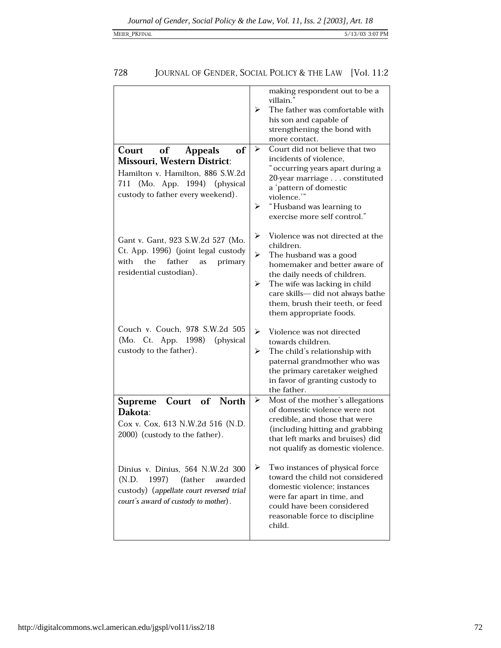## 728 JOURNAL OF GENDER, SOCIAL POLICY & THE LAW [Vol. 11:2

| of<br><b>Appeals</b><br>Court<br>of<br><b>Missouri, Western District:</b><br>Hamilton v. Hamilton, 886 S.W.2d<br>(Mo. App. 1994)<br>711<br>(physical)<br>custody to father every weekend). | making respondent out to be a<br>villain."<br>The father was comfortable with<br>⋗<br>his son and capable of<br>strengthening the bond with<br>more contact.<br>Court did not believe that two<br>⋗<br>incidents of violence,<br>" occurring years apart during a<br>20-year marriage constituted<br>a 'pattern of domestic<br>violence."<br>"Husband was learning to<br>⋗<br>exercise more self control." |
|--------------------------------------------------------------------------------------------------------------------------------------------------------------------------------------------|------------------------------------------------------------------------------------------------------------------------------------------------------------------------------------------------------------------------------------------------------------------------------------------------------------------------------------------------------------------------------------------------------------|
| Gant v. Gant, 923 S.W.2d 527 (Mo.<br>Ct. App. 1996) (joint legal custody<br>with<br>the<br>father<br>primary<br>as<br>residential custodian).                                              | ➤<br>Violence was not directed at the<br>children.<br>➤<br>The husband was a good<br>homemaker and better aware of<br>the daily needs of children.<br>The wife was lacking in child<br>➤<br>care skills-did not always bathe<br>them, brush their teeth, or feed<br>them appropriate foods.                                                                                                                |
| Couch v. Couch, 978 S.W.2d 505<br>(Mo. Ct. App. 1998)<br>(physical)<br>custody to the father).                                                                                             | ➤<br>Violence was not directed<br>towards children.<br>The child's relationship with<br>⋗<br>paternal grandmother who was<br>the primary caretaker weighed<br>in favor of granting custody to<br>the father.                                                                                                                                                                                               |
| of North<br>Court<br>Supreme<br>Dakota:<br>Cox v. Cox, 613 N.W.2d 516 (N.D.<br>2000) (custody to the father).                                                                              | Most of the mother's allegations<br>➤<br>of domestic violence were not<br>credible, and those that were<br>(including hitting and grabbing<br>that left marks and bruises) did<br>not qualify as domestic violence.                                                                                                                                                                                        |
| Dinius v. Dinius, 564 N.W.2d 300<br>1997)<br>(N.D.<br>(father<br>awarded<br>custody) (appellate court reversed trial<br>court's award of custody to mother).                               | ➤<br>Two instances of physical force<br>toward the child not considered<br>domestic violence; instances<br>were far apart in time, and<br>could have been considered<br>reasonable force to discipline<br>child.                                                                                                                                                                                           |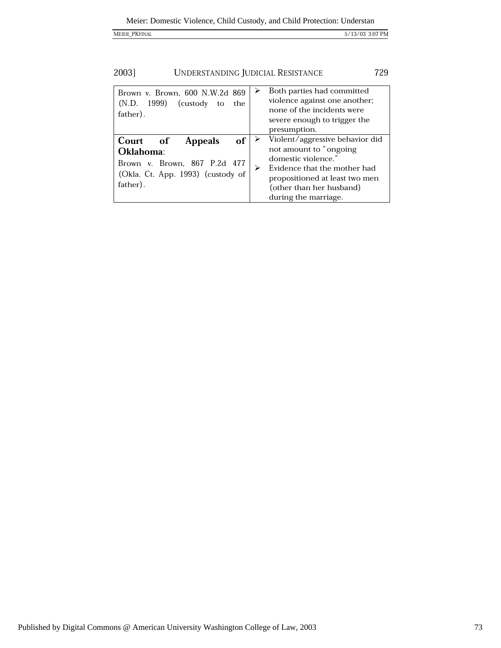| <b>MEIER PKFINAI</b> |
|----------------------|
|                      |

 $5/13/03$  3:07 PM

| 2003] | UNDERSTANDING JUDICIAL RESISTANCE | 729 |
|-------|-----------------------------------|-----|
|-------|-----------------------------------|-----|

| Brown v. Brown, 600 N.W.2d 869<br>(N.D.<br>1999)<br>(custody)<br>the<br>to<br>father).                                         | Both parties had committed<br>violence against one another;<br>none of the incidents were<br>severe enough to trigger the<br>presumption.                                                               |
|--------------------------------------------------------------------------------------------------------------------------------|---------------------------------------------------------------------------------------------------------------------------------------------------------------------------------------------------------|
| Court of<br>of<br><b>Appeals</b><br>Oklahoma:<br>Brown v. Brown, 867 P.2d 477<br>(Okla. Ct. App. 1993) (custody of<br>father). | Violent/aggressive behavior did<br>not amount to "ongoing"<br>domestic violence."<br>Evidence that the mother had<br>propositioned at least two men<br>(other than her husband)<br>during the marriage. |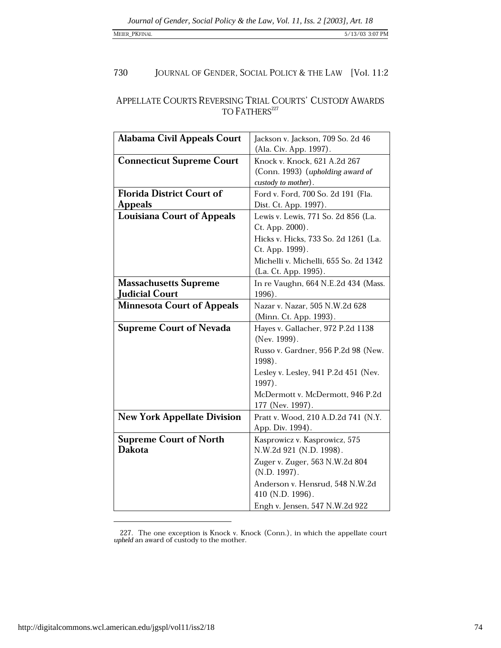## JOURNAL OF GENDER, SOCIAL POLICY & THE LAW [Vol. 11:2 730

## ${\small \bf A PPELLATE \; COURTS \; REVERSESING \; TRIAL \; COURTS' \; CUSTODY \; AWARDS \\ \noindent TO FATHERS^{227}$

| <b>Alabama Civil Appeals Court</b>                    | Jackson v. Jackson, 709 So. 2d 46<br>(Ala. Civ. App. 1997).                                                                                                                                                  |
|-------------------------------------------------------|--------------------------------------------------------------------------------------------------------------------------------------------------------------------------------------------------------------|
| <b>Connecticut Supreme Court</b>                      | Knock v. Knock, 621 A.2d 267<br>(Conn. 1993) (upholding award of<br>custody to mother).                                                                                                                      |
| <b>Florida District Court of</b><br><b>Appeals</b>    | Ford v. Ford, 700 So. 2d 191 (Fla.<br>Dist. Ct. App. 1997).                                                                                                                                                  |
| <b>Louisiana Court of Appeals</b>                     | Lewis v. Lewis, 771 So. 2d 856 (La.<br>Ct. App. 2000).<br>Hicks v. Hicks, 733 So. 2d 1261 (La.<br>Ct. App. 1999).<br>Michelli v. Michelli, 655 So. 2d 1342<br>(La. Ct. App. 1995).                           |
| <b>Massachusetts Supreme</b><br><b>Judicial Court</b> | In re Vaughn, 664 N.E.2d 434 (Mass.<br>$1996$ .                                                                                                                                                              |
| <b>Minnesota Court of Appeals</b>                     | Nazar v. Nazar, 505 N.W.2d 628<br>(Minn. Ct. App. 1993).                                                                                                                                                     |
| <b>Supreme Court of Nevada</b>                        | Hayes v. Gallacher, 972 P.2d 1138<br>(Nev. 1999).<br>Russo v. Gardner, 956 P.2d 98 (New.<br>1998).<br>Lesley v. Lesley, 941 P.2d 451 (Nev.<br>1997).<br>McDermott v. McDermott, 946 P.2d<br>177 (Nev. 1997). |
| <b>New York Appellate Division</b>                    | Pratt v. Wood, 210 A.D.2d 741 (N.Y.<br>App. Div. 1994).                                                                                                                                                      |
| <b>Supreme Court of North</b><br><b>Dakota</b>        | Kasprowicz v. Kasprowicz, 575<br>N.W.2d 921 (N.D. 1998).<br>Zuger v. Zuger, 563 N.W.2d 804<br>$(N.D. 1997)$ .<br>Anderson v. Hensrud, 548 N.W.2d<br>410 (N.D. 1996).<br>Engh v. Jensen, 547 N.W.2d 922       |

<sup>227.</sup> The one exception is Knock v. Knock (Conn.), in which the appellate court upheld an award of custody to the mother.